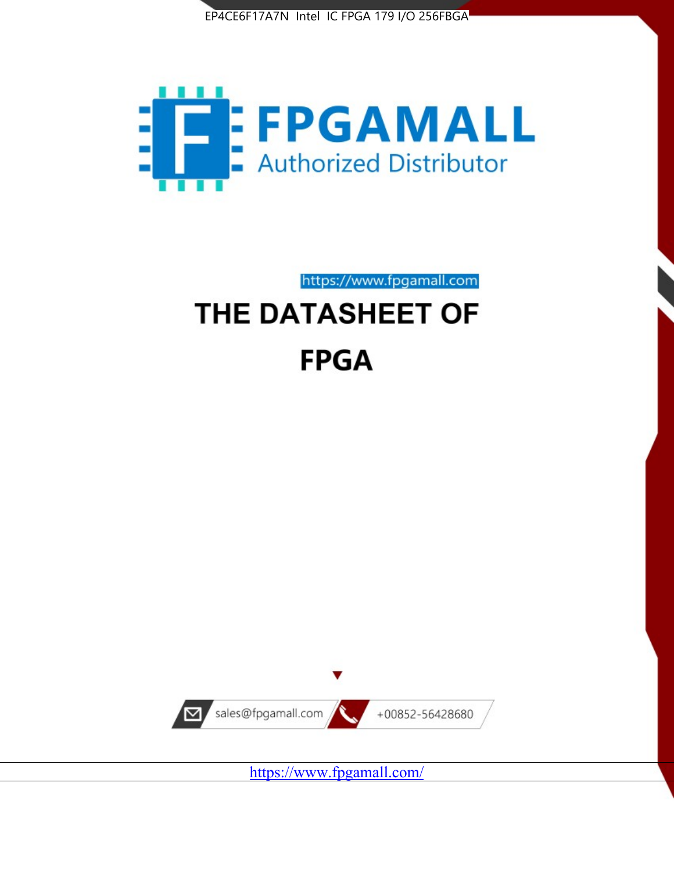



https://www.fpgamall.com

# THE DATASHEET OF **FPGA**



<https://www.fpgamall.com/>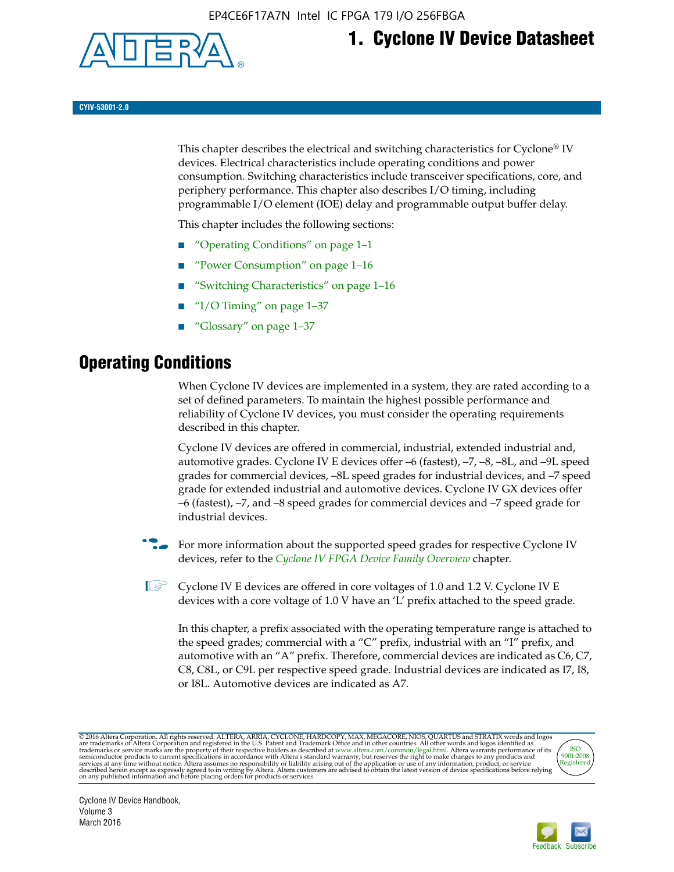

## **1. Cyclone IV Device Datasheet**

**CYIV-53001-2.0**

This chapter describes the electrical and switching characteristics for Cyclone<sup>®</sup> IV devices. Electrical characteristics include operating conditions and power consumption. Switching characteristics include transceiver specifications, core, and periphery performance. This chapter also describes I/O timing, including programmable I/O element (IOE) delay and programmable output buffer delay.

This chapter includes the following sections:

- "Operating Conditions" on page 1–1
- "Power Consumption" on page 1–16
- "Switching Characteristics" on page 1–16
- "I/O Timing" on page  $1-37$
- "Glossary" on page 1–37

## **Operating Conditions**

When Cyclone IV devices are implemented in a system, they are rated according to a set of defined parameters. To maintain the highest possible performance and reliability of Cyclone IV devices, you must consider the operating requirements described in this chapter.

Cyclone IV devices are offered in commercial, industrial, extended industrial and, automotive grades. Cyclone IV E devices offer –6 (fastest), –7, –8, –8L, and –9L speed grades for commercial devices, –8L speed grades for industrial devices, and –7 speed grade for extended industrial and automotive devices. Cyclone IV GX devices offer –6 (fastest), –7, and –8 speed grades for commercial devices and –7 speed grade for industrial devices.

**For more information about the supported speed grades for respective Cyclone IV** devices, refer to the *[Cyclone IV FPGA Device Family Overview](http://www.altera.com/literature/hb/cyclone-iv/cyiv-51001.pdf)* chapter.

 $\mathbb{I} \rightarrow \mathbb{C}$  Cyclone IV E devices are offered in core voltages of 1.0 and 1.2 V. Cyclone IV E devices with a core voltage of 1.0 V have an 'L' prefix attached to the speed grade.

In this chapter, a prefix associated with the operating temperature range is attached to the speed grades; commercial with a "C" prefix, industrial with an "I" prefix, and automotive with an "A" prefix. Therefore, commercial devices are indicated as C6, C7, C8, C8L, or C9L per respective speed grade. Industrial devices are indicated as I7, I8, or I8L. Automotive devices are indicated as A7.

@2016 Altera Corporation. All rights reserved. ALTERA, ARRIA, CYCLONE, HARDCOPY, MAX, MEGACORE, NIOS, QUARTUS and STRATIX words and logos are trademarks of Altera Corporation and registered in the U.S. Patent and Trademark



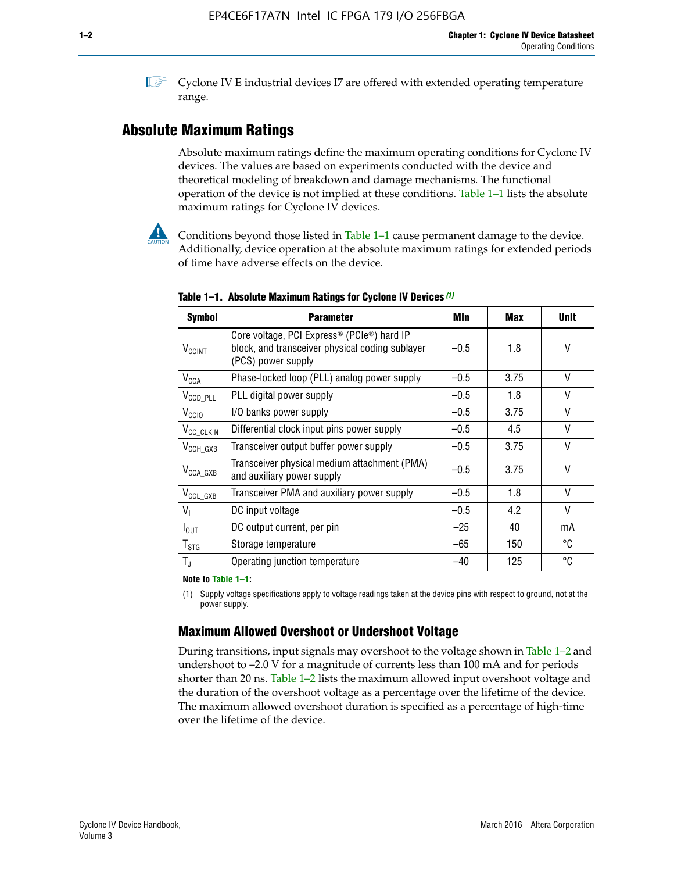**1 Cyclone IV E industrial devices I7 are offered with extended operating temperature** range.

### **Absolute Maximum Ratings**

Absolute maximum ratings define the maximum operating conditions for Cyclone IV devices. The values are based on experiments conducted with the device and theoretical modeling of breakdown and damage mechanisms. The functional operation of the device is not implied at these conditions. Table 1–1 lists the absolute maximum ratings for Cyclone IV devices.



Conditions beyond those listed in Table  $1-1$  cause permanent damage to the device. Additionally, device operation at the absolute maximum ratings for extended periods of time have adverse effects on the device.

| <b>Symbol</b>            | <b>Parameter</b>                                                                                                                | Min    | Max  | <b>Unit</b> |
|--------------------------|---------------------------------------------------------------------------------------------------------------------------------|--------|------|-------------|
| <b>V<sub>CCINT</sub></b> | Core voltage, PCI Express <sup>®</sup> (PCIe®) hard IP<br>block, and transceiver physical coding sublayer<br>(PCS) power supply | $-0.5$ | 1.8  | V           |
| $V_{CCA}$                | Phase-locked loop (PLL) analog power supply                                                                                     | $-0.5$ | 3.75 | V           |
| $V_{\text{CCD\_PLL}}$    | PLL digital power supply                                                                                                        | $-0.5$ | 1.8  | $\vee$      |
| V <sub>CCIO</sub>        | I/O banks power supply                                                                                                          | $-0.5$ | 3.75 | $\vee$      |
| V <sub>CC_CLKIN</sub>    | Differential clock input pins power supply                                                                                      | $-0.5$ | 4.5  | $\vee$      |
| $V_{\text{CCH_GXB}}$     | Transceiver output buffer power supply                                                                                          | $-0.5$ | 3.75 | V           |
| $V_{\text{CCA\_GXB}}$    | Transceiver physical medium attachment (PMA)<br>and auxiliary power supply                                                      | $-0.5$ | 3.75 | $\vee$      |
| $V_{CCL_GXB}$            | Transceiver PMA and auxiliary power supply                                                                                      | $-0.5$ | 1.8  | $\vee$      |
| $V_{1}$                  | DC input voltage                                                                                                                | $-0.5$ | 4.2  | $\vee$      |
| $I_{\text{OUT}}$         | DC output current, per pin                                                                                                      | $-25$  | 40   | mA          |
| $T_{\mathtt{STG}}$       | Storage temperature                                                                                                             | $-65$  | 150  | °C          |
| $T_{\rm J}$              | Operating junction temperature                                                                                                  | $-40$  | 125  | °C          |

**Table 1–1. Absolute Maximum Ratings for Cyclone IV Devices** *(1)*

**Note to Table 1–1:**

(1) Supply voltage specifications apply to voltage readings taken at the device pins with respect to ground, not at the power supply.

### **Maximum Allowed Overshoot or Undershoot Voltage**

During transitions, input signals may overshoot to the voltage shown in Table 1–2 and undershoot to –2.0 V for a magnitude of currents less than 100 mA and for periods shorter than 20 ns. Table 1–2 lists the maximum allowed input overshoot voltage and the duration of the overshoot voltage as a percentage over the lifetime of the device. The maximum allowed overshoot duration is specified as a percentage of high-time over the lifetime of the device.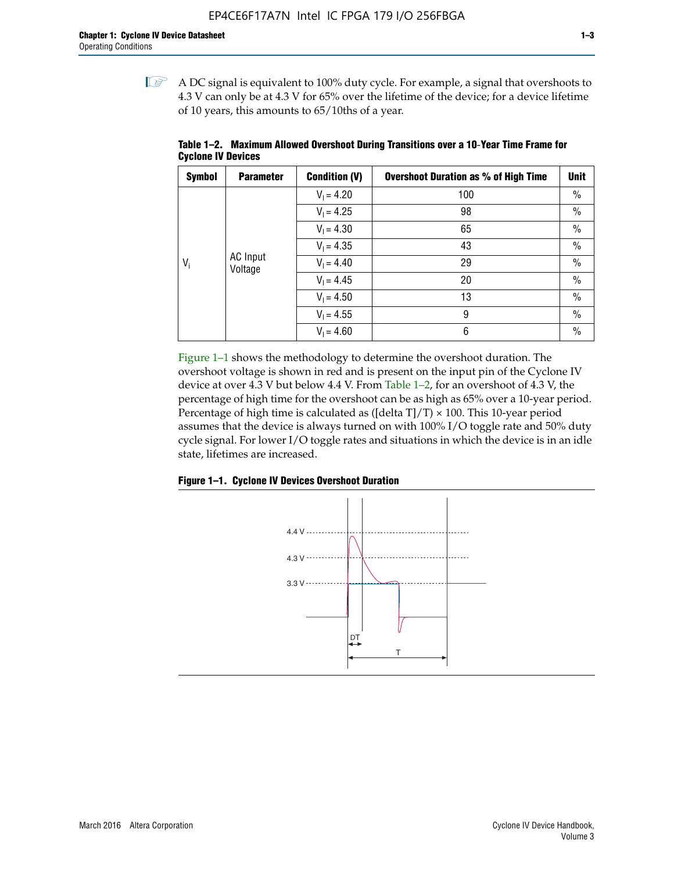$\mathbb{I}$  A DC signal is equivalent to 100% duty cycle. For example, a signal that overshoots to 4.3 V can only be at 4.3 V for 65% over the lifetime of the device; for a device lifetime of 10 years, this amounts to 65/10ths of a year.

| <b>Symbol</b> | <b>Parameter</b>           | <b>Condition (V)</b> | <b>Overshoot Duration as % of High Time</b> | <b>Unit</b>   |  |  |  |  |              |    |
|---------------|----------------------------|----------------------|---------------------------------------------|---------------|--|--|--|--|--------------|----|
|               |                            | $V_1 = 4.20$         | 100                                         | $\%$          |  |  |  |  |              |    |
|               |                            | $V_1 = 4.25$         | 98                                          | $\%$          |  |  |  |  |              |    |
|               | <b>AC</b> Input<br>Voltage | $V_1 = 4.30$         | 65                                          | $\%$          |  |  |  |  |              |    |
| $V_i$         |                            | $V_1 = 4.35$         | 43                                          | $\frac{0}{0}$ |  |  |  |  |              |    |
|               |                            |                      |                                             |               |  |  |  |  | $V_1 = 4.40$ | 29 |
|               |                            | $V_1 = 4.45$         | 20                                          | $\%$          |  |  |  |  |              |    |
|               |                            | $V_1 = 4.50$         | 13                                          | $\%$          |  |  |  |  |              |    |
|               |                            | $V_1 = 4.55$         | 9                                           | $\%$          |  |  |  |  |              |    |
|               |                            | $V_1 = 4.60$         | 6                                           | $\%$          |  |  |  |  |              |    |

**Table 1–2. Maximum Allowed Overshoot During Transitions over a 10**-**Year Time Frame for Cyclone IV Devices**

Figure 1–1 shows the methodology to determine the overshoot duration. The overshoot voltage is shown in red and is present on the input pin of the Cyclone IV device at over 4.3 V but below 4.4 V. From Table 1–2, for an overshoot of 4.3 V, the percentage of high time for the overshoot can be as high as 65% over a 10-year period. Percentage of high time is calculated as ([delta  $T$ ]/T)  $\times$  100. This 10-year period assumes that the device is always turned on with 100% I/O toggle rate and 50% duty cycle signal. For lower I/O toggle rates and situations in which the device is in an idle state, lifetimes are increased.



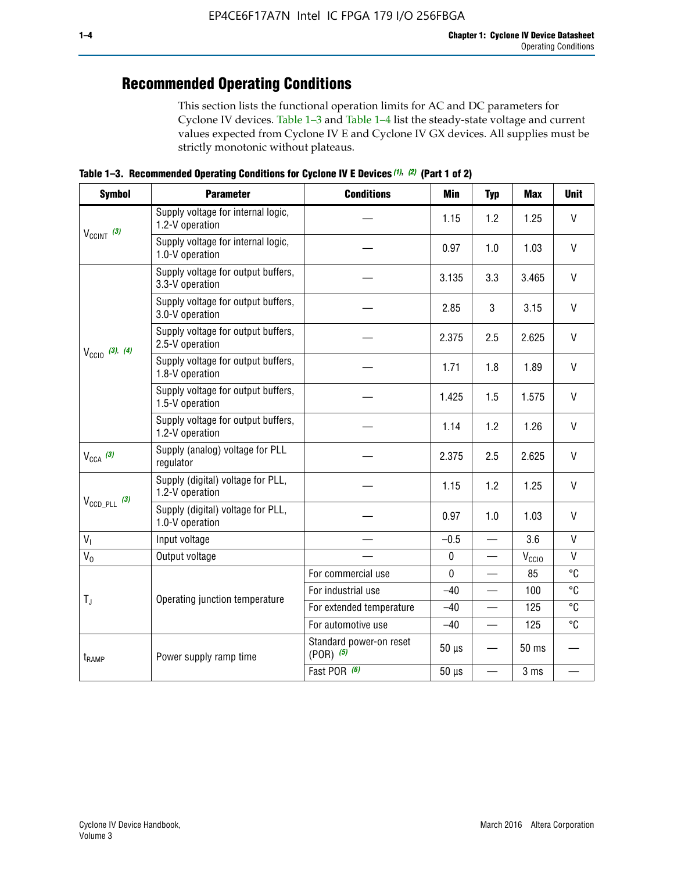## **Recommended Operating Conditions**

This section lists the functional operation limits for AC and DC parameters for Cyclone IV devices. Table 1–3 and Table 1–4 list the steady-state voltage and current values expected from Cyclone IV E and Cyclone IV GX devices. All supplies must be strictly monotonic without plateaus.

**Table 1–3. Recommended Operating Conditions for Cyclone IV E Devices** *(1)***,** *(2)* **(Part 1 of 2)**

| <b>Symbol</b>              | <b>Parameter</b>                                      | <b>Conditions</b>                        | <b>Min</b>  | <b>Typ</b>               | <b>Max</b>     | <b>Unit</b>  |
|----------------------------|-------------------------------------------------------|------------------------------------------|-------------|--------------------------|----------------|--------------|
|                            | Supply voltage for internal logic,<br>1.2-V operation |                                          | 1.15        | 1.2                      | 1.25           | $\mathsf{V}$ |
| $V_{CClNT}$ (3)            | Supply voltage for internal logic,<br>1.0-V operation |                                          | 0.97        | 1.0                      | 1.03           | $\mathsf{V}$ |
|                            | Supply voltage for output buffers,<br>3.3-V operation |                                          | 3.135       | 3.3                      | 3.465          | $\vee$       |
|                            | Supply voltage for output buffers,<br>3.0-V operation |                                          | 2.85        | 3                        | 3.15           | V            |
| $V_{\text{CC10}}$ (3), (4) | Supply voltage for output buffers,<br>2.5-V operation |                                          | 2.375       | 2.5                      | 2.625          | $\vee$       |
|                            | Supply voltage for output buffers,<br>1.8-V operation |                                          | 1.71        | 1.8                      | 1.89           | V            |
|                            | Supply voltage for output buffers,<br>1.5-V operation |                                          | 1.425       | 1.5                      | 1.575          | $\vee$       |
|                            | Supply voltage for output buffers,<br>1.2-V operation |                                          | 1.14        | 1.2                      | 1.26           | $\mathsf{V}$ |
| $V_{CCA}$ (3)              | Supply (analog) voltage for PLL<br>regulator          |                                          | 2.375       | 2.5                      | 2.625          | $\vee$       |
|                            | Supply (digital) voltage for PLL,<br>1.2-V operation  |                                          | 1.15        | 1.2                      | 1.25           | V            |
| $V_{\text{CCD\_PLL}}$ (3)  | Supply (digital) voltage for PLL,<br>1.0-V operation  |                                          | 0.97        | 1.0                      | 1.03           | $\vee$       |
| V <sub>1</sub>             | Input voltage                                         |                                          | $-0.5$      | $\overline{\phantom{0}}$ | 3.6            | $\mathsf{V}$ |
| $V_0$                      | Output voltage                                        |                                          | $\pmb{0}$   | —                        | $V_{\rm CClO}$ | $\mathsf{V}$ |
|                            |                                                       | For commercial use                       | $\mathbf 0$ |                          | 85             | °C           |
| $T_{\rm J}$                | Operating junction temperature                        | For industrial use                       | $-40$       |                          | 100            | °C           |
|                            |                                                       | For extended temperature                 | $-40$       |                          | 125            | °C           |
|                            |                                                       | For automotive use                       | $-40$       | $\qquad \qquad$          | 125            | °C           |
| $t_{\rm{RAMP}}$            | Power supply ramp time                                | Standard power-on reset<br>$(POR)$ $(5)$ | $50 \mu s$  |                          | 50 ms          |              |
|                            |                                                       | Fast POR (6)                             | $50 \mu s$  | $\overline{\phantom{0}}$ | 3 ms           |              |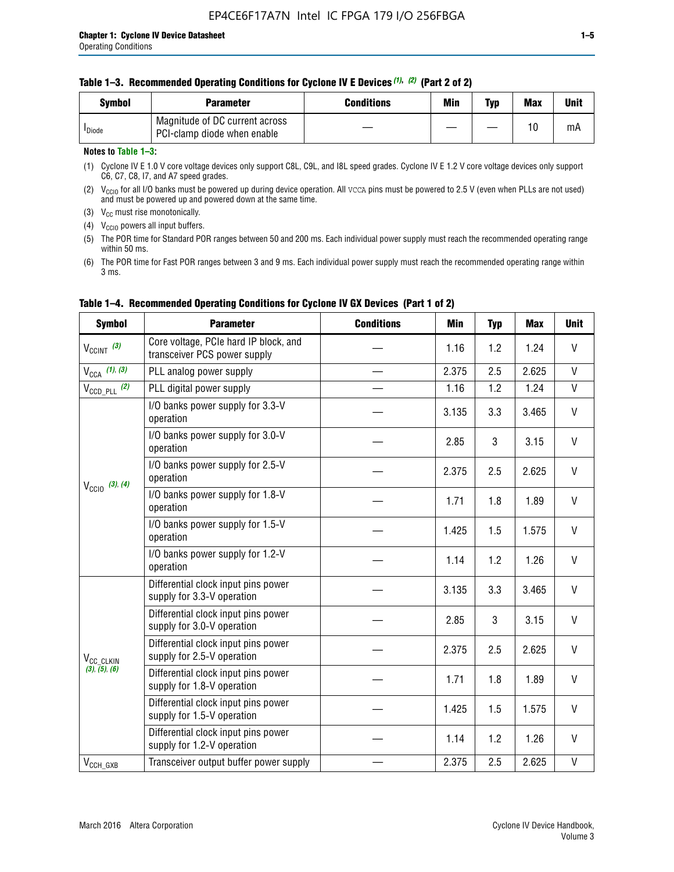| Svmbol             | <b>Parameter</b>                                              | <b>Conditions</b> | Min | Typ | <b>Max</b> | Unit |
|--------------------|---------------------------------------------------------------|-------------------|-----|-----|------------|------|
| <sup>I</sup> Diode | Magnitude of DC current across<br>PCI-clamp diode when enable |                   |     |     | 10         | mA   |

### **Notes to Table 1–3:**

(1) Cyclone IV E 1.0 V core voltage devices only support C8L, C9L, and I8L speed grades. Cyclone IV E 1.2 V core voltage devices only support C6, C7, C8, I7, and A7 speed grades.

(2)  $V_{CCIO}$  for all I/O banks must be powered up during device operation. All vcca pins must be powered to 2.5 V (even when PLLs are not used) and must be powered up and powered down at the same time.

(3)  $V_{CC}$  must rise monotonically.

(4)  $V_{\text{CCIO}}$  powers all input buffers.

(5) The POR time for Standard POR ranges between 50 and 200 ms. Each individual power supply must reach the recommended operating range within 50 ms.

(6) The POR time for Fast POR ranges between 3 and 9 ms. Each individual power supply must reach the recommended operating range within 3 ms.

| <b>Symbol</b>              | <b>Parameter</b>                                                      | <b>Conditions</b> | Min   | <b>Typ</b> | <b>Max</b> | <b>Unit</b>  |
|----------------------------|-----------------------------------------------------------------------|-------------------|-------|------------|------------|--------------|
| $V_{CClNT}$ (3)            | Core voltage, PCIe hard IP block, and<br>transceiver PCS power supply |                   | 1.16  | 1.2        | 1.24       | V            |
| $V_{CCA}$ (1), (3)         | PLL analog power supply                                               |                   | 2.375 | 2.5        | 2.625      | $\mathsf{V}$ |
| $V_{\text{CCD\_PLL}}$ (2)  | PLL digital power supply                                              |                   | 1.16  | 1.2        | 1.24       | $\mathsf{V}$ |
| $V_{\text{CC10}}$ (3), (4) | I/O banks power supply for 3.3-V<br>operation                         |                   | 3.135 | 3.3        | 3.465      | V            |
|                            | I/O banks power supply for 3.0-V<br>operation                         |                   | 2.85  | 3          | 3.15       | V            |
|                            | I/O banks power supply for 2.5-V<br>operation                         |                   | 2.375 | 2.5        | 2.625      | V            |
|                            | I/O banks power supply for 1.8-V<br>operation                         |                   | 1.71  | 1.8        | 1.89       | V            |
|                            | I/O banks power supply for 1.5-V<br>operation                         |                   | 1.425 | 1.5        | 1.575      | V            |
|                            | I/O banks power supply for 1.2-V<br>operation                         |                   | 1.14  | 1.2        | 1.26       | $\mathsf{V}$ |
|                            | Differential clock input pins power<br>supply for 3.3-V operation     |                   | 3.135 | 3.3        | 3.465      | V            |
|                            | Differential clock input pins power<br>supply for 3.0-V operation     |                   | 2.85  | 3          | 3.15       | V            |
| V <sub>CC_CLKIN</sub>      | Differential clock input pins power<br>supply for 2.5-V operation     |                   | 2.375 | 2.5        | 2.625      | V            |
| (3), (5), (6)              | Differential clock input pins power<br>supply for 1.8-V operation     |                   | 1.71  | 1.8        | 1.89       | $\vee$       |
|                            | Differential clock input pins power<br>supply for 1.5-V operation     |                   | 1.425 | 1.5        | 1.575      | V            |
|                            | Differential clock input pins power<br>supply for 1.2-V operation     |                   | 1.14  | 1.2        | 1.26       | V            |
| $V_{CCH_GXB}$              | Transceiver output buffer power supply                                |                   | 2.375 | 2.5        | 2.625      | $\mathsf{V}$ |

### **Table 1–4. Recommended Operating Conditions for Cyclone IV GX Devices (Part 1 of 2)**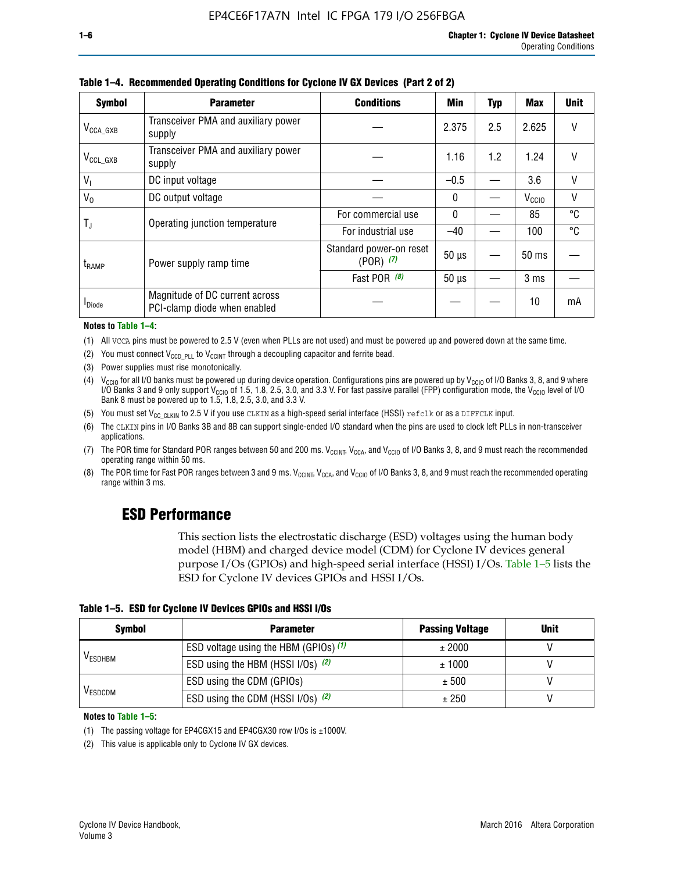| <b>Symbol</b>         | <b>Parameter</b>                                               | <b>Conditions</b>                        | <b>Min</b>   | <b>Typ</b> | Max               | <b>Unit</b> |
|-----------------------|----------------------------------------------------------------|------------------------------------------|--------------|------------|-------------------|-------------|
| $V_{\text{CCA\_GXB}}$ | Transceiver PMA and auxiliary power<br>supply                  |                                          | 2.375        | 2.5        | 2.625             | $\vee$      |
| $V_{\rm CCL\_GXB}$    | Transceiver PMA and auxiliary power<br>supply                  |                                          | 1.16         | 1.2        | 1.24              | V           |
| $V_{1}$               | DC input voltage                                               |                                          | $-0.5$       |            | 3.6               | V           |
| $V_0$                 | DC output voltage                                              |                                          | $\mathbf{0}$ |            | V <sub>CCIO</sub> | V           |
|                       | Operating junction temperature                                 | For commercial use                       | $\mathbf{0}$ |            | 85                | °C          |
| T,                    |                                                                | For industrial use                       | $-40$        |            | 100               | °C          |
| $t_{\rm{RAMP}}$       | Power supply ramp time                                         | Standard power-on reset<br>$(POR)$ $(7)$ | $50 \mu s$   |            | $50$ ms           |             |
|                       |                                                                | Fast POR $(8)$                           | $50 \mu s$   |            | 3 <sub>ms</sub>   |             |
| <b>I</b> Diode        | Magnitude of DC current across<br>PCI-clamp diode when enabled |                                          |              |            | 10                | mA          |

**Table 1–4. Recommended Operating Conditions for Cyclone IV GX Devices (Part 2 of 2)**

**Notes to Table 1–4:**

- (1) All VCCA pins must be powered to 2.5 V (even when PLLs are not used) and must be powered up and powered down at the same time.
- (2) You must connect  $V_{CCD-PLL}$  to  $V_{CCINT}$  through a decoupling capacitor and ferrite bead.
- (3) Power supplies must rise monotonically.
- (4)  $V_{\text{CCIO}}$  for all I/O banks must be powered up during device operation. Configurations pins are powered up by V<sub>CCIO</sub> of I/O Banks 3, 8, and 9 where I/O Banks 3 and 9 only support V<sub>CCIO</sub> of 1.5, 1.8, 2.5, 3.0, and 3.3 V. For fast passive parallel (FPP) configuration mode, the V<sub>CCIO</sub> level of I/O<br>Bank 8 must be powered up to 1.5, 1.8, 2.5, 3.0, and 3.3 V.
- (5) You must set  $V_{CC_CCLKIN}$  to 2.5 V if you use CLKIN as a high-speed serial interface (HSSI) refclk or as a DIFFCLK input.
- (6) The CLKIN pins in I/O Banks 3B and 8B can support single-ended I/O standard when the pins are used to clock left PLLs in non-transceiver applications.
- (7) The POR time for Standard POR ranges between 50 and 200 ms.  $V_{\text{CCIA}}$ ,  $V_{\text{CCIA}}$ , and  $V_{\text{CCIO}}$  of I/O Banks 3, 8, and 9 must reach the recommended operating range within 50 ms.
- (8) The POR time for Fast POR ranges between 3 and 9 ms.  $V_{\text{CCH},T}$ ,  $V_{\text{CCA}}$ , and  $V_{\text{CCI}}$  of I/O Banks 3, 8, and 9 must reach the recommended operating range within 3 ms.

### **ESD Performance**

This section lists the electrostatic discharge (ESD) voltages using the human body model (HBM) and charged device model (CDM) for Cyclone IV devices general purpose I/Os (GPIOs) and high-speed serial interface (HSSI) I/Os. Table 1–5 lists the ESD for Cyclone IV devices GPIOs and HSSI I/Os.

|  | Table 1–5. ESD for Cyclone IV Devices GPIOs and HSSI I/Os |  |
|--|-----------------------------------------------------------|--|
|--|-----------------------------------------------------------|--|

| <b>Symbol</b>  | <b>Parameter</b>                      | <b>Passing Voltage</b> | <b>Unit</b> |
|----------------|---------------------------------------|------------------------|-------------|
|                | ESD voltage using the HBM (GPIOs) (1) | ± 2000                 |             |
| <b>VESDHBM</b> | ESD using the HBM (HSSI I/Os) (2)     | ± 1000                 |             |
|                | ESD using the CDM (GPIOs)             | ± 500                  |             |
| <b>VESDCDM</b> | ESD using the CDM (HSSI I/Os) (2)     | ± 250                  |             |

#### **Notes to Table 1–5:**

(1) The passing voltage for EP4CGX15 and EP4CGX30 row I/Os is ±1000V.

(2) This value is applicable only to Cyclone IV GX devices.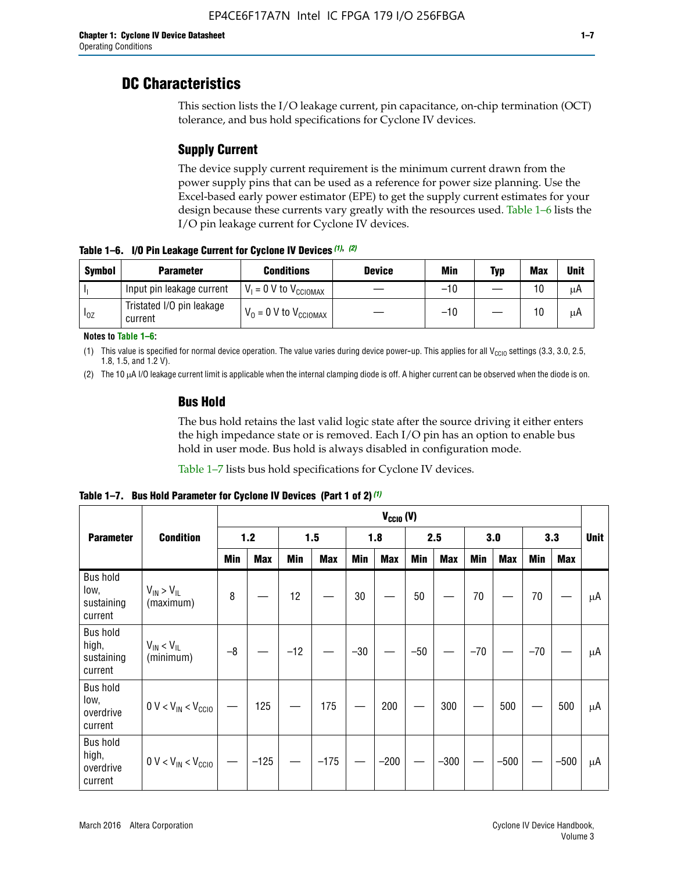### **DC Characteristics**

This section lists the I/O leakage current, pin capacitance, on-chip termination (OCT) tolerance, and bus hold specifications for Cyclone IV devices.

### **Supply Current**

The device supply current requirement is the minimum current drawn from the power supply pins that can be used as a reference for power size planning. Use the Excel-based early power estimator (EPE) to get the supply current estimates for your design because these currents vary greatly with the resources used. Table 1–6 lists the I/O pin leakage current for Cyclone IV devices.

**Table 1–6. I/O Pin Leakage Current for Cyclone IV Devices** *(1)***,** *(2)*

| <b>Symbol</b> | <b>Parameter</b>                     | <b>Conditions</b>            | <b>Device</b> | Min   | Typ | <b>Max</b> | <b>Unit</b> |
|---------------|--------------------------------------|------------------------------|---------------|-------|-----|------------|-------------|
|               | Input pin leakage current            | $V_1 = 0$ V to $V_{CGIOMAX}$ |               | $-10$ |     | 10         | μA          |
| $I_{0Z}$      | Tristated I/O pin leakage<br>current | $V_0 = 0 V to V_{CCIOMAX}$   |               | $-10$ |     | 10         | μA          |

**Notes to Table 1–6:**

(1) This value is specified for normal device operation. The value varies during device power-up. This applies for all V<sub>CCIO</sub> settings (3.3, 3.0, 2.5, 1.8, 1.5, and 1.2 V).

(2) The 10 µA I/O leakage current limit is applicable when the internal clamping diode is off. A higher current can be observed when the diode is on.

### **Bus Hold**

The bus hold retains the last valid logic state after the source driving it either enters the high impedance state or is removed. Each I/O pin has an option to enable bus hold in user mode. Bus hold is always disabled in configuration mode.

Table 1–7 lists bus hold specifications for Cyclone IV devices.

|                                                   |                                  | $V_{CCIO} (V)$ |            |       |            |            |            |            |            |       |            |       |            |             |
|---------------------------------------------------|----------------------------------|----------------|------------|-------|------------|------------|------------|------------|------------|-------|------------|-------|------------|-------------|
| <b>Parameter</b>                                  | <b>Condition</b>                 |                | 1.2        |       | 1.5        |            | 1.8        |            | 2.5        |       | 3.0        |       | 3.3        | <b>Unit</b> |
|                                                   |                                  | <b>Min</b>     | <b>Max</b> | Min   | <b>Max</b> | <b>Min</b> | <b>Max</b> | <b>Min</b> | <b>Max</b> | Min   | <b>Max</b> | Min   | <b>Max</b> |             |
| <b>Bus hold</b><br>low,<br>sustaining<br>current  | $V_{IN}$ > $V_{IL}$<br>(maximum) | 8              |            | 12    |            | 30         |            | 50         |            | 70    |            | 70    |            | μA          |
| <b>Bus hold</b><br>high,<br>sustaining<br>current | $V_{IN}$ < $V_{IL}$<br>(minimum) | $-8$           |            | $-12$ |            | $-30$      |            | $-50$      |            | $-70$ |            | $-70$ |            | μA          |
| <b>Bus hold</b><br>low,<br>overdrive<br>current   | $0 V < V_{IN} < V_{CG10}$        |                | 125        |       | 175        |            | 200        |            | 300        |       | 500        |       | 500        | μA          |
| <b>Bus hold</b><br>high,<br>overdrive<br>current  | $0 V < V_{IN} < V_{CG10}$        |                | $-125$     |       | $-175$     |            | $-200$     |            | $-300$     |       | $-500$     |       | $-500$     | μA          |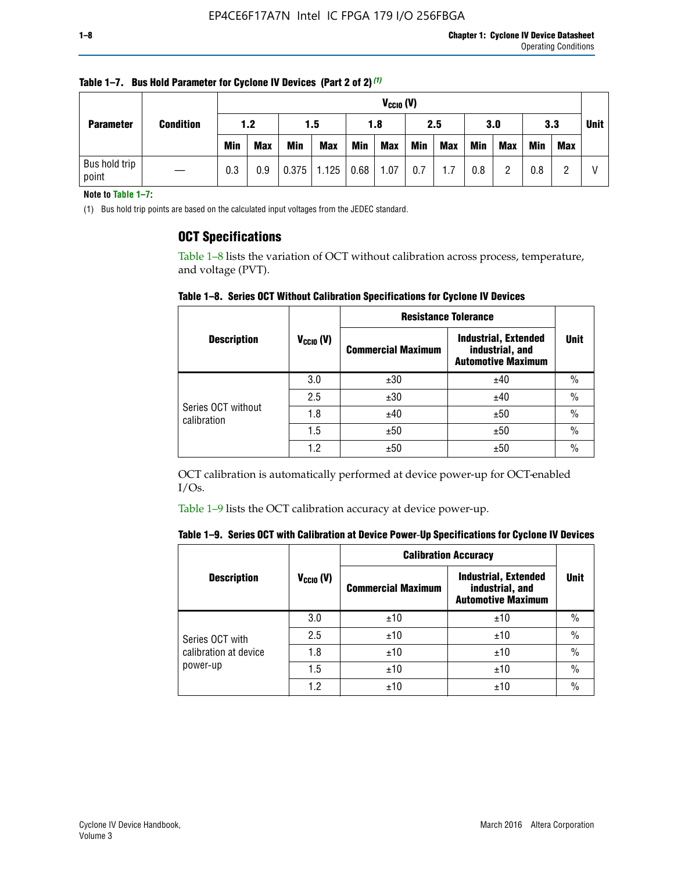| <b>Parameter</b>       |                  |            | $V_{CGI0} (V)$ |            |            |      |            |     |            |            |            |            |     |  |             |
|------------------------|------------------|------------|----------------|------------|------------|------|------------|-----|------------|------------|------------|------------|-----|--|-------------|
|                        | <b>Condition</b> |            |                | 1.2        |            | 1.5  |            | 1.8 |            | 2.5        |            | 3.0        | 3.3 |  | <b>Unit</b> |
|                        |                  | <b>Min</b> | <b>Max</b>     | <b>Min</b> | <b>Max</b> | Min  | <b>Max</b> | Min | <b>Max</b> | <b>Min</b> | <b>Max</b> | <b>Min</b> | Max |  |             |
| Bus hold trip<br>point |                  | 0.3        | 0.9            | 0.375      | 1.125      | 0.68 | 1.07       | 0.7 | 1.7        | 0.8        |            | 0.8        |     |  |             |

**Table 1–7. Bus Hold Parameter for Cyclone IV Devices (Part 2 of 2)** *(1)*

**Note to Table 1–7:**

(1) Bus hold trip points are based on the calculated input voltages from the JEDEC standard.

### **OCT Specifications**

Table 1–8 lists the variation of OCT without calibration across process, temperature, and voltage (PVT).

**Table 1–8. Series OCT Without Calibration Specifications for Cyclone IV Devices**

|                                   |                       | <b>Resistance Tolerance</b> |                                                                             |               |
|-----------------------------------|-----------------------|-----------------------------|-----------------------------------------------------------------------------|---------------|
| <b>Description</b>                | $V_{\text{CCIO}}$ (V) | <b>Commercial Maximum</b>   | <b>Industrial, Extended</b><br>industrial, and<br><b>Automotive Maximum</b> | <b>Unit</b>   |
|                                   | 3.0                   | ±30                         | ±40                                                                         | $\frac{0}{0}$ |
|                                   | 2.5                   | ±30                         | ±40                                                                         | $\frac{0}{0}$ |
| Series OCT without<br>calibration | 1.8                   | ±40                         | ±50                                                                         | $\frac{0}{0}$ |
|                                   | 1.5                   | ±50                         | ±50                                                                         | $\frac{0}{0}$ |
|                                   | 1.2                   | ±50                         | ±50                                                                         | $\frac{0}{0}$ |

OCT calibration is automatically performed at device power-up for OCT-enabled I/Os.

Table 1–9 lists the OCT calibration accuracy at device power-up.

|  | Table 1–9.  Series OCT with Calibration at Device Power-Up Specifications for Cyclone IV Devices |  |  |  |
|--|--------------------------------------------------------------------------------------------------|--|--|--|
|--|--------------------------------------------------------------------------------------------------|--|--|--|

|                                   |                | <b>Calibration Accuracy</b> |                                                                             |               |
|-----------------------------------|----------------|-----------------------------|-----------------------------------------------------------------------------|---------------|
| <b>Description</b>                | $V_{CGI0} (V)$ | <b>Commercial Maximum</b>   | <b>Industrial, Extended</b><br>industrial, and<br><b>Automotive Maximum</b> | Unit          |
|                                   | 3.0            | ±10                         | ±10                                                                         | $\%$          |
| Series OCT with                   | 2.5            | ±10                         | ±10                                                                         | $\%$          |
| calibration at device<br>power-up | 1.8            | ±10                         | ±10                                                                         | $\frac{0}{0}$ |
|                                   | 1.5            | ±10                         | ±10                                                                         | $\frac{0}{0}$ |
|                                   | 1.2            | ±10                         | ±10                                                                         | $\frac{0}{0}$ |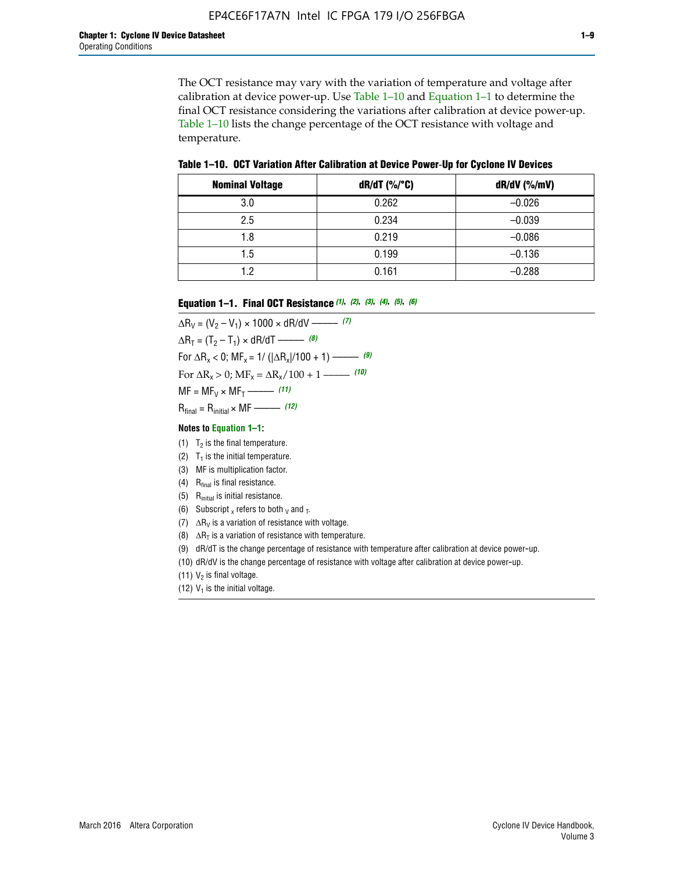The OCT resistance may vary with the variation of temperature and voltage after calibration at device power-up. Use Table 1–10 and Equation 1–1 to determine the final OCT resistance considering the variations after calibration at device power-up. Table 1–10 lists the change percentage of the OCT resistance with voltage and temperature.

**Table 1–10. OCT Variation After Calibration at Device Power**-**Up for Cyclone IV Devices**

| <b>Nominal Voltage</b> | dR/dT (%/°C) | $dR/dV$ (%/mV) |
|------------------------|--------------|----------------|
| 3.0                    | 0.262        | $-0.026$       |
| 2.5                    | 0.234        | $-0.039$       |
| 1.8                    | 0.219        | $-0.086$       |
| 1.5                    | 0.199        | $-0.136$       |
| 1.2                    | 0.161        | $-0.288$       |

#### **Equation 1–1. Final OCT Resistance** *(1)***,** *(2)***,** *(3)***,** *(4)***,** *(5)***,** *(6)*

 $\Delta R_V = (V_2 - V_1) \times 1000 \times dR/dV$  ––––––––––––(7)  $\Delta R_T = (T_2 - T_1) \times dR/dT$  ––––––– (8) For  $\Delta R_x < 0$ ; MF<sub>x</sub> = 1/ ( $|\Delta R_x|/100 + 1$ ) –––––– (9) For  $\Delta R_x > 0$ ;  $\text{MF}_x = \Delta R_x / 100 + 1$  ——– (10)  $MF = MF_V \times MF_T$  –––––––––––(11) Rfinal = Rinitial × MF ––––– *(12)*

#### **Notes to Equation 1–1:**

- (1)  $T_2$  is the final temperature.
- (2)  $T_1$  is the initial temperature.
- (3) MF is multiplication factor.
- (4)  $R<sub>final</sub>$  is final resistance.
- (5) Rinitial is initial resistance.
- (6) Subscript x refers to both  $\sqrt{v}$  and  $\sqrt{v}$ .
- (7)  $\Delta R_V$  is a variation of resistance with voltage.
- (8)  $\Delta R_T$  is a variation of resistance with temperature.
- (9) dR/dT is the change percentage of resistance with temperature after calibration at device power-up.
- (10) dR/dV is the change percentage of resistance with voltage after calibration at device power-up.
- (11)  $V_2$  is final voltage.
- (12)  $V_1$  is the initial voltage.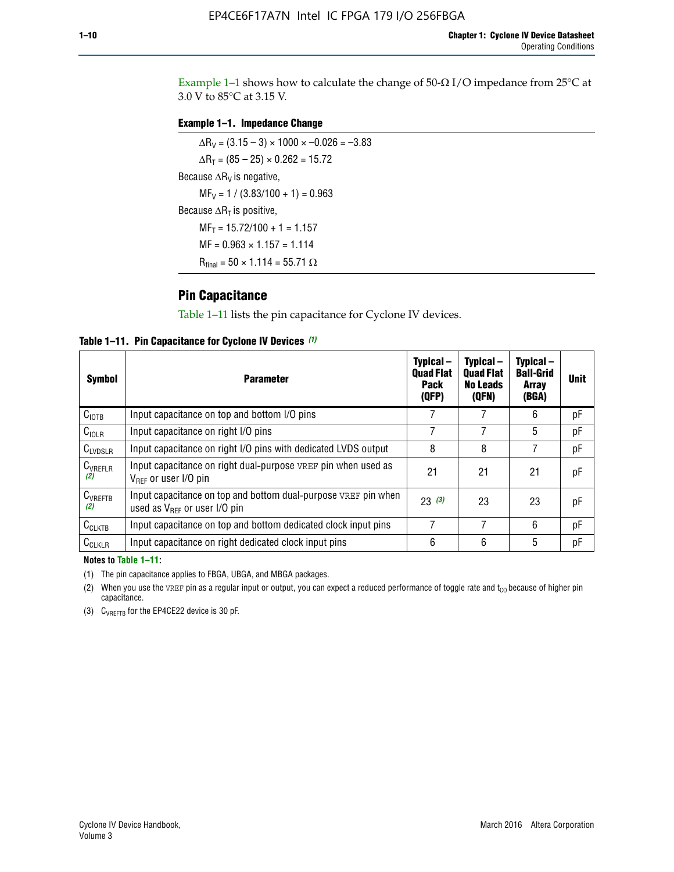Example 1-1 shows how to calculate the change of  $50$ - $\Omega$  I/O impedance from 25°C at 3.0 V to 85°C at 3.15 V.

### **Example 1–1. Impedance Change**

 $\Delta R_V = (3.15 - 3) \times 1000 \times -0.026 = -3.83$  $\Delta R_T = (85 - 25) \times 0.262 = 15.72$ Because  $\Delta R_V$  is negative,  $MF_V = 1 / (3.83/100 + 1) = 0.963$ Because  $\Delta R_T$  is positive,  $MF_T = 15.72/100 + 1 = 1.157$  $MF = 0.963 \times 1.157 = 1.114$  $R_{final} = 50 \times 1.114 = 55.71 \Omega$ 

### **Pin Capacitance**

Table 1–11 lists the pin capacitance for Cyclone IV devices.

**Table 1–11. Pin Capacitance for Cyclone IV Devices** *(1)*

| <b>Symbol</b>       | <b>Parameter</b>                                                                                           | Typical-<br><b>Quad Flat</b><br>Pack<br>(QFP) | Typical-<br><b>Quad Flat</b><br><b>No Leads</b><br>(QFN) | Typical-<br><b>Ball-Grid</b><br>Array<br>(BGA) | <b>Unit</b> |
|---------------------|------------------------------------------------------------------------------------------------------------|-----------------------------------------------|----------------------------------------------------------|------------------------------------------------|-------------|
| C <sub>IOTB</sub>   | Input capacitance on top and bottom I/O pins                                                               |                                               |                                                          | 6                                              | рF          |
| $C_{IOLR}$          | Input capacitance on right I/O pins                                                                        |                                               |                                                          | 5                                              | pF          |
| $C_{LVDSLR}$        | Input capacitance on right I/O pins with dedicated LVDS output                                             | 8                                             | 8                                                        | 7                                              | рF          |
| $C_{VREFLR}$<br>(2) | Input capacitance on right dual-purpose VREF pin when used as<br>$V_{BFF}$ or user I/O pin                 | 21                                            | 21                                                       | 21                                             | рF          |
| $C_{VREFTB}$<br>(2) | Input capacitance on top and bottom dual-purpose VREF pin when<br>used as $V_{\text{RFF}}$ or user I/O pin | 23(3)                                         | 23                                                       | 23                                             | рF          |
| $C_{CLKTB}$         | Input capacitance on top and bottom dedicated clock input pins                                             | 7                                             | 7                                                        | 6                                              | pF          |
| $C_{CLKLR}$         | Input capacitance on right dedicated clock input pins                                                      | 6                                             | 6                                                        | 5                                              | рF          |

#### **Notes to Table 1–11:**

(1) The pin capacitance applies to FBGA, UBGA, and MBGA packages.

(2) When you use the VREF pin as a regular input or output, you can expect a reduced performance of toggle rate and  $t_{\rm CO}$  because of higher pin capacitance.

(3) CVREFTB for the EP4CE22 device is 30 pF.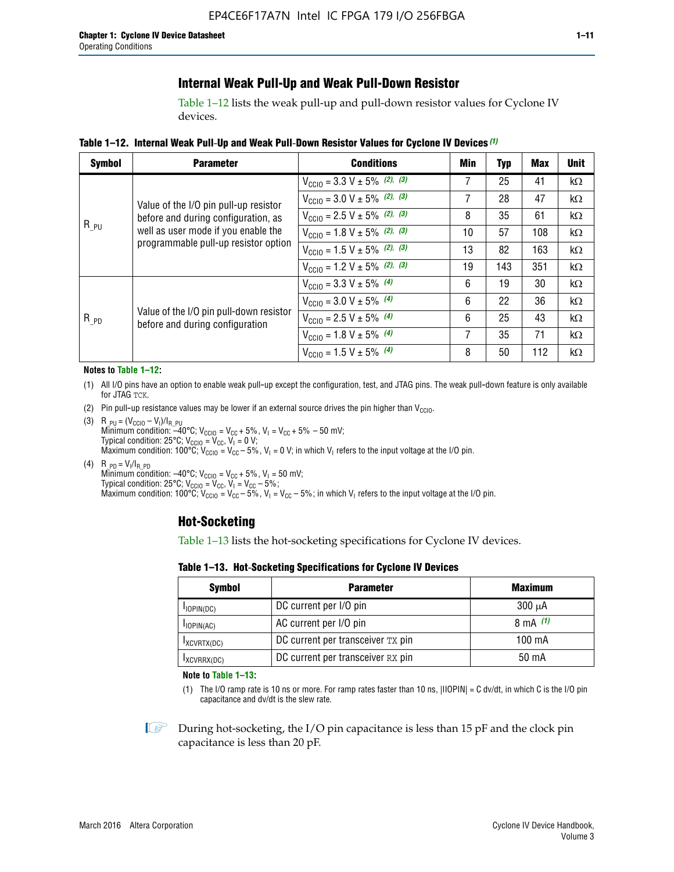### **Internal Weak Pull-Up and Weak Pull-Down Resistor**

Table 1–12 lists the weak pull-up and pull-down resistor values for Cyclone IV devices.

**Table 1–12. Internal Weak Pull**-**Up and Weak Pull**-**Down Resistor Values for Cyclone IV Devices** *(1)*

| <b>Symbol</b> | <b>Parameter</b>                                                            | <b>Conditions</b>                                  | Min | <b>Typ</b> | <b>Max</b> | <b>Unit</b> |
|---------------|-----------------------------------------------------------------------------|----------------------------------------------------|-----|------------|------------|-------------|
|               |                                                                             | $V_{\text{CC10}} = 3.3 \text{ V} \pm 5\%$ (2), (3) | 7   | 25         | 41         | $k\Omega$   |
|               | Value of the I/O pin pull-up resistor                                       | $V_{\text{CC10}} = 3.0 \text{ V} \pm 5\%$ (2), (3) | 7   | 28         | 47         | $k\Omega$   |
|               | before and during configuration, as                                         | $V_{\text{CC10}} = 2.5 V \pm 5\%$ (2), (3)         | 8   | 35         | 61         | $k\Omega$   |
| $R_{PU}$      | well as user mode if you enable the<br>programmable pull-up resistor option | $V_{\text{CC10}} = 1.8 V \pm 5\%$ (2), (3)         | 10  | 57         | 108        | $k\Omega$   |
|               |                                                                             | $V_{\text{CC10}} = 1.5 V \pm 5\%$ (2), (3)         | 13  | 82         | 163        | $k\Omega$   |
|               |                                                                             | $V_{\text{CC10}} = 1.2 V \pm 5\%$ (2), (3)         | 19  | 143        | 351        | kΩ          |
|               |                                                                             | $V_{\text{CC10}} = 3.3 V \pm 5\%$ (4)              | 6   | 19         | 30         | $k\Omega$   |
|               |                                                                             | $V_{\text{CC10}} = 3.0 V \pm 5\%$ (4)              | 6   | 22         | 36         | $k\Omega$   |
| $R_{PD}$      | Value of the I/O pin pull-down resistor<br>before and during configuration  | $V_{\text{CC10}} = 2.5 V \pm 5\%$ (4)              | 6   | 25         | 43         | $k\Omega$   |
|               |                                                                             | $V_{\text{CC10}} = 1.8 V \pm 5\%$ (4)              | 7   | 35         | 71         | $k\Omega$   |
|               |                                                                             | $V_{\text{CC10}} = 1.5 V \pm 5\%$ (4)              | 8   | 50         | 112        | kΩ          |

#### **Notes to Table 1–12:**

- (1) All I/O pins have an option to enable weak pull-up except the configuration, test, and JTAG pins. The weak pull-down feature is only available for JTAG TCK.
- (2) Pin pull-up resistance values may be lower if an external source drives the pin higher than  $V_{\text{CCIO}}$ .
- (3)  $R_{PU} = (V_{CC10} V_1)/I_{R_PU}$ Minimum condition: –40°C; V<sub>CCIO</sub> = V<sub>CC</sub> + 5%, V<sub>I</sub> = V<sub>CC</sub> + 5% – 50 mV; Typical condition: 25°C; V<sub>CCIO</sub> = V<sub>CC</sub>, V<sub>I</sub> = 0 V; Maximum condition: 100°C;  $V_{\text{CCIO}} = V_{\text{CC}} - 5\%$ ,  $V_1 = 0$  V; in which V<sub>I</sub> refers to the input voltage at the I/O pin.
- (4)  $R_{PD} = V_I/I_{R_PD}$ Minimum condition:  $-40^{\circ}$ C; V<sub>CCIO</sub> = V<sub>CC</sub> + 5%, V<sub>I</sub> = 50 mV; Typical condition: 25°C;  $V_{\text{CCIO}} = V_{\text{CC}}$ ,  $V_{\text{I}} = V_{\text{CC}} - 5\%$ ; Maximum condition: 100°C; V<sub>CClO</sub> = V<sub>CC</sub> – 5%, V<sub>I</sub> = V<sub>CC</sub> – 5%; in which V<sub>I</sub> refers to the input voltage at the I/O pin.

### **Hot-Socketing**

Table 1–13 lists the hot-socketing specifications for Cyclone IV devices.

**Table 1–13. Hot**-**Socketing Specifications for Cyclone IV Devices**

| <b>Symbol</b> | <b>Maximum</b>                    |             |
|---------------|-----------------------------------|-------------|
| $I$ IOPIN(DC) | DC current per I/O pin            | $300 \mu A$ |
| $I$ IOPIN(AC) | AC current per I/O pin            | 8 mA $(1)$  |
| IXCVRTX(DC)   | DC current per transceiver TX pin | 100 mA      |
| IXCVRRX(DC)   | DC current per transceiver RX pin | 50 mA       |

**Note to Table 1–13:**

(1) The I/O ramp rate is 10 ns or more. For ramp rates faster than 10 ns, |IIOPIN| = C dv/dt, in which C is the I/O pin capacitance and dv/dt is the slew rate.

 $\mathbb{I} \rightarrow \mathbb{I}$  During hot-socketing, the I/O pin capacitance is less than 15 pF and the clock pin capacitance is less than 20 pF.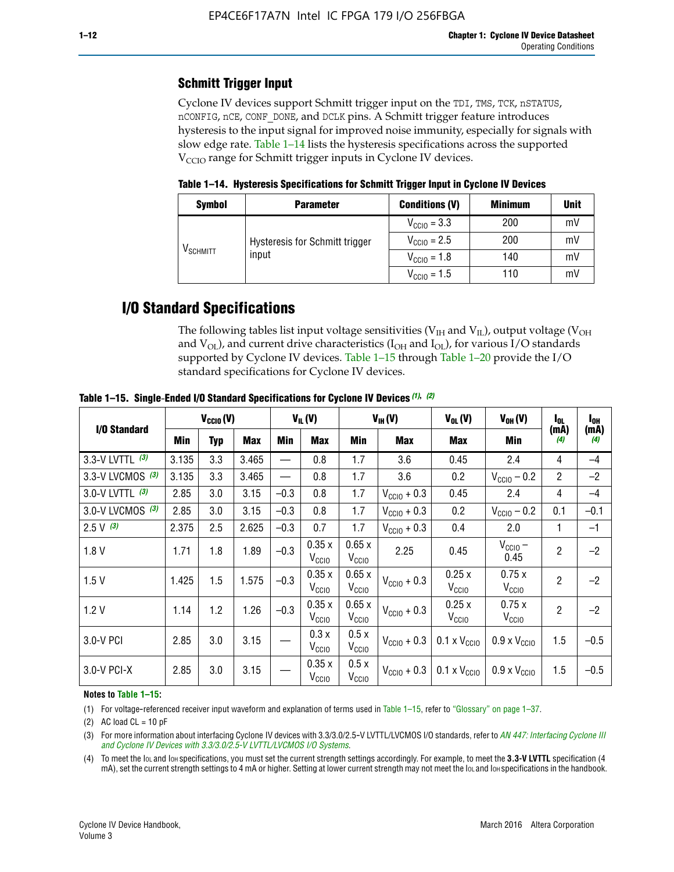### **Schmitt Trigger Input**

Cyclone IV devices support Schmitt trigger input on the TDI, TMS, TCK, nSTATUS, nCONFIG, nCE, CONF\_DONE, and DCLK pins. A Schmitt trigger feature introduces hysteresis to the input signal for improved noise immunity, especially for signals with slow edge rate. Table 1–14 lists the hysteresis specifications across the supported  $V<sub>CCIO</sub>$  range for Schmitt trigger inputs in Cyclone IV devices.

**Table 1–14. Hysteresis Specifications for Schmitt Trigger Input in Cyclone IV Devices**

| <b>Symbol</b>                  | <b>Parameter</b>               | <b>Conditions (V)</b>   | <b>Minimum</b> | <b>Unit</b> |
|--------------------------------|--------------------------------|-------------------------|----------------|-------------|
| $\mathsf{V}_{\mathsf{SCHMIT}}$ |                                | $V_{\text{CGI0}} = 3.3$ | 200            | mV          |
|                                | Hysteresis for Schmitt trigger | $V_{\text{CGI0}} = 2.5$ | 200            | mV          |
|                                | input                          | $V_{\text{CCIO}} = 1.8$ | 140            | mV          |
|                                |                                | $V_{\text{CC10}} = 1.5$ | 110            | mV          |

### **I/O Standard Specifications**

The following tables list input voltage sensitivities ( $V<sub>IH</sub>$  and  $V<sub>II</sub>$ ), output voltage ( $V<sub>OH</sub>$ and  $V_{OL}$ ), and current drive characteristics ( $I_{OH}$  and  $I_{OL}$ ), for various I/O standards supported by Cyclone IV devices. Table 1–15 through Table 1–20 provide the I/O standard specifications for Cyclone IV devices.

|                    | $V_{CCl0}(V)$ |     | $V_{IL}(V)$ |        |                            | $V_{IH} (V)$               | $V_{OL}(V)$             | $V_{OH} (V)$                 | l <sub>OL</sub>              | $I_{0H}$       |             |
|--------------------|---------------|-----|-------------|--------|----------------------------|----------------------------|-------------------------|------------------------------|------------------------------|----------------|-------------|
| I/O Standard       | Min           | Typ | <b>Max</b>  | Min    | <b>Max</b>                 | <b>Min</b>                 | Max                     | Max                          | Min                          | (mA)<br>(4)    | (mA)<br>(4) |
| 3.3-V LVTTL (3)    | 3.135         | 3.3 | 3.465       |        | 0.8                        | 1.7                        | 3.6                     | 0.45                         | 2.4                          | 4              | $-4$        |
| 3.3-V LVCMOS $(3)$ | 3.135         | 3.3 | 3.465       |        | 0.8                        | 1.7                        | 3.6                     | 0.2                          | $V_{\text{CCIO}}$ – 0.2      | $\overline{2}$ | $-2$        |
| 3.0-V LVTTL $(3)$  | 2.85          | 3.0 | 3.15        | $-0.3$ | 0.8                        | 1.7                        | $V_{\text{CC10}} + 0.3$ | 0.45                         | 2.4                          | 4              | $-4$        |
| 3.0-V LVCMOS (3)   | 2.85          | 3.0 | 3.15        | $-0.3$ | 0.8                        | 1.7                        | $V_{\text{CCIO}} + 0.3$ | 0.2                          | $V_{\text{CC10}} - 0.2$      | 0.1            | $-0.1$      |
| $2.5 V$ (3)        | 2.375         | 2.5 | 2.625       | $-0.3$ | 0.7                        | 1.7                        | $V_{\text{CCI0}} + 0.3$ | 0.4                          | 2.0                          | $\mathbf{1}$   | $-1$        |
| 1.8V               | 1.71          | 1.8 | 1.89        | $-0.3$ | 0.35x<br>V <sub>CCIO</sub> | 0.65x<br>V <sub>CCIO</sub> | 2.25                    | 0.45                         | $V_{CGIO}$ –<br>0.45         | $\overline{2}$ | $-2$        |
| 1.5V               | 1.425         | 1.5 | 1.575       | $-0.3$ | 0.35x<br>V <sub>CCIO</sub> | 0.65x<br>V <sub>CCIO</sub> | $V_{\text{CC10}} + 0.3$ | 0.25x<br>V <sub>CCIO</sub>   | 0.75x<br>V <sub>CCIO</sub>   | $\overline{2}$ | $-2$        |
| 1.2V               | 1.14          | 1.2 | 1.26        | $-0.3$ | 0.35x<br>V <sub>CCIO</sub> | 0.65x<br>V <sub>CCIO</sub> | $V_{\text{CC10}} + 0.3$ | 0.25x<br>V <sub>CCIO</sub>   | 0.75x<br>V <sub>CCIO</sub>   | $\overline{2}$ | $-2$        |
| 3.0-V PCI          | 2.85          | 3.0 | 3.15        |        | 0.3x<br>V <sub>CCIO</sub>  | 0.5x<br>V <sub>CCIO</sub>  | $V_{\text{CCI0}} + 0.3$ | $0.1 \times V_{\text{CCIO}}$ | $0.9 \times V_{\text{CC10}}$ | 1.5            | $-0.5$      |
| $3.0-V$ PCI-X      | 2.85          | 3.0 | 3.15        |        | 0.35x<br>V <sub>CCIO</sub> | 0.5x<br>V <sub>CCIO</sub>  | $V_{\text{CGI0}} + 0.3$ | $0.1 \times V_{\text{CCIO}}$ | $0.9 \times V_{\text{CC10}}$ | 1.5            | $-0.5$      |

**Table 1–15. Single**-**Ended I/O Standard Specifications for Cyclone IV Devices** *(1)***,** *(2)*

#### **Notes to Table 1–15:**

(1) For voltage-referenced receiver input waveform and explanation of terms used in Table 1–15, refer to "Glossary" on page 1–37.

(2) AC load  $CL = 10$  pF

(3) For more information about interfacing Cyclone IV devices with 3.3/3.0/2.5-V LVTTL/LVCMOS I/O standards, refer to *[AN 447: Interfacing Cyclone III](http://www.altera.com/literature/an/an447.pdf)  [and Cyclone IV Devices with 3.3/3.0/2.5-V LVTTL/LVCMOS I/O Systems](http://www.altera.com/literature/an/an447.pdf)*.

(4) To meet the IOL and IOH specifications, you must set the current strength settings accordingly. For example, to meet the **3.3-V LVTTL** specification (4 mA), set the current strength settings to 4 mA or higher. Setting at lower current strength may not meet the lou and lon specifications in the handbook.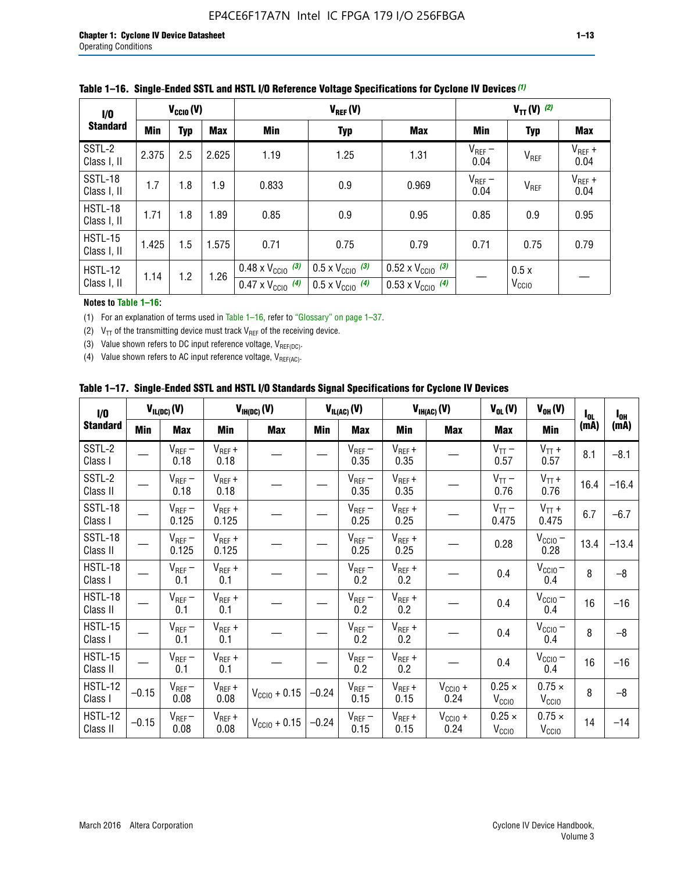| 1/0                           | $V_{CGI0}(V)$ |            |            |                                                                        | $V_{REF}(V)$                                                         |                                                                        |                     |                           | $V_{TT} (V)$ (2)    |  |  |  |
|-------------------------------|---------------|------------|------------|------------------------------------------------------------------------|----------------------------------------------------------------------|------------------------------------------------------------------------|---------------------|---------------------------|---------------------|--|--|--|
| <b>Standard</b>               | <b>Min</b>    | <b>Typ</b> | <b>Max</b> | Min                                                                    | <b>Typ</b>                                                           | <b>Max</b>                                                             | Min                 | <b>Typ</b>                | Max                 |  |  |  |
| SSTL-2<br>Class I, II         | 2.375         | 2.5        | 2.625      | 1.19                                                                   | 1.25                                                                 | 1.31                                                                   | $V_{REF}$ –<br>0.04 | V <sub>REF</sub>          | $V_{REF}$ +<br>0.04 |  |  |  |
| SSTL-18<br>Class I, II        | 1.7           | 1.8        | 1.9        | 0.833                                                                  | 0.9                                                                  | 0.969                                                                  | $V_{REF}$ –<br>0.04 | V <sub>REF</sub>          | $V_{REF}$ +<br>0.04 |  |  |  |
| HSTL-18<br>Class I, II        | 1.71          | 1.8        | .89        | 0.85                                                                   | 0.9                                                                  | 0.95                                                                   | 0.85                | 0.9                       | 0.95                |  |  |  |
| <b>HSTL-15</b><br>Class I, II | 1.425         | 1.5        | 1.575      | 0.71                                                                   | 0.75                                                                 | 0.79                                                                   | 0.71                | 0.75                      | 0.79                |  |  |  |
| HSTL-12<br>Class I, II        | 1.14          | 1.2        | 1.26       | $0.48 \times V_{\text{CC10}}$ (3)<br>$0.47 \times V_{\text{CC10}}$ (4) | $0.5 \times V_{\text{CC10}}$ (3)<br>$0.5 \times V_{\text{CC10}}$ (4) | $0.52 \times V_{\text{CC10}}$ (3)<br>$0.53 \times V_{\text{CC10}}$ (4) |                     | 0.5x<br>V <sub>CCIO</sub> |                     |  |  |  |

|  |  |  |  | Table 1–16. Single-Ended SSTL and HSTL I/O Reference Voltage Specifications for Cyclone IV Devices (1) |
|--|--|--|--|--------------------------------------------------------------------------------------------------------|
|--|--|--|--|--------------------------------------------------------------------------------------------------------|

### **Notes to Table 1–16:**

(1) For an explanation of terms used in Table 1–16, refer to "Glossary" on page 1–37.

(2)  $V_{TT}$  of the transmitting device must track  $V_{REF}$  of the receiving device.

(3) Value shown refers to DC input reference voltage,  $V_{REF(DC)}$ .

(4) Value shown refers to AC input reference voltage,  $V_{REF(AC)}$ .

|  | Table 1–17.  Single-Ended SSTL and HSTL I/O Standards Signal Specifications for Cyclone IV Devices |  |  |  |  |  |
|--|----------------------------------------------------------------------------------------------------|--|--|--|--|--|
|--|----------------------------------------------------------------------------------------------------|--|--|--|--|--|

| I/O                        |         | $V_{IL(DC)}(V)$        |                                      | $V_{IH(DC)}(V)$       |         | $V_{IL(AC)}(V)$     |                     | $V_{IH(AC)}(V)$      | $V_{OL}(V)$                        | $V_{OH} (V)$                       | l <sub>ol</sub> | $I_{0H}$ |
|----------------------------|---------|------------------------|--------------------------------------|-----------------------|---------|---------------------|---------------------|----------------------|------------------------------------|------------------------------------|-----------------|----------|
| <b>Standard</b>            | Min     | <b>Max</b>             | Min                                  | <b>Max</b>            | Min     | <b>Max</b>          | Min                 | <b>Max</b>           | <b>Max</b>                         | Min                                | (mA)            | (mA)     |
| SSTL-2<br>Class I          |         | $\rm V_{REF}-$<br>0.18 | $V_{REF} +$<br>0.18                  |                       |         | $V_{REF}$ –<br>0.35 | $V_{REF} +$<br>0.35 |                      | $V_{TT}$ –<br>0.57                 | $V_{TT}$ +<br>0.57                 | 8.1             | $-8.1$   |
| SSTL-2<br>Class II         |         | $V_{REF}$ –<br>0.18    | $V_{REF} +$<br>0.18                  |                       |         | $V_{REF}$ –<br>0.35 | $V_{REF} +$<br>0.35 |                      | $V_{TT}$ –<br>0.76                 | $V_{TT}$ +<br>0.76                 | 16.4            | $-16.4$  |
| <b>SSTL-18</b><br>Class I  |         | $V_{REF}$ –<br>0.125   | $V_{REF}$ +<br>0.125                 |                       |         | $V_{REF}$ –<br>0.25 | $V_{REF}$ +<br>0.25 |                      | $V_{TT}$ –<br>0.475                | $V_{TT}$ +<br>0.475                | 6.7             | $-6.7$   |
| <b>SSTL-18</b><br>Class II |         | $V_{REF}$ –<br>0.125   | $V_{REF}$ +<br>0.125                 |                       |         | $V_{REF}$ –<br>0.25 | $V_{REF}$ +<br>0.25 |                      | 0.28                               | $V_{CC10}$ –<br>0.28               | 13.4            | $-13.4$  |
| HSTL-18<br>Class I         |         | $V_{REF}$ –<br>0.1     | $V_{REF} +$<br>0.1                   |                       |         | $V_{REF}$ –<br>0.2  | $V_{REF}$ +<br>0.2  |                      | 0.4                                | $V_{CCIO}$ –<br>0.4                | 8               | $-8$     |
| HSTL-18<br>Class II        |         | $V_{REF}$ –<br>0.1     | $V_{REF} +$<br>0.1                   |                       |         | $V_{REF}$ –<br>0.2  | $V_{REF} +$<br>0.2  |                      | 0.4                                | $V_{CC10}$ –<br>0.4                | 16              | $-16$    |
| HSTL-15<br>Class I         |         | $V_{REF}$ –<br>0.1     | $V_{REF} +$<br>0.1                   |                       |         | $V_{REF}$ –<br>0.2  | $V_{REF}$ +<br>0.2  |                      | 0.4                                | $V_{\text{CC1O}} -$<br>0.4         | 8               | $-8$     |
| HSTL-15<br>Class II        |         | $V_{REF}$ –<br>0.1     | $\mathsf{V}_{\mathsf{REF}}$ +<br>0.1 |                       |         | $V_{REF}$ –<br>0.2  | $V_{REF}$ +<br>0.2  |                      | 0.4                                | $V_{CC10}$ –<br>0.4                | 16              | $-16$    |
| <b>HSTL-12</b><br>Class I  | $-0.15$ | $V_{REF}-$<br>0.08     | $V_{REF} +$<br>0.08                  | $V_{CGI0} + 0.15$     | $-0.24$ | $V_{REF}$ –<br>0.15 | $V_{REF} +$<br>0.15 | $V_{CCIO} +$<br>0.24 | $0.25 \times$<br>V <sub>CCIO</sub> | $0.75 \times$<br>V <sub>CCIO</sub> | 8               | $-8$     |
| HSTL-12<br>Class II        | $-0.15$ | $V_{REF}-$<br>0.08     | $V_{REF} +$<br>0.08                  | $V_{\rm CClO} + 0.15$ | $-0.24$ | $V_{REF}$ –<br>0.15 | $V_{REF} +$<br>0.15 | $V_{CC10}$ +<br>0.24 | $0.25 \times$<br>V <sub>CCIO</sub> | $0.75 \times$<br>V <sub>CCIO</sub> | 14              | $-14$    |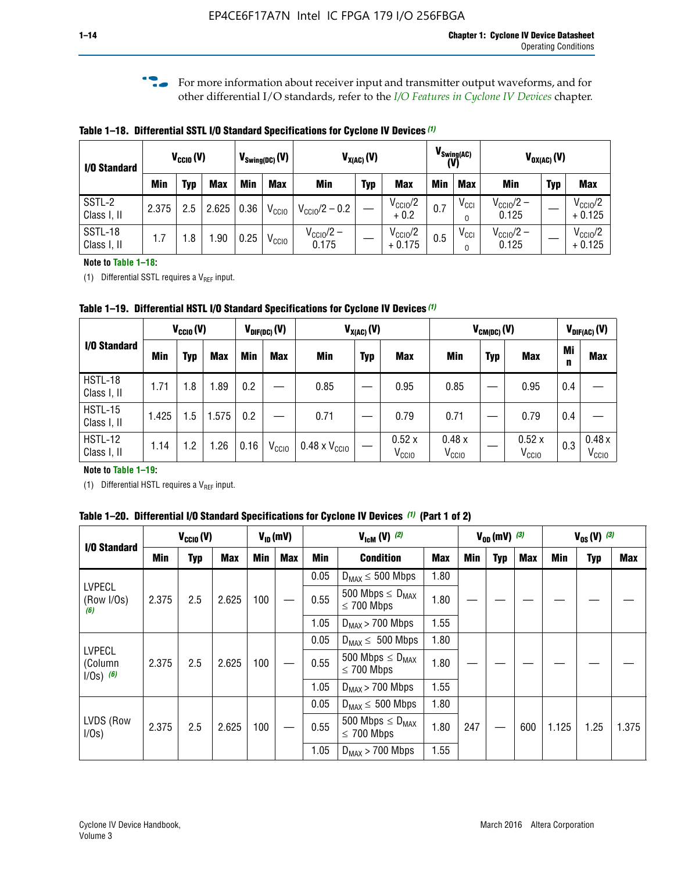**f For more information about receiver input and transmitter output waveforms, and for** other differential I/O standards, refer to the *[I/O Features in Cyclone IV Devices](http://www.altera.com/literature/hb/cyclone-iv/cyiv-51006.pdf)* chapter*.*

**Table 1–18. Differential SSTL I/O Standard Specifications for Cyclone IV Devices** *(1)*

| I/O Standard           |       | $V_{CCl0}(V)$ |            |      | $V_{\text{Swing(DC)}}(V)$ |                                | $V_{X(AC)}(V)$ |                                 |            | $V_{\text{Swing(AC)}}$<br>(V) |                                | $V_{OX(AC)}(V)$ |                                 |
|------------------------|-------|---------------|------------|------|---------------------------|--------------------------------|----------------|---------------------------------|------------|-------------------------------|--------------------------------|-----------------|---------------------------------|
|                        | Min   | Typ           | <b>Max</b> | Min  | <b>Max</b>                | <b>Min</b>                     | <b>Typ</b>     | <b>Max</b>                      | <b>Min</b> | <b>Max</b>                    | Min                            | <b>Typ</b>      | <b>Max</b>                      |
| SSTL-2<br>Class I, II  | 2.375 | 2.5           | 2.625      | 0.36 | V <sub>CCIO</sub>         | $V_{\text{CC10}}/2 - 0.2$      |                | $V_{\text{CC1O}}/2$<br>$+0.2$   | 0.7        | $V_{\rm CCI}$                 | $V_{\text{CC10}}/2 -$<br>0.125 |                 | $V_{\text{CC10}}/2$<br>$+0.125$ |
| SSTL-18<br>Class I, II | 1.7   | .8            | .90        | 0.25 | V <sub>CCIO</sub>         | $V_{\text{CC10}}/2 -$<br>0.175 |                | $V_{\text{CC10}}/2$<br>$+0.175$ | 0.5        | $V_{\rm CCI}$                 | $V_{\text{CC10}}/2 -$<br>0.125 |                 | $V_{\text{CC10}}/2$<br>$+0.125$ |

#### **Note to Table 1–18:**

(1) Differential SSTL requires a  $V_{REF}$  input.

**Table 1–19. Differential HSTL I/O Standard Specifications for Cyclone IV Devices** *(1)*

|                               | $V_{CClO}(V)$ |     |            |         | $V_{\text{DIF(DC)}}(V)$ |                               | $V_{X(AC)}(V)$ |                            |                            | $V_{CM(DC)}(V)$ |                            |         | $V_{\text{DIF(AC)}}(V)$    |
|-------------------------------|---------------|-----|------------|---------|-------------------------|-------------------------------|----------------|----------------------------|----------------------------|-----------------|----------------------------|---------|----------------------------|
| I/O Standard                  | Min           | Typ | <b>Max</b> | Min     | <b>Max</b>              | Min                           | <b>Typ</b>     | <b>Max</b>                 | Min                        | <b>Typ</b>      | <b>Max</b>                 | Mi<br>n | <b>Max</b>                 |
| HSTL-18<br>Class I, II        | 1.71          | 1.8 | .89        | 0.2     |                         | 0.85                          |                | 0.95                       | 0.85                       |                 | 0.95                       | 0.4     |                            |
| <b>HSTL-15</b><br>Class I, II | 1.425         | 1.5 | .575       | $0.2\,$ |                         | 0.71                          |                | 0.79                       | 0.71                       |                 | 0.79                       | 0.4     |                            |
| <b>HSTL-12</b><br>Class I, II | 1.14          | 1.2 | 1.26       | 0.16    | V <sub>CCIO</sub>       | $0.48 \times V_{\text{CC10}}$ |                | 0.52x<br>V <sub>CCIO</sub> | 0.48x<br>V <sub>CCIO</sub> |                 | 0.52x<br>V <sub>CCIO</sub> | 0.3     | 0.48x<br>V <sub>CCIO</sub> |

### **Note to Table 1–19:**

(1) Differential HSTL requires a  $V_{REF}$  input.

**Table 1–20. Differential I/O Standard Specifications for Cyclone IV Devices** *(1)* **(Part 1 of 2)**

| I/O Standard                       |       | $V_{CCl0} (V)$ |            |            | $V_{ID}$ (mV) |      | $V_{\text{lcm}}(V)^{(2)}$                  |            |     | $V_{0D}$ (mV) $(3)$ |     |       | $V_{0S} (V)^{(3)}$ |       |
|------------------------------------|-------|----------------|------------|------------|---------------|------|--------------------------------------------|------------|-----|---------------------|-----|-------|--------------------|-------|
|                                    | Min   | Typ            | <b>Max</b> | <b>Min</b> | Max           | Min  | <b>Condition</b>                           | <b>Max</b> | Min | Typ                 | Max | Min   | <b>Typ</b>         | Max   |
|                                    |       |                |            |            |               | 0.05 | $D_{MAX} \leq 500$ Mbps                    | 1.80       |     |                     |     |       |                    |       |
| <b>LVPECL</b><br>(Row I/Os)<br>(6) | 2.375 | 2.5            | 2.625      | 100        |               | 0.55 | 500 Mbps $\leq D_{MAX}$<br>$\leq$ 700 Mbps | 1.80       |     |                     |     |       |                    |       |
|                                    |       |                |            |            |               | 1.05 | $D_{MAX}$ > 700 Mbps                       | 1.55       |     |                     |     |       |                    |       |
| <b>LVPECL</b>                      |       |                |            |            |               | 0.05 | $D_{MAX} \leq 500$ Mbps                    | 1.80       |     |                     |     |       |                    |       |
| (Column<br>$1/Os)$ (6)             | 2.375 | 2.5            | 2.625      | 100        |               | 0.55 | 500 Mbps $\leq D_{MAX}$<br>$\leq$ 700 Mbps | 1.80       |     |                     |     |       |                    |       |
|                                    |       |                |            |            |               | 1.05 | $D_{MAX}$ > 700 Mbps                       | 1.55       |     |                     |     |       |                    |       |
|                                    |       |                |            |            |               | 0.05 | $D_{MAX} \leq 500$ Mbps                    | 1.80       |     |                     |     |       |                    |       |
| LVDS (Row<br>I/Os)                 | 2.375 | 2.5            | 2.625      | 100        |               | 0.55 | 500 Mbps $\leq D_{MAX}$<br>$\leq 700$ Mbps | 1.80       | 247 |                     | 600 | 1.125 | 1.25               | 1.375 |
|                                    |       |                |            |            |               | 1.05 | $D_{MAX}$ > 700 Mbps                       | 1.55       |     |                     |     |       |                    |       |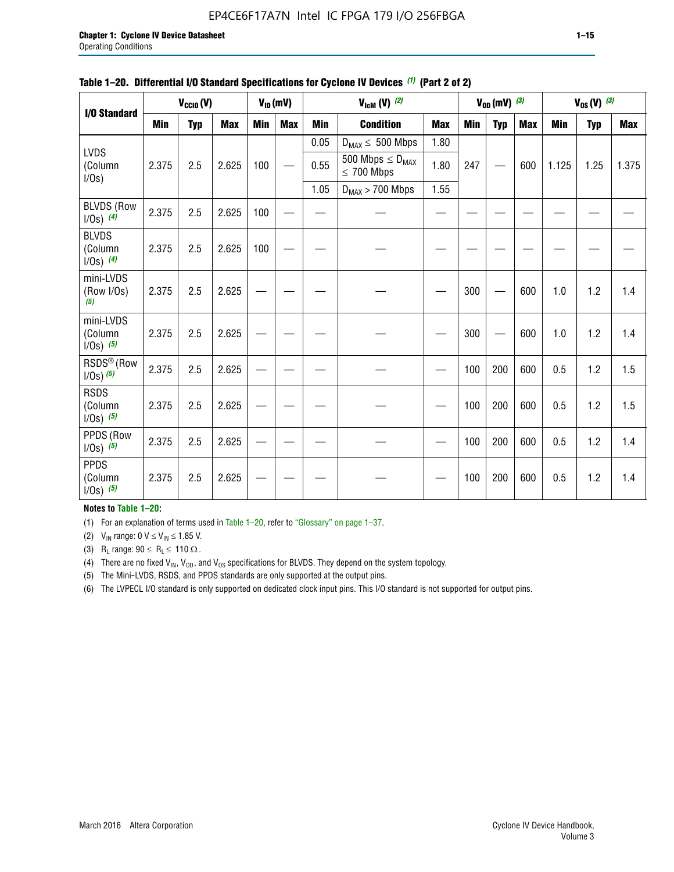### EP4CE6F17A7N Intel IC FPGA 179 I/O 256FBGA

|                                          |       | $V_{CClO}(V)$ |            |     | $V_{ID}(mV)$ |            | $V_{\text{lcm}}(V)$ (2)                    |            |     | $V_{OD}$ (mV) $(3)$ |            |            | $V_{0S} (V)$ (3) |       |
|------------------------------------------|-------|---------------|------------|-----|--------------|------------|--------------------------------------------|------------|-----|---------------------|------------|------------|------------------|-------|
| I/O Standard                             |       |               |            |     |              |            |                                            |            |     |                     |            |            |                  |       |
|                                          | Min   | <b>Typ</b>    | <b>Max</b> | Min | <b>Max</b>   | <b>Min</b> | <b>Condition</b>                           | <b>Max</b> | Min | <b>Typ</b>          | <b>Max</b> | <b>Min</b> | <b>Typ</b>       | Max   |
|                                          |       |               |            |     |              | 0.05       | $D_{MAX} \leq 500$ Mbps                    | 1.80       |     |                     |            |            |                  |       |
| <b>LVDS</b><br>(Column<br>$I/Os$ )       | 2.375 | 2.5           | 2.625      | 100 |              | 0.55       | 500 Mbps $\leq D_{MAX}$<br>$\leq 700$ Mbps | 1.80       | 247 |                     | 600        | 1.125      | 1.25             | 1.375 |
|                                          |       |               |            |     |              | 1.05       | $D_{MAX}$ > 700 Mbps                       | 1.55       |     |                     |            |            |                  |       |
| <b>BLVDS (Row</b><br>$1/0s)$ (4)         | 2.375 | 2.5           | 2.625      | 100 |              |            |                                            |            |     |                     |            |            |                  |       |
| <b>BLVDS</b><br>(Column<br>$1/0s)$ (4)   | 2.375 | 2.5           | 2.625      | 100 |              |            |                                            |            |     |                     |            |            |                  |       |
| mini-LVDS<br>(Row I/Os)<br>(5)           | 2.375 | 2.5           | 2.625      |     |              |            |                                            |            | 300 |                     | 600        | 1.0        | 1.2              | 1.4   |
| mini-LVDS<br>(Column<br>$1/0s)$ (5)      | 2.375 | 2.5           | 2.625      |     |              |            |                                            |            | 300 |                     | 600        | 1.0        | 1.2              | 1.4   |
| RSDS <sup>®</sup> (Row<br>$1/0s$ ) $(5)$ | 2.375 | 2.5           | 2.625      |     |              |            |                                            |            | 100 | 200                 | 600        | 0.5        | 1.2              | 1.5   |
| <b>RSDS</b><br>(Column<br>$1/0s)$ (5)    | 2.375 | 2.5           | 2.625      |     |              |            |                                            |            | 100 | 200                 | 600        | 0.5        | 1.2              | 1.5   |
| PPDS (Row<br>$1/Os)$ (5)                 | 2.375 | 2.5           | 2.625      |     |              |            |                                            |            | 100 | 200                 | 600        | 0.5        | 1.2              | 1.4   |
| <b>PPDS</b><br>(Column<br>$1/Os)$ (5)    | 2.375 | 2.5           | 2.625      |     |              |            |                                            |            | 100 | 200                 | 600        | 0.5        | 1.2              | 1.4   |

### **Table 1–20. Differential I/O Standard Specifications for Cyclone IV Devices** *(1)* **(Part 2 of 2)**

### **Notes to Table 1–20:**

(1) For an explanation of terms used in Table 1–20, refer to "Glossary" on page 1–37.

(2)  $V_{IN}$  range: 0  $V \le V_{IN} \le 1.85$  V.

(3) R<sub>L</sub> range:  $90 \le R_L \le 110 \Omega$ .

(4) There are no fixed  $V_{IN}$ ,  $V_{OD}$ , and  $V_{OS}$  specifications for BLVDS. They depend on the system topology.

(5) The Mini-LVDS, RSDS, and PPDS standards are only supported at the output pins.

(6) The LVPECL I/O standard is only supported on dedicated clock input pins. This I/O standard is not supported for output pins.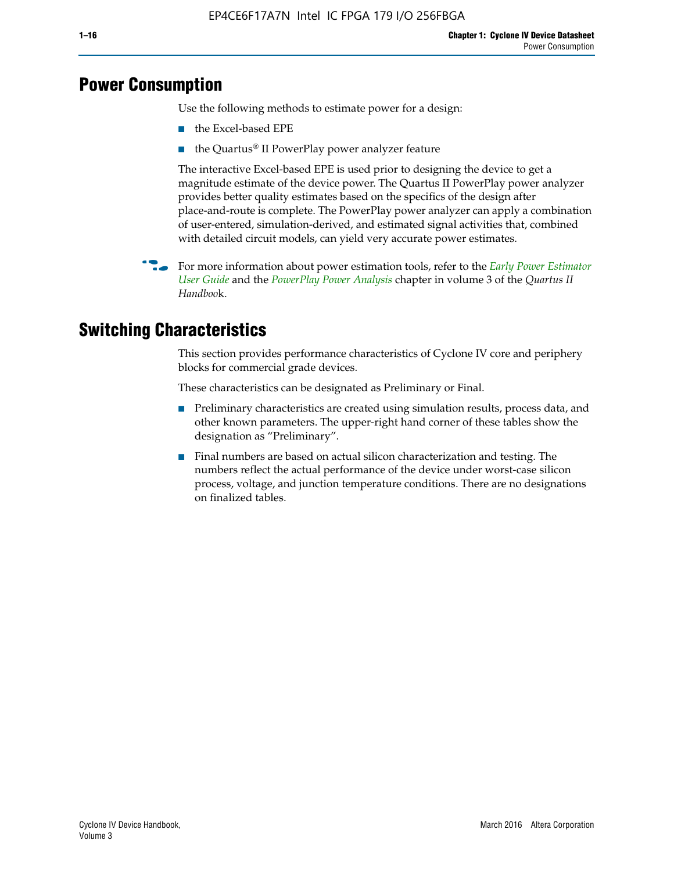## **Power Consumption**

Use the following methods to estimate power for a design:

- the Excel-based EPE
- the Quartus® II PowerPlay power analyzer feature

The interactive Excel-based EPE is used prior to designing the device to get a magnitude estimate of the device power. The Quartus II PowerPlay power analyzer provides better quality estimates based on the specifics of the design after place-and-route is complete. The PowerPlay power analyzer can apply a combination of user-entered, simulation-derived, and estimated signal activities that, combined with detailed circuit models, can yield very accurate power estimates.

f For more information about power estimation tools, refer to the *[Early Power Estimator](http://www.altera.com/literature/ug/ug_epe.pdf
)  [User Guide](http://www.altera.com/literature/ug/ug_epe.pdf
)* and the *[PowerPlay Power Analysis](http://www.altera.com/literature/hb/qts/qts_qii53013.pdf)* chapter in volume 3 of the *Quartus II Handboo*k.

## **Switching Characteristics**

This section provides performance characteristics of Cyclone IV core and periphery blocks for commercial grade devices.

These characteristics can be designated as Preliminary or Final.

- Preliminary characteristics are created using simulation results, process data, and other known parameters. The upper-right hand corner of these tables show the designation as "Preliminary".
- Final numbers are based on actual silicon characterization and testing. The numbers reflect the actual performance of the device under worst-case silicon process, voltage, and junction temperature conditions. There are no designations on finalized tables.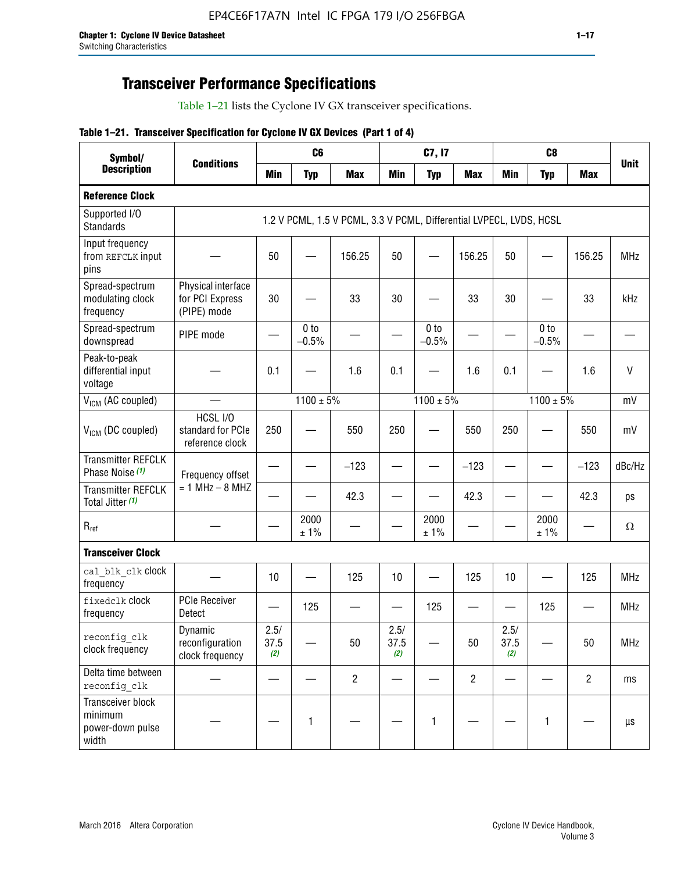## **Transceiver Performance Specifications**

Table 1–21 lists the Cyclone IV GX transceiver specifications.

### **Table 1–21. Transceiver Specification for Cyclone IV GX Devices (Part 1 of 4)**

| Symbol/                                                   |                                                      |                          | C <sub>6</sub>             |                                                                     |                               | C7, I7                     |                               |                     | C <sub>8</sub>             |                |             |
|-----------------------------------------------------------|------------------------------------------------------|--------------------------|----------------------------|---------------------------------------------------------------------|-------------------------------|----------------------------|-------------------------------|---------------------|----------------------------|----------------|-------------|
| <b>Description</b>                                        | <b>Conditions</b>                                    | <b>Min</b>               | <b>Typ</b>                 | <b>Max</b>                                                          | <b>Min</b>                    | <b>Typ</b>                 | <b>Max</b>                    | <b>Min</b>          | <b>Typ</b>                 | <b>Max</b>     | <b>Unit</b> |
| <b>Reference Clock</b>                                    |                                                      |                          |                            |                                                                     |                               |                            |                               |                     |                            |                |             |
| Supported I/O<br><b>Standards</b>                         |                                                      |                          |                            | 1.2 V PCML, 1.5 V PCML, 3.3 V PCML, Differential LVPECL, LVDS, HCSL |                               |                            |                               |                     |                            |                |             |
| Input frequency<br>from REFCLK input<br>pins              |                                                      | 50                       |                            | 156.25                                                              | 50                            |                            | 156.25                        | 50                  |                            | 156.25         | <b>MHz</b>  |
| Spread-spectrum<br>modulating clock<br>frequency          | Physical interface<br>for PCI Express<br>(PIPE) mode | 30                       |                            | 33                                                                  | 30                            |                            | 33                            | 30                  |                            | 33             | kHz         |
| Spread-spectrum<br>downspread                             | PIPE mode                                            |                          | 0 <sub>to</sub><br>$-0.5%$ |                                                                     |                               | 0 <sub>to</sub><br>$-0.5%$ |                               |                     | 0 <sub>to</sub><br>$-0.5%$ |                |             |
| Peak-to-peak<br>differential input<br>voltage             |                                                      | 0.1                      |                            | 1.6                                                                 | 0.1                           |                            | 1.6                           | 0.1                 |                            | 1.6            | V           |
| V <sub>ICM</sub> (AC coupled)                             |                                                      |                          | $1100 \pm 5\%$             |                                                                     |                               | $1100 \pm 5\%$             |                               |                     | $1100 \pm 5\%$             |                | mV          |
| V <sub>ICM</sub> (DC coupled)                             | HCSL I/O<br>standard for PCIe<br>reference clock     | 250                      |                            | 550                                                                 | 250                           |                            | 550                           | 250                 |                            | 550            | mV          |
| <b>Transmitter REFCLK</b><br>Phase Noise (1)              | Frequency offset                                     |                          |                            | $-123$                                                              | $\overline{\phantom{0}}$      |                            | $-123$                        | —                   |                            | $-123$         | dBc/Hz      |
| <b>Transmitter REFCLK</b><br>Total Jitter (1)             | $= 1$ MHz $- 8$ MHZ                                  |                          |                            | 42.3                                                                |                               |                            | 42.3                          |                     |                            | 42.3           | ps          |
| $R_{ref}$                                                 |                                                      |                          | 2000<br>±1%                |                                                                     |                               | 2000<br>± 1%               |                               |                     | 2000<br>± 1%               |                | $\Omega$    |
| <b>Transceiver Clock</b>                                  |                                                      |                          |                            |                                                                     |                               |                            |                               |                     |                            |                |             |
| cal blk clk clock<br>frequency                            |                                                      | 10                       |                            | 125                                                                 | 10                            |                            | 125                           | 10                  | $\overline{\phantom{0}}$   | 125            | MHz         |
| fixedclk Clock<br>frequency                               | <b>PCIe Receiver</b><br>Detect                       | $\overline{\phantom{0}}$ | 125                        |                                                                     | $\overbrace{\phantom{aaaaa}}$ | 125                        | $\overbrace{\phantom{aaaaa}}$ | —                   | 125                        |                | <b>MHz</b>  |
| reconfig_clk<br>clock frequency                           | Dynamic<br>reconfiguration<br>clock frequency        | 2.5/<br>37.5<br>(2)      |                            | 50                                                                  | 2.5/<br>37.5<br>(2)           |                            | 50                            | 2.5/<br>37.5<br>(2) |                            | 50             | <b>MHz</b>  |
| Delta time between<br>reconfig clk                        |                                                      |                          |                            | $\overline{2}$                                                      |                               |                            | $\overline{c}$                |                     |                            | $\overline{2}$ | ms          |
| Transceiver block<br>minimum<br>power-down pulse<br>width |                                                      |                          | 1                          |                                                                     |                               | 1                          |                               |                     | $\mathbf{1}$               |                | μs          |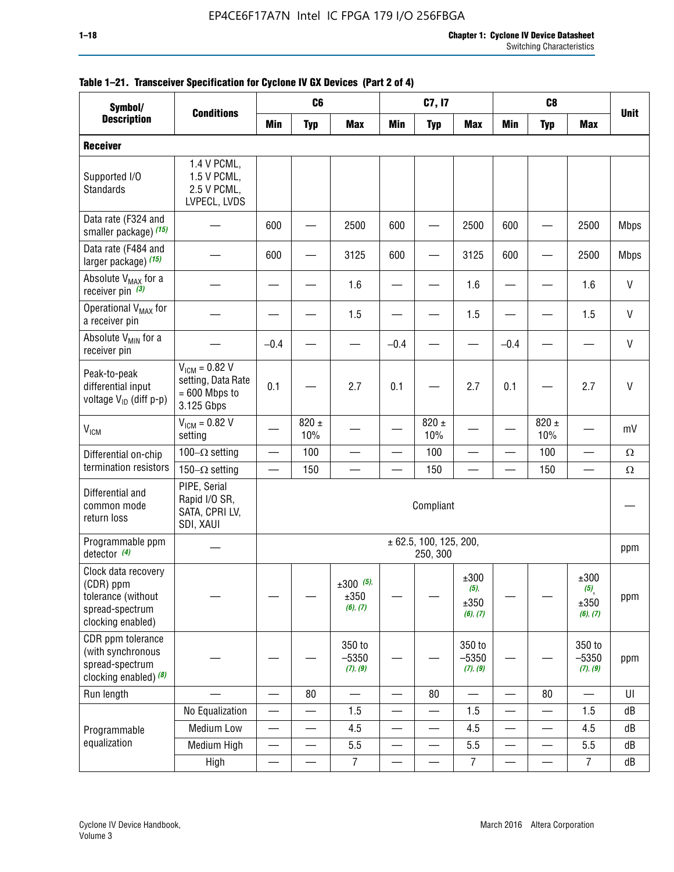| Table 1–21. Transceiver Specification for Cyclone IV GX Devices (Part 2 of 4)<br>Symbol/                                    |                                                                           |                          | C <sub>6</sub>   |                                 |            | C7, I7                             |                                     |            | C <sub>8</sub>   |                                  |              |
|-----------------------------------------------------------------------------------------------------------------------------|---------------------------------------------------------------------------|--------------------------|------------------|---------------------------------|------------|------------------------------------|-------------------------------------|------------|------------------|----------------------------------|--------------|
| <b>Description</b>                                                                                                          | <b>Conditions</b>                                                         | <b>Min</b>               | <b>Typ</b>       | <b>Max</b>                      | <b>Min</b> | <b>Typ</b>                         | Max                                 | <b>Min</b> | <b>Typ</b>       | <b>Max</b>                       | <b>Unit</b>  |
| <b>Receiver</b>                                                                                                             |                                                                           |                          |                  |                                 |            |                                    |                                     |            |                  |                                  |              |
| Supported I/O<br><b>Standards</b>                                                                                           | 1.4 V PCML,<br>1.5 V PCML,<br>2.5 V PCML,<br>LVPECL, LVDS                 |                          |                  |                                 |            |                                    |                                     |            |                  |                                  |              |
| Data rate (F324 and<br>smaller package) (15)                                                                                |                                                                           | 600                      |                  | 2500                            | 600        |                                    | 2500                                | 600        |                  | 2500                             | <b>Mbps</b>  |
| Data rate (F484 and<br>larger package) (15)                                                                                 |                                                                           | 600                      |                  | 3125                            | 600        |                                    | 3125                                | 600        |                  | 2500                             | <b>Mbps</b>  |
| Absolute V <sub>MAX</sub> for a<br>receiver pin $(3)$                                                                       |                                                                           |                          |                  | 1.6                             |            |                                    | 1.6                                 |            |                  | 1.6                              | $\mathsf{V}$ |
| Operational V <sub>MAX</sub> for<br>a receiver pin                                                                          |                                                                           |                          |                  | 1.5                             |            |                                    | 1.5                                 |            |                  | 1.5                              | V            |
| Absolute V <sub>MIN</sub> for a<br>receiver pin                                                                             |                                                                           | $-0.4$                   |                  |                                 | $-0.4$     |                                    |                                     | $-0.4$     |                  |                                  | V            |
| Peak-to-peak<br>differential input<br>voltage $V_{ID}$ (diff p-p)                                                           | $V_{IGM} = 0.82 V$<br>setting, Data Rate<br>$= 600$ Mbps to<br>3.125 Gbps | 0.1                      |                  | 2.7                             | 0.1        |                                    | 2.7                                 | 0.1        |                  | 2.7                              | $\mathsf{V}$ |
| V <sub>ICM</sub>                                                                                                            | $V_{IGM} = 0.82 V$<br>setting                                             |                          | $820 \pm$<br>10% |                                 |            | $820 \pm$<br>10%                   |                                     |            | 820 $\pm$<br>10% |                                  | mV           |
| Differential on-chip                                                                                                        | 100 $-\Omega$ setting                                                     | $\overline{\phantom{0}}$ | 100              | $\overline{\phantom{0}}$        |            | 100                                | $\overline{\phantom{0}}$            |            | 100              | $\overline{\phantom{0}}$         | $\Omega$     |
| termination resistors                                                                                                       | 150 $-\Omega$ setting                                                     |                          | 150              |                                 |            | 150                                |                                     |            | 150              |                                  | Ω            |
| PIPE, Serial<br>Differential and<br>Rapid I/O SR,<br>Compliant<br>common mode<br>SATA, CPRI LV,<br>return loss<br>SDI, XAUI |                                                                           |                          |                  |                                 |            |                                    |                                     |            |                  |                                  |              |
| Programmable ppm<br>detector $(4)$                                                                                          |                                                                           |                          |                  |                                 |            | ± 62.5, 100, 125, 200,<br>250, 300 |                                     |            |                  |                                  | ppm          |
| Clock data recovery<br>(CDR) ppm<br>tolerance (without<br>spread-spectrum<br>clocking enabled)                              |                                                                           |                          |                  | $±300$ (5),<br>±350<br>(6), (7) |            |                                    | ±300<br>$(5)$ ,<br>±350<br>(6), (7) |            |                  | ±300<br>(5),<br>±350<br>(6), (7) | ppm          |

— ——

350 to –5350 *(7)*, *(9)*

Run length | — | — | 80 | — | — | 80 | — | 80 | — | UI

— —

No Equalization  $|-| - | 1.5 | - | - | 1.5 | - | - | 1.5 | d$ B Medium Low  $|-|$   $|$  4.5  $|$   $|$   $|$  4.5  $|$   $|$   $|$  4.5  $|$  dB Medium High  $|-| - | 5.5 | - | - | 5.5 | - | - | 5.5 | dB$ High | — | — | 7 | — | — | 7 | — | — | 7 | dB

350 to –5350 *(7)*, *(9)*

### **Table 1–21. Transceiver Specification for Cyclone IV GX Devices (Part 2 of 4)**

CDR ppm tolerance (with synchronous spread-spectrum clocking enabled) *(8)*

Programmable equalization

— —

350 to –5350 *(7)*, *(9)*

ppm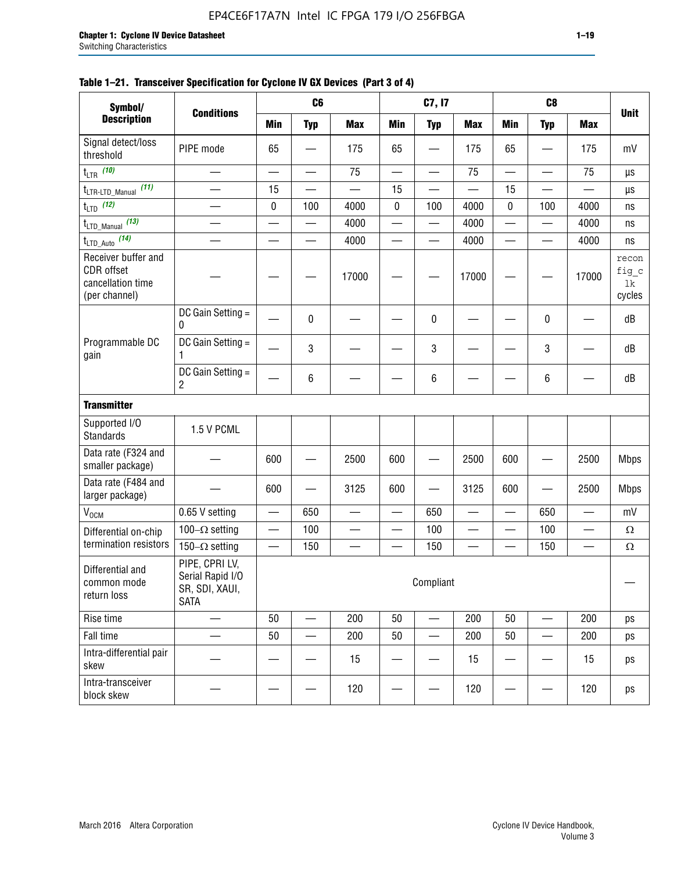| Symbol/                                                                 |                                                                     |                                   | C <sub>6</sub> |            |                        | C7, I7                   |                          |                          | C <sub>8</sub> |                          |                                                                                                 |
|-------------------------------------------------------------------------|---------------------------------------------------------------------|-----------------------------------|----------------|------------|------------------------|--------------------------|--------------------------|--------------------------|----------------|--------------------------|-------------------------------------------------------------------------------------------------|
| <b>Description</b>                                                      | <b>Conditions</b>                                                   | <b>Min</b>                        | <b>Typ</b>     | <b>Max</b> | <b>Min</b>             | <b>Typ</b>               | <b>Max</b>               | <b>Min</b>               | <b>Typ</b>     | <b>Max</b>               |                                                                                                 |
| Signal detect/loss<br>threshold                                         | PIPE mode                                                           | 65                                |                | 175        | 65                     |                          | 175                      | 65                       |                | 175                      | mV                                                                                              |
| $t_{LTR}$ (10)                                                          |                                                                     |                                   | —              | 75         |                        | —                        | 75                       |                          |                | 75                       | μs                                                                                              |
| (11)<br>$t_{\text{LTR-LTD\_Manual}}$                                    |                                                                     | 15                                |                |            | 15                     |                          |                          | 15                       |                |                          | μs                                                                                              |
| $t_{LTD}$ (12)                                                          |                                                                     | 0                                 | 100            | 4000       | 0                      | 100                      | 4000                     | 0                        | 100            | 4000                     | ns                                                                                              |
| $t_{\text{LTD\_Manual}}$ (13)                                           |                                                                     |                                   |                | 4000       | —                      |                          | 4000                     |                          | —              | 4000                     | ns                                                                                              |
| $t_{\text{LTD\_Auto}}$ (14)                                             |                                                                     |                                   |                | 4000       |                        | $\overline{\phantom{0}}$ | 4000                     |                          |                | 4000                     | ns                                                                                              |
| Receiver buffer and<br>CDR offset<br>cancellation time<br>(per channel) |                                                                     |                                   |                | 17000      |                        |                          | 17000                    |                          |                | 17000                    | recon<br>fig c<br>1k<br>cycles                                                                  |
|                                                                         | DC Gain Setting =<br>$\pmb{0}$                                      |                                   | 0              |            |                        | 0                        |                          |                          | 0              |                          | dB                                                                                              |
| Programmable DC<br>gain                                                 | DC Gain Setting =                                                   |                                   | 3              |            |                        | $\mathbf{3}$             |                          |                          | 3              |                          | dB                                                                                              |
|                                                                         | DC Gain Setting =<br>$\overline{c}$                                 |                                   | 6              |            |                        | 6                        |                          |                          | 6              |                          | <b>Unit</b><br>dB<br><b>Mbps</b><br><b>Mbps</b><br>mV<br>$\Omega$<br>$\Omega$<br>ps<br>ps<br>ps |
| <b>Transmitter</b>                                                      |                                                                     |                                   |                |            |                        |                          |                          |                          |                |                          |                                                                                                 |
| Supported I/O<br><b>Standards</b>                                       | 1.5 V PCML                                                          |                                   |                |            |                        |                          |                          |                          |                |                          |                                                                                                 |
| Data rate (F324 and<br>smaller package)                                 |                                                                     | 600                               |                | 2500       | 600                    |                          | 2500                     | 600                      |                | 2500                     |                                                                                                 |
| Data rate (F484 and<br>larger package)                                  |                                                                     | 600                               |                | 3125       | 600                    |                          | 3125                     | 600                      |                | 2500                     |                                                                                                 |
| V <sub>OCM</sub>                                                        | 0.65 V setting                                                      |                                   | 650            |            |                        | 650                      |                          |                          | 650            |                          |                                                                                                 |
| Differential on-chip                                                    | 100 $-\Omega$ setting                                               | $\qquad \qquad -$                 | 100            |            | $\qquad \qquad \qquad$ | 100                      | —                        | $\overline{\phantom{0}}$ | 100            | $\overline{\phantom{0}}$ |                                                                                                 |
| termination resistors                                                   | 150 $-\Omega$ setting                                               | $\overbrace{\phantom{123221111}}$ | 150            |            | -                      | 150                      | $\overline{\phantom{0}}$ |                          | 150            | $\overline{\phantom{0}}$ |                                                                                                 |
| Differential and<br>common mode<br>return loss                          | PIPE, CPRI LV,<br>Serial Rapid I/O<br>SR, SDI, XAUI,<br><b>SATA</b> |                                   |                |            |                        | Compliant                |                          |                          |                |                          |                                                                                                 |
| Rise time                                                               |                                                                     | 50                                |                | 200        | 50                     | $\overline{\phantom{0}}$ | 200                      | 50                       |                | 200                      |                                                                                                 |
| Fall time                                                               |                                                                     | 50                                |                | 200        | 50                     |                          | 200                      | 50                       |                | 200                      |                                                                                                 |
| Intra-differential pair<br>skew                                         |                                                                     |                                   |                | 15         |                        |                          | 15                       |                          |                | 15                       |                                                                                                 |

block skew  $\begin{vmatrix} - & - & - \ - & - & - \end{vmatrix}$  -  $\begin{vmatrix} - & - & 120 \ - & - & - \end{vmatrix}$  -  $\begin{vmatrix} - & - & 120 \ - & - & - \end{vmatrix}$  - 120  $\begin{vmatrix} - & - & - \ - & - & - \end{vmatrix}$  - 120  $\begin{vmatrix} 0 & - & - \ - & - & - \end{vmatrix}$ 

### **Table 1–21. Transceiver Specification for Cyclone IV GX Devices (Part 3 of 4)**

Intra-transceiver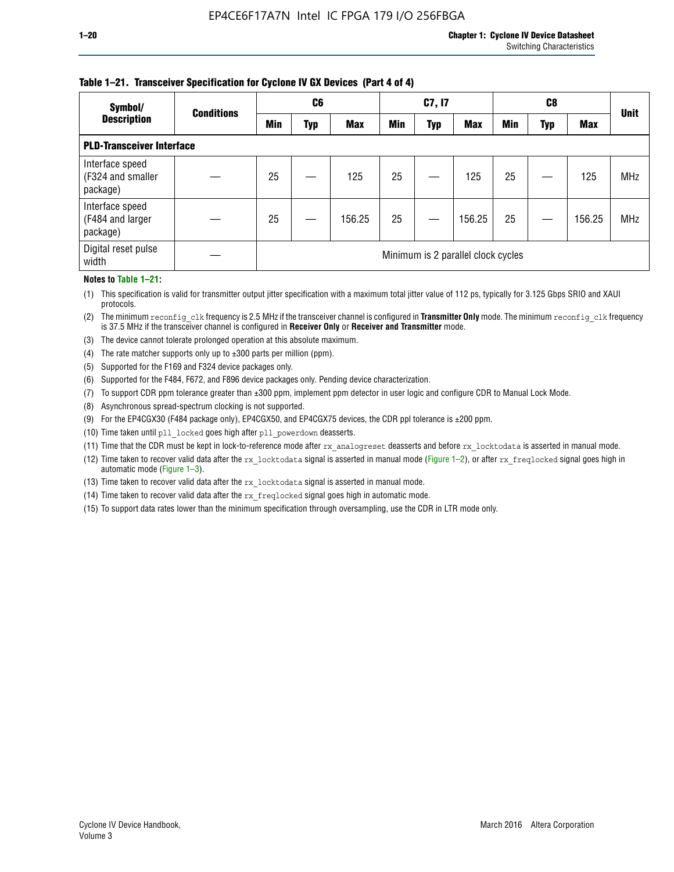### **Table 1–21. Transceiver Specification for Cyclone IV GX Devices (Part 4 of 4)**

| Symbol/                                          | <b>Conditions</b> |                                    | C <sub>6</sub> |            |            | C7, I7     |            |            | C8  |            | <b>Unit</b> |
|--------------------------------------------------|-------------------|------------------------------------|----------------|------------|------------|------------|------------|------------|-----|------------|-------------|
| <b>Description</b>                               |                   | Min                                | Typ            | <b>Max</b> | <b>Min</b> | <b>Typ</b> | <b>Max</b> | <b>Min</b> | Typ | <b>Max</b> |             |
| <b>PLD-Transceiver Interface</b>                 |                   |                                    |                |            |            |            |            |            |     |            |             |
| Interface speed<br>(F324 and smaller<br>package) |                   | 25                                 |                | 125        | 25         |            | 125        | 25         |     | 125        | <b>MHz</b>  |
| Interface speed<br>(F484 and larger<br>package)  |                   | 25                                 |                | 156.25     | 25         |            | 156.25     | 25         |     | 156.25     | <b>MHz</b>  |
| Digital reset pulse<br>width                     |                   | Minimum is 2 parallel clock cycles |                |            |            |            |            |            |     |            |             |

### **Notes to Table 1–21:**

(1) This specification is valid for transmitter output jitter specification with a maximum total jitter value of 112 ps, typically for 3.125 Gbps SRIO and XAUI protocols.

(2) The minimum reconfig\_clk frequency is 2.5 MHz if the transceiver channel is configured in **Transmitter Only** mode. The minimum reconfig\_clk frequency is 37.5 MHz if the transceiver channel is configured in **Receiver Only** or **Receiver and Transmitter** mode.

- (3) The device cannot tolerate prolonged operation at this absolute maximum.
- (4) The rate matcher supports only up to  $\pm 300$  parts per million (ppm).
- (5) Supported for the F169 and F324 device packages only.
- (6) Supported for the F484, F672, and F896 device packages only. Pending device characterization.
- (7) To support CDR ppm tolerance greater than ±300 ppm, implement ppm detector in user logic and configure CDR to Manual Lock Mode.
- (8) Asynchronous spread-spectrum clocking is not supported.
- (9) For the EP4CGX30 (F484 package only), EP4CGX50, and EP4CGX75 devices, the CDR ppl tolerance is ±200 ppm.
- (10) Time taken until pll\_locked goes high after pll\_powerdown deasserts.
- (11) Time that the CDR must be kept in lock-to-reference mode after rx analogreset deasserts and before rx locktodata is asserted in manual mode.

(12) Time taken to recover valid data after the rx locktodata signal is asserted in manual mode (Figure 1–2), or after rx freqlocked signal goes high in automatic mode (Figure 1–3).

(13) Time taken to recover valid data after the rx locktodata signal is asserted in manual mode.

- (14) Time taken to recover valid data after the rx freqlocked signal goes high in automatic mode.
- (15) To support data rates lower than the minimum specification through oversampling, use the CDR in LTR mode only.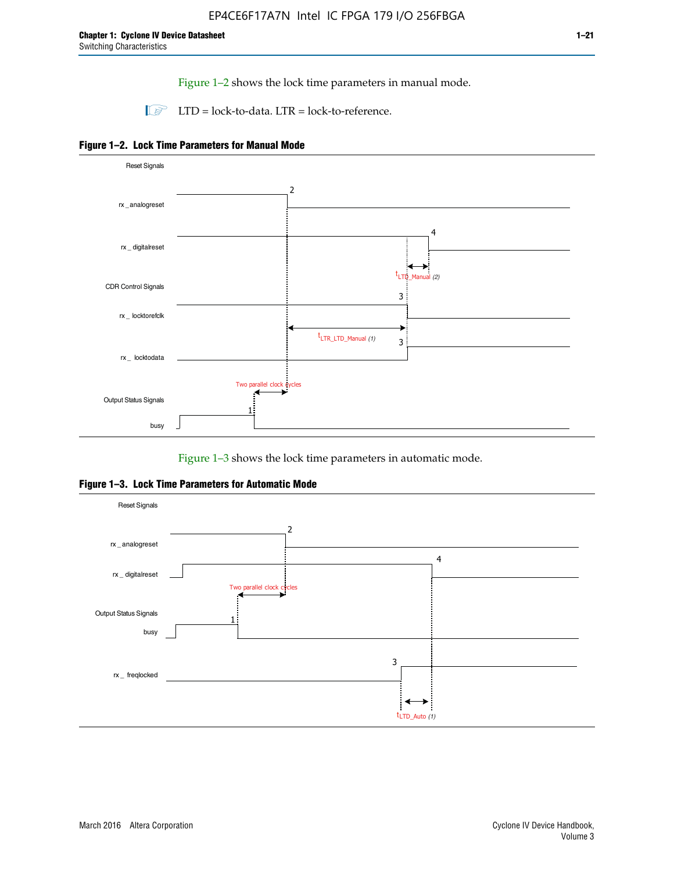Figure 1–2 shows the lock time parameters in manual mode.

 $\Box$  LTD = lock-to-data. LTR = lock-to-reference.





Figure 1–3 shows the lock time parameters in automatic mode.

**Figure 1–3. Lock Time Parameters for Automatic Mode**

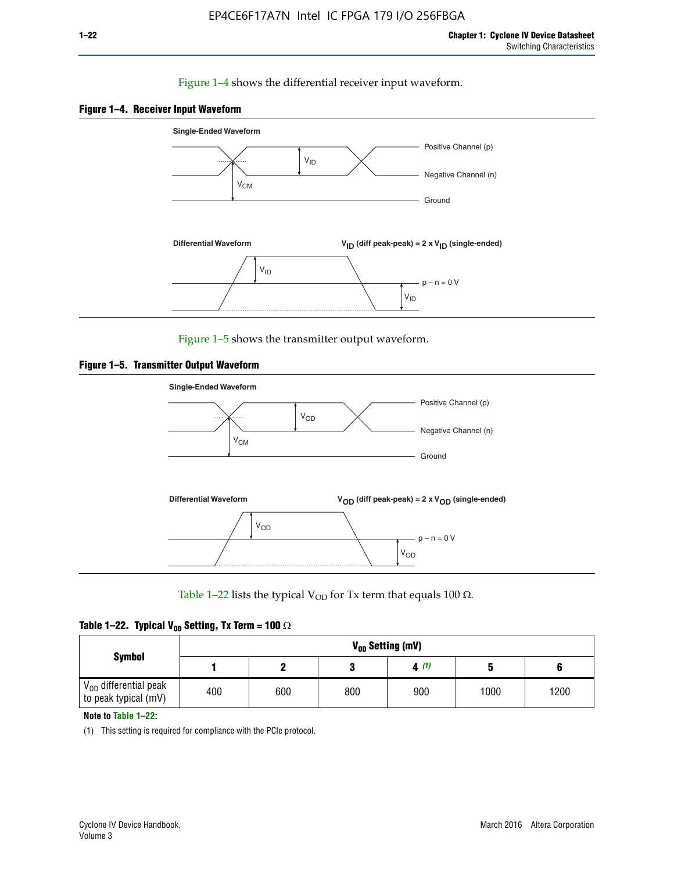### Figure 1–4 shows the differential receiver input waveform.





Figure 1–5 shows the transmitter output waveform.





Table 1–22 lists the typical V<sub>OD</sub> for Tx term that equals 100  $\Omega$ .

| Table 1–22. Typical V <sub>0D</sub> Setting, Tx Term = 100 $\Omega$ |  |  |  |  |  |  |  |
|---------------------------------------------------------------------|--|--|--|--|--|--|--|
|---------------------------------------------------------------------|--|--|--|--|--|--|--|

|                                                        |     |     |     | V <sub>on</sub> Setting (mV) |      |      |
|--------------------------------------------------------|-----|-----|-----|------------------------------|------|------|
| <b>Symbol</b>                                          |     |     |     | 4(1)                         |      |      |
| $\rm V_{OD}$ differential peak<br>to peak typical (mV) | 400 | 600 | 800 | 900                          | 1000 | 1200 |

**Note to Table 1–22:**

(1) This setting is required for compliance with the PCIe protocol.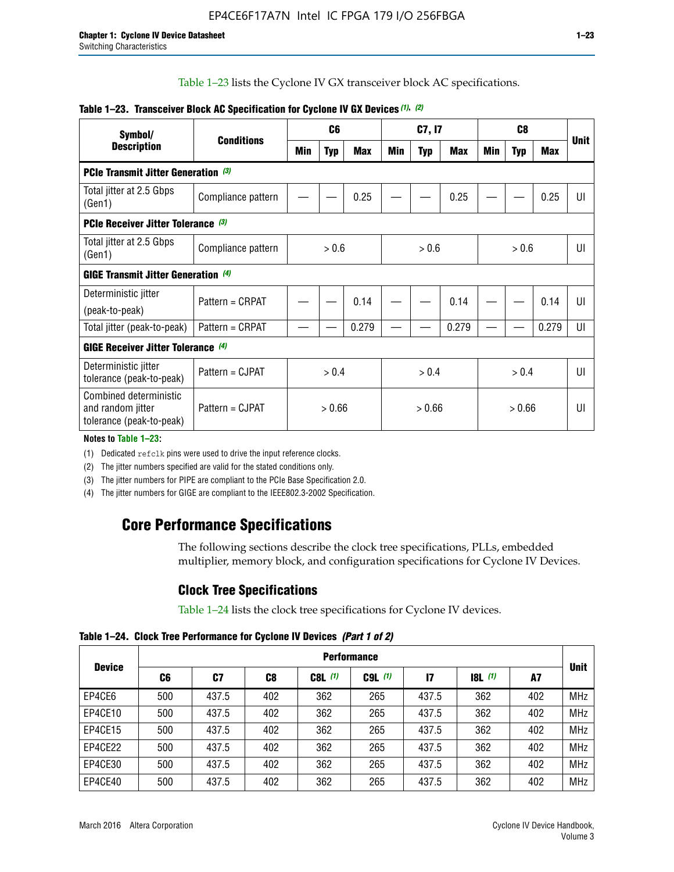Table 1–23 lists the Cyclone IV GX transceiver block AC specifications.

| Symbol/                                                                 | <b>Conditions</b>  |        | C <sub>6</sub> |            |        | C7, I7     |       |        | C <sub>8</sub> |            | <b>Unit</b>    |  |  |
|-------------------------------------------------------------------------|--------------------|--------|----------------|------------|--------|------------|-------|--------|----------------|------------|----------------|--|--|
| <b>Description</b>                                                      |                    | Min    | <b>Typ</b>     | <b>Max</b> | Min    | <b>Typ</b> | Max   | Min    | <b>Typ</b>     | <b>Max</b> |                |  |  |
| <b>PCIe Transmit Jitter Generation (3)</b>                              |                    |        |                |            |        |            |       |        |                |            |                |  |  |
| Total jitter at 2.5 Gbps<br>(Gen1)                                      | Compliance pattern |        |                | 0.25       |        |            | 0.25  |        |                | 0.25       | UI             |  |  |
| <b>PCIe Receiver Jitter Tolerance (3)</b>                               |                    |        |                |            |        |            |       |        |                |            |                |  |  |
| Total jitter at 2.5 Gbps<br>(Gen1)                                      | Compliance pattern |        | > 0.6          |            |        | > 0.6      |       |        | > 0.6          |            | UI             |  |  |
| <b>GIGE Transmit Jitter Generation (4)</b>                              |                    |        |                |            |        |            |       |        |                |            |                |  |  |
| Deterministic jitter                                                    | Pattern = CRPAT    |        |                | 0.14       |        |            | 0.14  |        |                | 0.14       | UI             |  |  |
| (peak-to-peak)                                                          |                    |        |                |            |        |            |       |        |                |            |                |  |  |
| Total jitter (peak-to-peak)                                             | Pattern = CRPAT    |        |                | 0.279      |        |            | 0.279 |        |                | 0.279      | UI             |  |  |
| <b>GIGE Receiver Jitter Tolerance</b> (4)                               |                    |        |                |            |        |            |       |        |                |            |                |  |  |
| Deterministic jitter<br>tolerance (peak-to-peak)                        | Pattern = CJPAT    |        | > 0.4          |            |        | > 0.4      |       |        | > 0.4          |            | $\mathsf{III}$ |  |  |
| Combined deterministic<br>and random jitter<br>tolerance (peak-to-peak) | Pattern = CJPAT    | > 0.66 |                |            | > 0.66 |            |       | > 0.66 |                | UI         |                |  |  |

### **Table 1–23. Transceiver Block AC Specification for Cyclone IV GX Devices** *(1)***,** *(2)*

**Notes to Table 1–23:**

(1) Dedicated refclk pins were used to drive the input reference clocks.

(2) The jitter numbers specified are valid for the stated conditions only.

(3) The jitter numbers for PIPE are compliant to the PCIe Base Specification 2.0.

(4) The jitter numbers for GIGE are compliant to the IEEE802.3-2002 Specification.

### **Core Performance Specifications**

The following sections describe the clock tree specifications, PLLs, embedded multiplier, memory block, and configuration specifications for Cyclone IV Devices.

### **Clock Tree Specifications**

Table 1–24 lists the clock tree specifications for Cyclone IV devices.

**Table 1–24. Clock Tree Performance for Cyclone IV Devices** *(Part 1 of 2)*

|               |     | <b>Performance</b> |     |           |             |              |                  |     |             |  |  |  |  |  |  |  |
|---------------|-----|--------------------|-----|-----------|-------------|--------------|------------------|-----|-------------|--|--|--|--|--|--|--|
| <b>Device</b> | C6  | C7                 | C8  | $C8L$ (1) | $C9L$ $(1)$ | $\mathbf{I}$ | <b>18L</b> $(1)$ | A7  | <b>Unit</b> |  |  |  |  |  |  |  |
| EP4CE6        | 500 | 437.5              | 402 | 362       | 265         | 437.5        | 362              | 402 | <b>MHz</b>  |  |  |  |  |  |  |  |
| EP4CE10       | 500 | 437.5              | 402 | 362       | 265         | 437.5        | 362              | 402 | <b>MHz</b>  |  |  |  |  |  |  |  |
| EP4CE15       | 500 | 437.5              | 402 | 362       | 265         | 437.5        | 362              | 402 | <b>MHz</b>  |  |  |  |  |  |  |  |
| EP4CE22       | 500 | 437.5              | 402 | 362       | 265         | 437.5        | 362              | 402 | <b>MHz</b>  |  |  |  |  |  |  |  |
| EP4CE30       | 500 | 437.5              | 402 | 362       | 265         | 437.5        | 362              | 402 | <b>MHz</b>  |  |  |  |  |  |  |  |
| EP4CE40       | 500 | 437.5              | 402 | 362       | 265         | 437.5        | 362              | 402 | <b>MHz</b>  |  |  |  |  |  |  |  |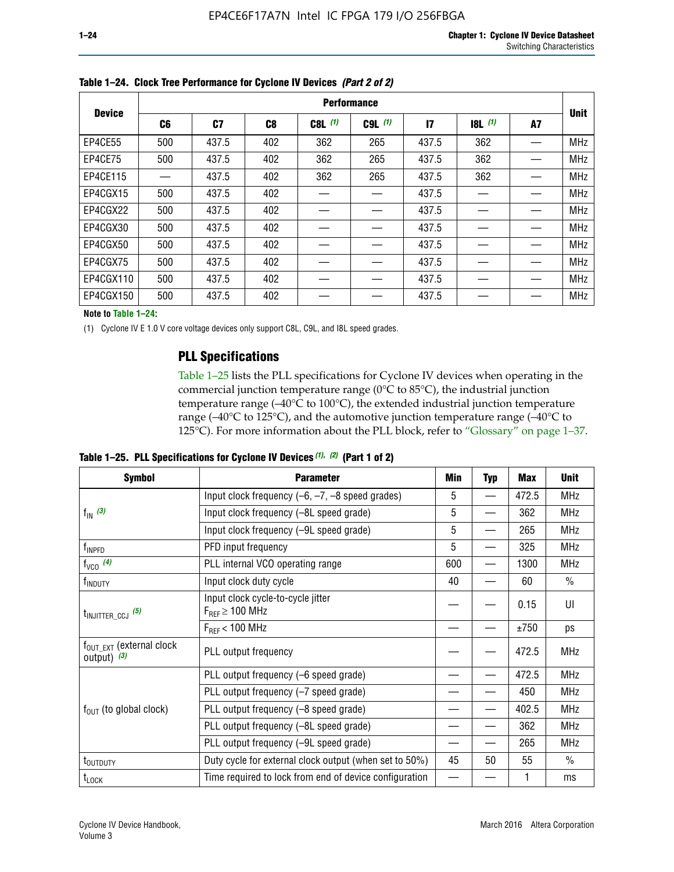| <b>Device</b> | <b>Performance</b> |       |     |           |             |               |       |    |             |  |  |  |
|---------------|--------------------|-------|-----|-----------|-------------|---------------|-------|----|-------------|--|--|--|
|               | C6                 | C7    | C8  | $C8L$ (1) | $C9L$ $(1)$ | $\mathsf{I}7$ | 8L(1) | A7 | <b>Unit</b> |  |  |  |
| EP4CE55       | 500                | 437.5 | 402 | 362       | 265         | 437.5         | 362   |    | <b>MHz</b>  |  |  |  |
| EP4CE75       | 500                | 437.5 | 402 | 362       | 265         | 437.5         | 362   |    | <b>MHz</b>  |  |  |  |
| EP4CE115      |                    | 437.5 | 402 | 362       | 265         | 437.5         | 362   |    | <b>MHz</b>  |  |  |  |
| EP4CGX15      | 500                | 437.5 | 402 |           |             | 437.5         |       |    | <b>MHz</b>  |  |  |  |
| EP4CGX22      | 500                | 437.5 | 402 |           |             | 437.5         |       |    | <b>MHz</b>  |  |  |  |
| EP4CGX30      | 500                | 437.5 | 402 |           |             | 437.5         |       |    | <b>MHz</b>  |  |  |  |
| EP4CGX50      | 500                | 437.5 | 402 |           |             | 437.5         |       |    | <b>MHz</b>  |  |  |  |
| EP4CGX75      | 500                | 437.5 | 402 |           |             | 437.5         |       |    | <b>MHz</b>  |  |  |  |
| EP4CGX110     | 500                | 437.5 | 402 |           |             | 437.5         |       |    | <b>MHz</b>  |  |  |  |
| EP4CGX150     | 500                | 437.5 | 402 |           |             | 437.5         |       |    | <b>MHz</b>  |  |  |  |

**Table 1–24. Clock Tree Performance for Cyclone IV Devices** *(Part 2 of 2)*

**Note to Table 1–24:**

(1) Cyclone IV E 1.0 V core voltage devices only support C8L, C9L, and I8L speed grades.

### **PLL Specifications**

Table 1–25 lists the PLL specifications for Cyclone IV devices when operating in the commercial junction temperature range (0°C to 85°C), the industrial junction temperature range (–40°C to 100°C), the extended industrial junction temperature range (–40°C to 125°C), and the automotive junction temperature range (–40°C to 125°C). For more information about the PLL block, refer to "Glossary" on page 1–37.

|  |  | Table 1–25. PLL Specifications for Cyclone IV Devices $(1)$ , $(2)$ (Part 1 of 2) |  |
|--|--|-----------------------------------------------------------------------------------|--|
|--|--|-----------------------------------------------------------------------------------|--|

| <b>Symbol</b>                                          | <b>Parameter</b>                                            | Min | <b>Typ</b>               | <b>Max</b> | <b>Unit</b>   |
|--------------------------------------------------------|-------------------------------------------------------------|-----|--------------------------|------------|---------------|
|                                                        | Input clock frequency $(-6, -7, -8)$ speed grades)          | 5   | —                        | 472.5      | <b>MHz</b>    |
| $f_{\text{IN}}(3)$                                     | Input clock frequency (-8L speed grade)                     | 5   |                          | 362        | <b>MHz</b>    |
|                                                        | Input clock frequency (-9L speed grade)                     | 5   | $\overline{\phantom{0}}$ | 265        | <b>MHz</b>    |
| f <sub>INPFD</sub>                                     | PFD input frequency                                         | 5   | $\overline{\phantom{0}}$ | 325        | <b>MHz</b>    |
| $f_{VCO}$ (4)                                          | PLL internal VCO operating range                            | 600 | $\overline{\phantom{0}}$ | 1300       | <b>MHz</b>    |
| f <sub>INDUTY</sub>                                    | Input clock duty cycle                                      | 40  |                          | 60         | $\frac{0}{0}$ |
| $t_{\text{INJITTER\_CCJ}}$ (5)                         | Input clock cycle-to-cycle jitter<br>$F_{RFF} \geq 100$ MHz |     |                          | 0.15       | UI            |
|                                                        | $F_{RFF}$ < 100 MHz                                         |     |                          | ±750       | ps            |
| $f_{\text{OUT\_EXT}}$ (external clock<br>output) $(3)$ | PLL output frequency                                        |     |                          | 472.5      | <b>MHz</b>    |
|                                                        | PLL output frequency (-6 speed grade)                       |     |                          | 472.5      | <b>MHz</b>    |
|                                                        | PLL output frequency (-7 speed grade)                       |     |                          | 450        | <b>MHz</b>    |
| $f_{\text{OUT}}$ (to global clock)                     | PLL output frequency (-8 speed grade)                       |     |                          | 402.5      | <b>MHz</b>    |
|                                                        | PLL output frequency (-8L speed grade)                      |     |                          | 362        | <b>MHz</b>    |
|                                                        | PLL output frequency (-9L speed grade)                      |     |                          | 265        | <b>MHz</b>    |
| t <sub>outduty</sub>                                   | Duty cycle for external clock output (when set to 50%)      | 45  | 50                       | 55         | $\frac{0}{0}$ |
| $t_{\text{LOCK}}$                                      | Time required to lock from end of device configuration      |     |                          |            | ms            |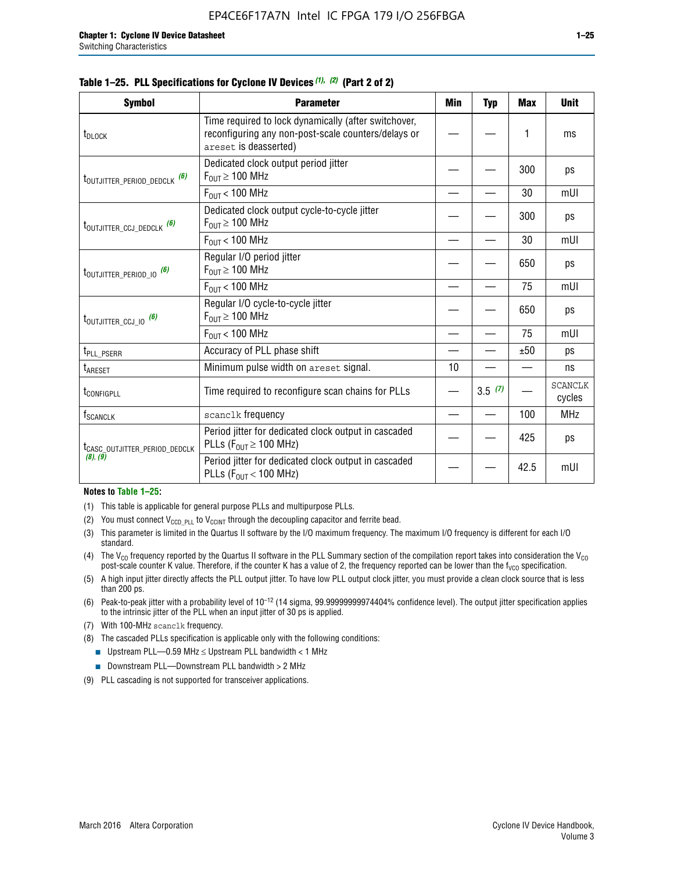| <b>Symbol</b>                               | <b>Parameter</b>                                                                                                                     | Min | <b>Typ</b> | <b>Max</b> | <b>Unit</b>              |
|---------------------------------------------|--------------------------------------------------------------------------------------------------------------------------------------|-----|------------|------------|--------------------------|
| t <sub>DLOCK</sub>                          | Time required to lock dynamically (after switchover,<br>reconfiguring any non-post-scale counters/delays or<br>areset is deasserted) |     |            | 1          | ms                       |
| t <sub>outjitter_period_dedclk</sub> (6)    | Dedicated clock output period jitter<br>$F_{OUT} \geq 100$ MHz                                                                       |     |            | 300        | ps                       |
|                                             | $F_{OUT}$ < 100 MHz                                                                                                                  |     |            | 30         | mUI                      |
| $t_{\text{OUTJITTER\_CCJ\_DEDCLK}}$ (6)     | Dedicated clock output cycle-to-cycle jitter<br>$F_{OUT} \geq 100$ MHz                                                               |     |            | 300        | ps                       |
|                                             | $F_{\text{OUT}}$ < 100 MHz                                                                                                           |     |            | 30         | mUI                      |
| $t_{\text{OUTJITTER}_P \text{ERIOD}_0}$ (6) | Regular I/O period jitter<br>$F_{OUT} \ge 100$ MHz                                                                                   |     |            | 650        | ps                       |
|                                             | $F_{\text{OUT}}$ < 100 MHz                                                                                                           |     |            | 75         | mUI                      |
| $t_{\text{OUTJITTER\_CCJ\_IO}}$ (6)         | Regular I/O cycle-to-cycle jitter<br>$F_{OUT} \ge 100$ MHz                                                                           |     |            | 650        | ps                       |
|                                             | $F_{\text{OUT}}$ < 100 MHz                                                                                                           |     |            | 75         | mUI                      |
| t <sub>PLL_PSERR</sub>                      | Accuracy of PLL phase shift                                                                                                          |     |            | ±50        | ps                       |
| t <sub>ARESET</sub>                         | Minimum pulse width on areset signal.                                                                                                | 10  |            |            | ns                       |
| t <sub>configpll</sub>                      | Time required to reconfigure scan chains for PLLs                                                                                    |     | 3.5(7)     |            | <b>SCANCLK</b><br>cycles |
| $\mathsf{f}_{\mathsf{SCANCLK}}$             | scanclk frequency                                                                                                                    |     |            | 100        | <b>MHz</b>               |
| t <sub>CASC_OUTJITTER_PERIOD_DEDCLK</sub>   | Period jitter for dedicated clock output in cascaded<br>PLLs ( $F_{OUT} \ge 100$ MHz)                                                |     |            | 425        | ps                       |
| (8), (9)                                    | Period jitter for dedicated clock output in cascaded<br>PLLs ( $F_{OUT}$ < 100 MHz)                                                  |     |            | 42.5       | mUI                      |

#### **Table 1–25. PLL Specifications for Cyclone IV Devices** *(1), (2)* **(Part 2 of 2)**

#### **Notes to Table 1–25:**

- (1) This table is applicable for general purpose PLLs and multipurpose PLLs.
- (2) You must connect  $V_{CCD-PLL}$  to  $V_{CCINT}$  through the decoupling capacitor and ferrite bead.
- (3) This parameter is limited in the Quartus II software by the I/O maximum frequency. The maximum I/O frequency is different for each I/O standard.
- (4) The  $V_{CO}$  frequency reported by the Quartus II software in the PLL Summary section of the compilation report takes into consideration the  $V_{CO}$ post-scale counter K value. Therefore, if the counter K has a value of 2, the frequency reported can be lower than the f<sub>VCO</sub> specification.
- (5) A high input jitter directly affects the PLL output jitter. To have low PLL output clock jitter, you must provide a clean clock source that is less than 200 ps.
- (6) Peak-to-peak jitter with a probability level of 10–12 (14 sigma, 99.99999999974404% confidence level). The output jitter specification applies to the intrinsic jitter of the PLL when an input jitter of 30 ps is applied.
- (7) With 100-MHz scanclk frequency.
- (8) The cascaded PLLs specification is applicable only with the following conditions:
	- **■** Upstream PLL—0.59 MHz  $\leq$  Upstream PLL bandwidth  $<$  1 MHz
	- Downstream PLL—Downstream PLL bandwidth > 2 MHz
- (9) PLL cascading is not supported for transceiver applications.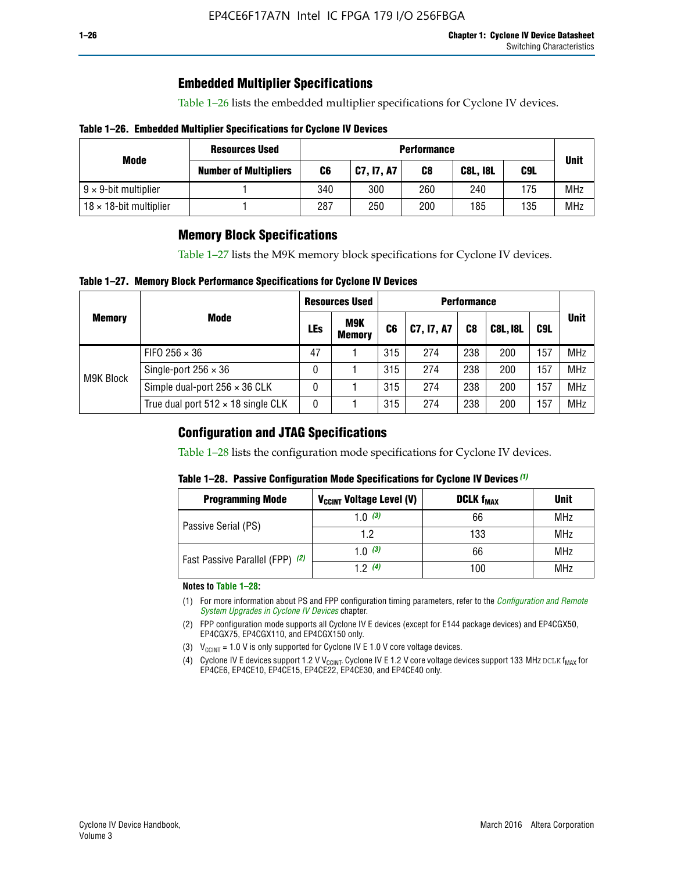### **Embedded Multiplier Specifications**

Table 1–26 lists the embedded multiplier specifications for Cyclone IV devices.

### **Table 1–26. Embedded Multiplier Specifications for Cyclone IV Devices**

|                                | <b>Resources Used</b>        |     | <b>Performance</b> |     |                 |             |            |  |  |  |  |  |
|--------------------------------|------------------------------|-----|--------------------|-----|-----------------|-------------|------------|--|--|--|--|--|
| Mode                           | <b>Number of Multipliers</b> | C6  | C7, I7, A7         | C8  | <b>C8L, I8L</b> | <b>Unit</b> |            |  |  |  |  |  |
| $9 \times 9$ -bit multiplier   |                              | 340 | 300                | 260 | 240             | 175         | <b>MHz</b> |  |  |  |  |  |
| $18 \times 18$ -bit multiplier |                              | 287 | 250                | 200 | 185             | 135         | <b>MHz</b> |  |  |  |  |  |

### **Memory Block Specifications**

Table 1–27 lists the M9K memory block specifications for Cyclone IV devices.

#### **Table 1–27. Memory Block Performance Specifications for Cyclone IV Devices**

|               |                                           |     | <b>Resources Used</b>       |                | <b>Performance</b> |                |                 |     |             |  |  |  |
|---------------|-------------------------------------------|-----|-----------------------------|----------------|--------------------|----------------|-----------------|-----|-------------|--|--|--|
| <b>Memory</b> | <b>Mode</b>                               | LEs | <b>M9K</b><br><b>Memory</b> | C <sub>6</sub> | C7, I7, A7         | C <sub>8</sub> | <b>C8L, I8L</b> | C9L | <b>Unit</b> |  |  |  |
|               | FIFO 256 $\times$ 36                      | 47  |                             | 315            | 274                | 238            | 200             | 157 | <b>MHz</b>  |  |  |  |
| M9K Block     | Single-port $256 \times 36$               | 0   |                             | 315            | 274                | 238            | 200             | 157 | <b>MHz</b>  |  |  |  |
|               | Simple dual-port $256 \times 36$ CLK      | 0   |                             | 315            | 274                | 238            | 200             | 157 | <b>MHz</b>  |  |  |  |
|               | True dual port $512 \times 18$ single CLK | 0   |                             | 315            | 274                | 238            | 200             | 157 | <b>MHz</b>  |  |  |  |

### **Configuration and JTAG Specifications**

Table 1–28 lists the configuration mode specifications for Cyclone IV devices.

### **Table 1–28. Passive Configuration Mode Specifications for Cyclone IV Devices** *(1)*

| <b>Programming Mode</b>         | V <sub>CCINT</sub> Voltage Level (V) | <b>DCLK f<sub>MAX</sub></b> | <b>Unit</b> |
|---------------------------------|--------------------------------------|-----------------------------|-------------|
| Passive Serial (PS)             | 1.0 $(3)$                            | 66                          | MHz         |
|                                 | 1.2                                  | 133                         | MHz         |
| Fast Passive Parallel (FPP) (2) | 1.0 $(3)$                            | 66                          | <b>MHz</b>  |
|                                 | 12(4)                                | 100                         | <b>MHz</b>  |

#### **Notes to Table 1–28:**

- (1) For more information about PS and FPP configuration timing parameters, refer to the *[Configuration and Remote](http://www.altera.com/literature/hb/cyclone-iv/cyiv-51008.pdf)  [System Upgrades in Cyclone IV Devices](http://www.altera.com/literature/hb/cyclone-iv/cyiv-51008.pdf)* chapter.
- (2) FPP configuration mode supports all Cyclone IV E devices (except for E144 package devices) and EP4CGX50, EP4CGX75, EP4CGX110, and EP4CGX150 only.
- (3)  $V_{CCMT}$  = 1.0 V is only supported for Cyclone IV E 1.0 V core voltage devices.
- (4) Cyclone IV E devices support 1.2 V V<sub>CCINT</sub>. Cyclone IV E 1.2 V core voltage devices support 133 MHz DCLK f<sub>MAX</sub> for EP4CE6, EP4CE10, EP4CE15, EP4CE22, EP4CE30, and EP4CE40 only.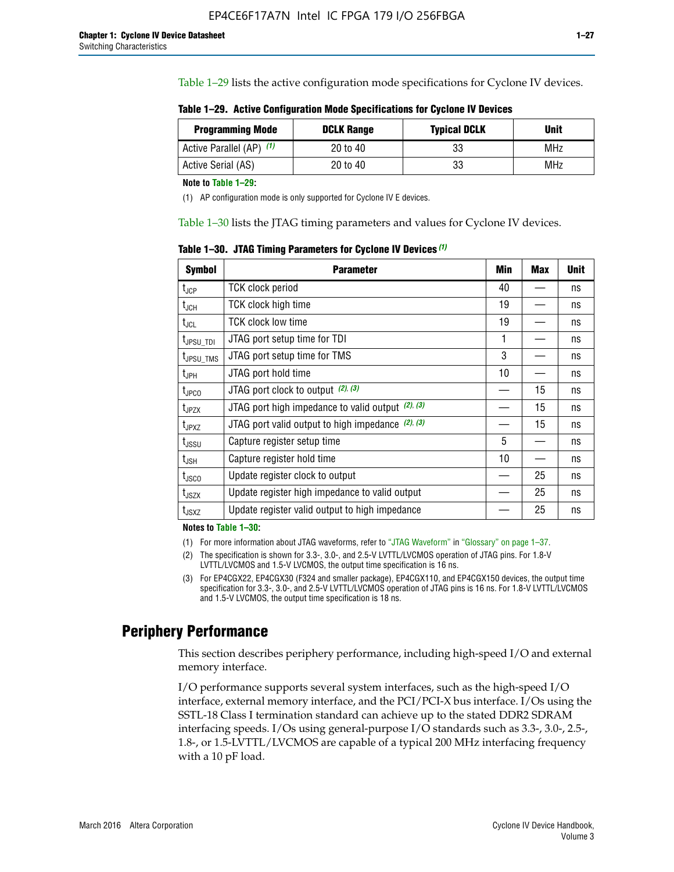Table 1–29 lists the active configuration mode specifications for Cyclone IV devices.

**Table 1–29. Active Configuration Mode Specifications for Cyclone IV Devices**

| <b>Programming Mode</b>  | <b>DCLK Range</b> | <b>Typical DCLK</b> | Unit |
|--------------------------|-------------------|---------------------|------|
| Active Parallel (AP) (1) | 20 to 40          | 33                  | MHz  |
| Active Serial (AS)       | 20 to 40          | 33                  | MHz  |

**Note to Table 1–29:**

(1) AP configuration mode is only supported for Cyclone IV E devices.

Table 1–30 lists the JTAG timing parameters and values for Cyclone IV devices.

**Table 1–30. JTAG Timing Parameters for Cyclone IV Devices** *(1)*

| <b>Symbol</b>                | <b>Parameter</b>                                       | Min | <b>Max</b> | <b>Unit</b> |
|------------------------------|--------------------------------------------------------|-----|------------|-------------|
| $t_{JCP}$                    | <b>TCK clock period</b>                                | 40  |            | ns          |
| t <sub>JCH</sub>             | <b>TCK clock high time</b>                             | 19  |            | ns          |
| $t_{JCL}$                    | TCK clock low time                                     | 19  |            | ns          |
| t <sub>JPSU_TDI</sub>        | JTAG port setup time for TDI                           | 1   |            | ns          |
| t <sub>JPSU_TMS</sub>        | JTAG port setup time for TMS                           | 3   |            | ns          |
| t <sub>JPH</sub>             | JTAG port hold time                                    | 10  |            | ns          |
| t <sub>JPCO</sub>            | JTAG port clock to output $(2)$ , $(3)$                |     | 15         | ns          |
| $t_{JPZX}$                   | JTAG port high impedance to valid output $(2)$ , $(3)$ |     | 15         | ns          |
| t <sub>JPXZ</sub>            | JTAG port valid output to high impedance $(2)$ , $(3)$ |     | 15         | ns          |
| $t_{\rm JSSU}$               | Capture register setup time                            | 5   |            | ns          |
| $\mathsf{t}_{\mathsf{JSH}}$  | Capture register hold time                             | 10  |            | ns          |
| $t_{\rm JSCO}$               | Update register clock to output                        |     | 25         | ns          |
| $t_{\footnotesize \rm JSZX}$ | Update register high impedance to valid output         |     | 25         | ns          |
| t <sub>JSXZ</sub>            | Update register valid output to high impedance         |     | 25         | ns          |

**Notes to Table 1–30:**

(1) For more information about JTAG waveforms, refer to "JTAG Waveform" in "Glossary" on page 1–37.

(2) The specification is shown for 3.3-, 3.0-, and 2.5-V LVTTL/LVCMOS operation of JTAG pins. For 1.8-V LVTTL/LVCMOS and 1.5-V LVCMOS, the output time specification is 16 ns.

(3) For EP4CGX22, EP4CGX30 (F324 and smaller package), EP4CGX110, and EP4CGX150 devices, the output time specification for 3.3-, 3.0-, and 2.5-V LVTTL/LVCMOS operation of JTAG pins is 16 ns. For 1.8-V LVTTL/LVCMOS and 1.5-V LVCMOS, the output time specification is 18 ns.

### **Periphery Performance**

This section describes periphery performance, including high-speed I/O and external memory interface.

I/O performance supports several system interfaces, such as the high-speed I/O interface, external memory interface, and the PCI/PCI-X bus interface. I/Os using the SSTL-18 Class I termination standard can achieve up to the stated DDR2 SDRAM interfacing speeds. I/Os using general-purpose I/O standards such as 3.3-, 3.0-, 2.5-, 1.8-, or 1.5-LVTTL/LVCMOS are capable of a typical 200 MHz interfacing frequency with a 10 pF load.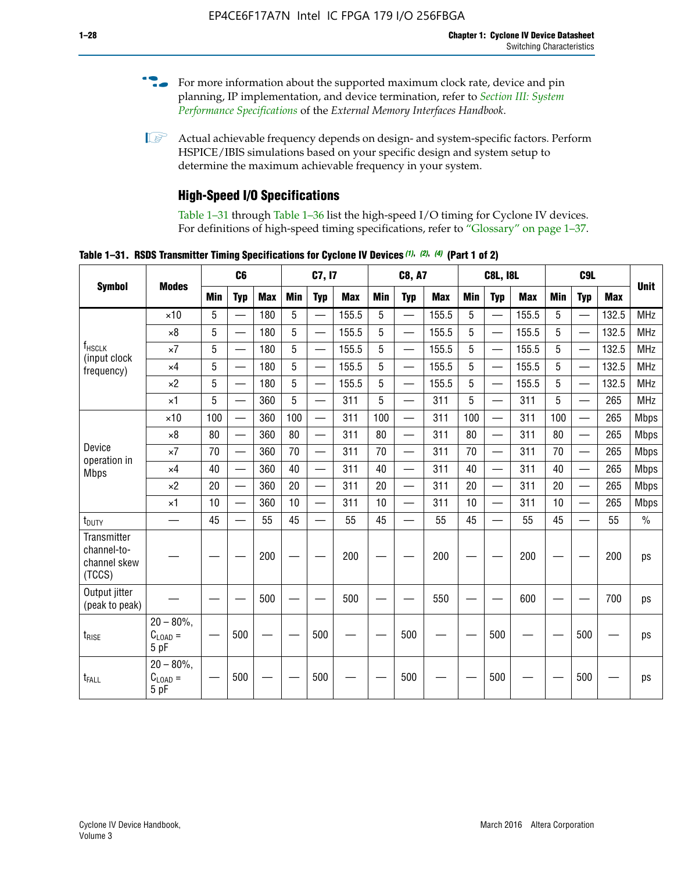- For more information about the supported maximum clock rate, device and pin planning, IP implementation, and device termination, refer to *[Section III: System](http://www.altera.com/literature/hb/external-memory/emi_intro_specs.pdf)  [Performance Specifications](http://www.altera.com/literature/hb/external-memory/emi_intro_specs.pdf)* of the *External Memory Interfaces Handbook*.
- **1 Actual achievable frequency depends on design- and system-specific factors. Perform** HSPICE/IBIS simulations based on your specific design and system setup to determine the maximum achievable frequency in your system.

### **High-Speed I/O Specifications**

Table 1–31 through Table 1–36 list the high-speed I/O timing for Cyclone IV devices. For definitions of high-speed timing specifications, refer to "Glossary" on page 1–37.

**Table 1–31. RSDS Transmitter Timing Specifications for Cyclone IV Devices** *(1)***,** *(2)***,** *(4)* **(Part 1 of 2)**

|                                                      |                                                     |                 | C6         |            |            | C7, I7                   |            |            | <b>C8, A7</b>            |            | <b>C8L, I8L</b> |                          |            |            |                          |            |               |
|------------------------------------------------------|-----------------------------------------------------|-----------------|------------|------------|------------|--------------------------|------------|------------|--------------------------|------------|-----------------|--------------------------|------------|------------|--------------------------|------------|---------------|
| <b>Symbol</b>                                        | <b>Modes</b>                                        | Min             | <b>Typ</b> | <b>Max</b> | <b>Min</b> | <b>Typ</b>               | <b>Max</b> | <b>Min</b> | <b>Typ</b>               | <b>Max</b> | <b>Min</b>      | <b>Typ</b>               | <b>Max</b> | <b>Min</b> | <b>Typ</b>               | <b>Max</b> | <b>Unit</b>   |
|                                                      | $\times$ 10                                         | 5               | —          | 180        | 5          | ÷,                       | 155.5      | 5          | $\overline{\phantom{0}}$ | 155.5      | 5               |                          | 155.5      | 5          |                          | 132.5      | <b>MHz</b>    |
|                                                      | $\times 8$                                          | 5               |            | 180        | 5          |                          | 155.5      | 5          | $\overline{\phantom{0}}$ | 155.5      | 5               |                          | 155.5      | 5          |                          | 132.5      | <b>MHz</b>    |
| f <sub>HSCLK</sub><br>(input clock                   | $\times 7$                                          | 5               |            | 180        | 5          |                          | 155.5      | 5          | $\overline{\phantom{0}}$ | 155.5      | 5               |                          | 155.5      | 5          |                          | 132.5      | <b>MHz</b>    |
| frequency)                                           | $\times$ 4                                          | 5               |            | 180        | 5          | $\overline{\phantom{0}}$ | 155.5      | 5          | $\qquad \qquad$          | 155.5      | 5               |                          | 155.5      | 5          | $\overline{\phantom{0}}$ | 132.5      | <b>MHz</b>    |
|                                                      | $\times 2$                                          | 5               |            | 180        | 5          |                          | 155.5      | 5          | $\equiv$                 | 155.5      | 5               | $\overline{\phantom{0}}$ | 155.5      | 5          | $\overline{\phantom{0}}$ | 132.5      | <b>MHz</b>    |
|                                                      | $\times$ 1                                          | 5               |            | 360        | 5          |                          | 311        | 5          | $\overline{\phantom{0}}$ | 311        | 5               | $\equiv$                 | 311        | 5          | $\equiv$                 | 265        | <b>MHz</b>    |
|                                                      | $\times$ 10                                         | 100             |            | 360        | 100        |                          | 311        | 100        | $\equiv$                 | 311        | 100             |                          | 311        | 100        | $\equiv$                 | 265        | <b>Mbps</b>   |
|                                                      | $\times 8$                                          | 80              |            | 360        | 80         |                          | 311        | 80         | $\overline{\phantom{0}}$ | 311        | 80              |                          | 311        | 80         | $\overline{\phantom{0}}$ | 265        | <b>Mbps</b>   |
| Device<br>operation in                               | $\times 7$                                          | 70              |            | 360        | 70         | $\overline{\phantom{0}}$ | 311        | 70         | $\overline{\phantom{0}}$ | 311        | 70              |                          | 311        | 70         | $\equiv$                 | 265        | <b>Mbps</b>   |
| <b>Mbps</b>                                          | $\times$ 4                                          | 40              |            | 360        | 40         |                          | 311        | 40         | $\overline{\phantom{0}}$ | 311        | 40              |                          | 311        | 40         | $\overline{\phantom{0}}$ | 265        | <b>Mbps</b>   |
|                                                      | $\times 2$                                          | 20              |            | 360        | 20         | $\overline{\phantom{0}}$ | 311        | 20         | $\overline{\phantom{0}}$ | 311        | 20              | $\qquad \qquad$          | 311        | 20         |                          | 265        | <b>Mbps</b>   |
|                                                      | $\times$ 1                                          | 10              |            | 360        | 10         |                          | 311        | 10         | $\overline{\phantom{0}}$ | 311        | 10              | $\overline{\phantom{0}}$ | 311        | 10         | $\overline{\phantom{0}}$ | 265        | <b>Mbps</b>   |
| t <sub>DUTY</sub>                                    | —                                                   | 45              |            | 55         | 45         |                          | 55         | 45         | $\overline{\phantom{0}}$ | 55         | 45              |                          | 55         | 45         |                          | 55         | $\frac{0}{0}$ |
| Transmitter<br>channel-to-<br>channel skew<br>(TCCS) |                                                     |                 |            | 200        |            |                          | 200        |            |                          | 200        |                 |                          | 200        |            |                          | 200        | ps            |
| Output jitter<br>(peak to peak)                      |                                                     |                 |            | 500        |            |                          | 500        |            |                          | 550        |                 |                          | 600        |            |                          | 700        | ps            |
| t <sub>rise</sub>                                    | $20 - 80\%$<br>$\mathrm{C}_{\text{LOAD}}$ =<br>5 pF | $\qquad \qquad$ | 500        |            |            | 500                      |            |            | 500                      |            |                 | 500                      |            |            | 500                      |            | ps            |
| t <sub>FALL</sub>                                    | $20 - 80\%$<br>$C_{LOAD} =$<br>5 pF                 |                 | 500        |            |            | 500                      |            |            | 500                      |            |                 | 500                      |            |            | 500                      |            | ps            |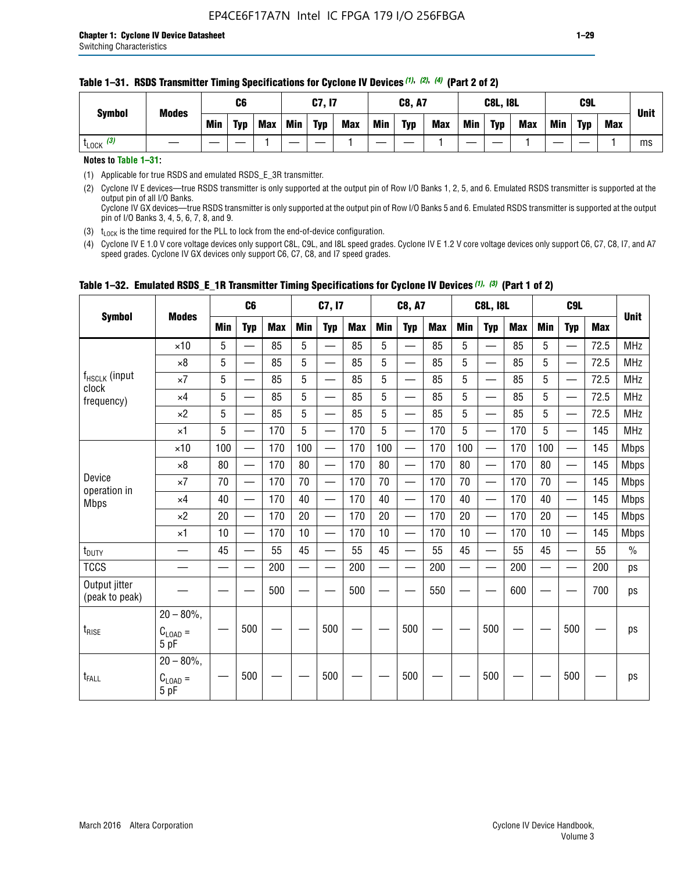|                       |                               | C6  |            |     | <b>C7, I7</b> |            |            | <b>C8, A7</b> |            |            | <b>C8L, I8L</b> |            |            | C <sub>9</sub> L |            |     |             |
|-----------------------|-------------------------------|-----|------------|-----|---------------|------------|------------|---------------|------------|------------|-----------------|------------|------------|------------------|------------|-----|-------------|
|                       | <b>Symbol</b><br><b>Modes</b> | Min | <b>Typ</b> | Max | Min           | <b>Typ</b> | <b>Max</b> | <b>Min</b>    | <b>Typ</b> | <b>Max</b> | Min             | <b>Typ</b> | <b>Max</b> | Min              | <b>Typ</b> | Max | <b>Unit</b> |
| $t_{\text{LOCK}}$ (3) |                               |     |            |     |               |            |            |               |            |            |                 |            |            |                  |            |     | ms          |

#### **Table 1–31. RSDS Transmitter Timing Specifications for Cyclone IV Devices** *(1)***,** *(2)***,** *(4)* **(Part 2 of 2)**

**Notes to Table 1–31:**

(1) Applicable for true RSDS and emulated RSDS\_E\_3R transmitter.

(2) Cyclone IV E devices—true RSDS transmitter is only supported at the output pin of Row I/O Banks 1, 2, 5, and 6. Emulated RSDS transmitter is supported at the output pin of all I/O Banks. Cyclone IV GX devices—true RSDS transmitter is only supported at the output pin of Row I/O Banks 5 and 6. Emulated RSDS transmitter is supported at the output

pin of I/O Banks 3, 4, 5, 6, 7, 8, and 9.

(3)  $t_{\text{LOCK}}$  is the time required for the PLL to lock from the end-of-device configuration.

(4) Cyclone IV E 1.0 V core voltage devices only support C8L, C9L, and I8L speed grades. Cyclone IV E 1.2 V core voltage devices only support C6, C7, C8, I7, and A7 speed grades. Cyclone IV GX devices only support C6, C7, C8, and I7 speed grades.

|                                 |                                       |            | C <sub>6</sub>           |            |            | C7, I7                   |            |                          | <b>C8, A7</b>            |            |            | <b>C8L, I8L</b>          |            |            | C <sub>9</sub> L         |            | <b>Unit</b>   |
|---------------------------------|---------------------------------------|------------|--------------------------|------------|------------|--------------------------|------------|--------------------------|--------------------------|------------|------------|--------------------------|------------|------------|--------------------------|------------|---------------|
| <b>Symbol</b>                   | <b>Modes</b>                          | <b>Min</b> | <b>Typ</b>               | <b>Max</b> | <b>Min</b> | <b>Typ</b>               | <b>Max</b> | <b>Min</b>               | <b>Typ</b>               | <b>Max</b> | <b>Min</b> | <b>Typ</b>               | <b>Max</b> | <b>Min</b> | <b>Typ</b>               | <b>Max</b> |               |
|                                 | $\times$ 10                           | 5          | $\equiv$                 | 85         | 5          | $\overline{\phantom{0}}$ | 85         | 5                        | $\overline{\phantom{0}}$ | 85         | 5          | $\overline{\phantom{0}}$ | 85         | 5          |                          | 72.5       | <b>MHz</b>    |
|                                 | $\times 8$                            | 5          | $\qquad \qquad$          | 85         | 5          |                          | 85         | 5                        | —                        | 85         | 5          | $\overline{\phantom{0}}$ | 85         | 5          |                          | 72.5       | <b>MHz</b>    |
| $f_{HSCLK}$ (input              | $\times 7$                            | 5          |                          | 85         | 5          |                          | 85         | 5                        | $\overline{\phantom{0}}$ | 85         | 5          | $\overline{\phantom{0}}$ | 85         | 5          |                          | 72.5       | <b>MHz</b>    |
| clock<br>frequency)             | $\times$ 4                            | 5          | —                        | 85         | 5          |                          | 85         | 5                        | —                        | 85         | 5          | $\overline{\phantom{0}}$ | 85         | 5          |                          | 72.5       | <b>MHz</b>    |
|                                 | $\times 2$                            | 5          | $\overline{\phantom{0}}$ | 85         | 5          | $\overline{\phantom{0}}$ | 85         | 5                        | —                        | 85         | 5          | $\overline{\phantom{0}}$ | 85         | 5          | —<br>—                   | 72.5       | <b>MHz</b>    |
|                                 | $\times$ 1                            | 5          | —                        | 170        | 5          |                          | 170        | 5                        | $\overline{\phantom{0}}$ | 170        | 5          | $\overline{\phantom{0}}$ | 170        | 5          |                          | 145        | <b>MHz</b>    |
|                                 | $\times$ 10                           | 100        | $\overline{\phantom{0}}$ | 170        | 100        |                          | 170        | 100                      | $\overline{\phantom{0}}$ | 170        | 100        | $\overline{\phantom{0}}$ | 170        | 100        |                          | 145        | <b>Mbps</b>   |
|                                 | $\times 8$                            | 80         | $\equiv$                 | 170        | 80         |                          | 170        | 80                       | $\overline{\phantom{0}}$ | 170        | 80         | $\overline{\phantom{0}}$ | 170        | 80         |                          | 145        | <b>Mbps</b>   |
| Device                          | $\times 7$                            | 70         | $\qquad \qquad$          | 170        | 70         | $\sim$                   | 170        | 70                       | $\overline{\phantom{0}}$ | 170        | 70         | $\overline{\phantom{0}}$ | 170        | 70         | —<br>—                   | 145        | <b>Mbps</b>   |
| operation in<br><b>Mbps</b>     | $\times$ 4                            | 40         | $\overline{\phantom{0}}$ | 170        | 40         | $\overline{\phantom{0}}$ | 170        | 40                       | $\overline{\phantom{0}}$ | 170        | 40         | $\overline{\phantom{0}}$ | 170        | 40         | $\overline{\phantom{0}}$ | 145        | <b>Mbps</b>   |
|                                 | $\times 2$                            | 20         | $\overline{\phantom{0}}$ | 170        | 20         | $\overline{\phantom{0}}$ | 170        | 20                       |                          | 170        | 20         | $\overline{\phantom{0}}$ | 170        | 20         | —                        | 145        | <b>Mbps</b>   |
|                                 | $\times$ 1                            | 10         |                          | 170        | 10         | —                        | 170        | 10                       | $\overline{\phantom{0}}$ | 170        | 10         | $\overline{\phantom{0}}$ | 170        | 10         | $\overline{\phantom{0}}$ | 145        | <b>Mbps</b>   |
| $t_{\text{DUTY}}$               |                                       | 45         |                          | 55         | 45         |                          | 55         | 45                       |                          | 55         | 45         | $\overline{\phantom{0}}$ | 55         | 45         |                          | 55         | $\frac{0}{0}$ |
| <b>TCCS</b>                     |                                       |            | <u>in a</u>              | 200        |            |                          | 200        | $\overline{\phantom{0}}$ |                          | 200        |            | $\overline{\phantom{0}}$ | 200        |            |                          | 200        | ps            |
| Output jitter<br>(peak to peak) |                                       |            |                          | 500        |            |                          | 500        |                          |                          | 550        |            |                          | 600        |            |                          | 700        | ps            |
| $t_{\text{RISE}}$               | $20 - 80\%$ ,<br>$C_{LOAD} =$<br>5 pF |            | 500                      |            |            | 500                      |            |                          | 500                      |            |            | 500                      |            |            | 500                      |            | ps            |
| t <sub>FALL</sub>               | $20 - 80\%$ ,<br>$C_{LOAD} =$<br>5 pF |            | 500                      |            |            | 500                      |            |                          | 500                      |            |            | 500                      |            |            | 500                      |            | ps            |

### **Table 1–32. Emulated RSDS\_E\_1R Transmitter Timing Specifications for Cyclone IV Devices** *(1), (3)* **(Part 1 of 2)**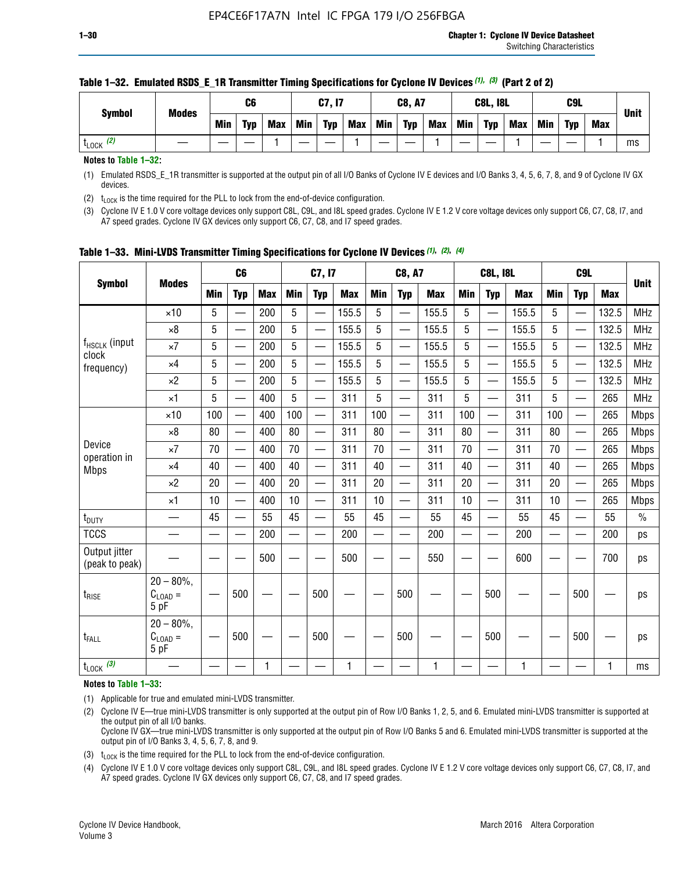| <b>Symbol</b>         | <b>Modes</b> |     | C6         |            |     | C7, I7     |     |     | <b>C8, A7</b> |     |     | <b>C8L, I8L</b> |     | C9L        |            | <b>Unit</b> |    |
|-----------------------|--------------|-----|------------|------------|-----|------------|-----|-----|---------------|-----|-----|-----------------|-----|------------|------------|-------------|----|
|                       |              | Min | <b>Typ</b> | <b>Max</b> | Min | <b>Typ</b> | Max | Min | <b>Typ</b>    | Max | Min | <b>Typ</b>      | Max | <b>Min</b> | <b>Typ</b> | Max         |    |
| $t_{\text{LOCK}}$ (2) |              |     |            |            |     |            |     |     |               |     |     |                 |     |            |            |             | ms |

#### **Table 1–32. Emulated RSDS\_E\_1R Transmitter Timing Specifications for Cyclone IV Devices** *(1), (3)* **(Part 2 of 2)**

**Notes to Table 1–32:**

(1) Emulated RSDS\_E\_1R transmitter is supported at the output pin of all I/O Banks of Cyclone IV E devices and I/O Banks 3, 4, 5, 6, 7, 8, and 9 of Cyclone IV GX devices.

(2)  $t_{\text{LOCK}}$  is the time required for the PLL to lock from the end-of-device configuration.

(3) Cyclone IV E 1.0 V core voltage devices only support C8L, C9L, and I8L speed grades. Cyclone IV E 1.2 V core voltage devices only support C6, C7, C8, I7, and A7 speed grades. Cyclone IV GX devices only support C6, C7, C8, and I7 speed grades.

|                                 |                                           |            | C <sub>6</sub>           |            |                          | C7, I7                   |            |            | <b>C8, A7</b>            |              |            | <b>C8L, I8L</b>          |            |            | C <sub>9</sub> L         |            | <b>Unit</b>   |
|---------------------------------|-------------------------------------------|------------|--------------------------|------------|--------------------------|--------------------------|------------|------------|--------------------------|--------------|------------|--------------------------|------------|------------|--------------------------|------------|---------------|
| <b>Symbol</b>                   | <b>Modes</b>                              | <b>Min</b> | <b>Typ</b>               | <b>Max</b> | <b>Min</b>               | <b>Typ</b>               | <b>Max</b> | <b>Min</b> | <b>Typ</b>               | <b>Max</b>   | <b>Min</b> | <b>Typ</b>               | <b>Max</b> | <b>Min</b> | <b>Typ</b>               | <b>Max</b> |               |
|                                 | $\times$ 10                               | 5          |                          | 200        | 5                        | —                        | 155.5      | 5          | $\overline{\phantom{0}}$ | 155.5        | 5          | $\overline{\phantom{0}}$ | 155.5      | 5          | $\overline{\phantom{0}}$ | 132.5      | <b>MHz</b>    |
|                                 | $\times 8$                                | 5          | $\qquad \qquad$          | 200        | 5                        | $\overline{\phantom{0}}$ | 155.5      | 5          | —                        | 155.5        | 5          |                          | 155.5      | 5          |                          | 132.5      | <b>MHz</b>    |
| f <sub>HSCLK</sub> (input       | $\times 7$                                | 5          | $\qquad \qquad$          | 200        | 5                        | ÷,                       | 155.5      | 5          | —                        | 155.5        | 5          |                          | 155.5      | 5          |                          | 132.5      | <b>MHz</b>    |
| clock<br>frequency)             | $\times$ 4                                | 5          | $\overline{\phantom{0}}$ | 200        | 5                        | —                        | 155.5      | 5          | $\overline{\phantom{0}}$ | 155.5        | 5          |                          | 155.5      | 5          | $\overline{\phantom{0}}$ | 132.5      | <b>MHz</b>    |
|                                 | $\times 2$                                | 5          | $\overline{\phantom{0}}$ | 200        | 5                        | $\overline{\phantom{0}}$ | 155.5      | 5          | $\overline{\phantom{0}}$ | 155.5        | 5          | $\overline{\phantom{0}}$ | 155.5      | 5          |                          | 132.5      | <b>MHz</b>    |
|                                 | $\times$ 1                                | 5          | $\overline{\phantom{0}}$ | 400        | 5                        |                          | 311        | 5          | —                        | 311          | 5          | $\overline{\phantom{0}}$ | 311        | 5          |                          | 265        | <b>MHz</b>    |
|                                 | $\times$ 10                               | 100        |                          | 400        | 100                      | $\overline{\phantom{0}}$ | 311        | 100        | $\overline{\phantom{0}}$ | 311          | 100        | $\overline{\phantom{0}}$ | 311        | 100        |                          | 265        | <b>Mbps</b>   |
|                                 | $\times 8$                                | 80         | $\overline{\phantom{0}}$ | 400        | 80                       | $\overline{\phantom{0}}$ | 311        | 80         | $\overline{\phantom{0}}$ | 311          | 80         | $\overline{\phantom{0}}$ | 311        | 80         |                          | 265        | <b>Mbps</b>   |
| Device                          | $\times 7$                                | 70         |                          | 400        | 70                       |                          | 311        | 70         | $\overline{\phantom{0}}$ | 311          | 70         |                          | 311        | 70         |                          | 265        | <b>Mbps</b>   |
| operation in<br><b>Mbps</b>     | $\times 4$                                | 40         | $\overline{\phantom{0}}$ | 400        | 40                       |                          | 311        | 40         | $\overline{\phantom{0}}$ | 311          | 40         | —                        | 311        | 40         |                          | 265        | <b>Mbps</b>   |
|                                 | $\times 2$                                | 20         |                          | 400        | 20                       | —                        | 311        | 20         | $\overline{\phantom{0}}$ | 311          | 20         | $\overline{\phantom{0}}$ | 311        | 20         |                          | 265        | <b>Mbps</b>   |
|                                 | ×1                                        | 10         | $\overline{\phantom{0}}$ | 400        | 10                       | $\overline{\phantom{0}}$ | 311        | 10         | $\overline{\phantom{0}}$ | 311          | 10         | —                        | 311        | 10         |                          | 265        | <b>Mbps</b>   |
| t <sub>DUTY</sub>               |                                           | 45         |                          | 55         | 45                       | $\overline{\phantom{0}}$ | 55         | 45         | $\overline{\phantom{0}}$ | 55           | 45         | $\overline{\phantom{0}}$ | 55         | 45         |                          | 55         | $\frac{0}{0}$ |
| <b>TCCS</b>                     |                                           |            |                          | 200        | $\overline{\phantom{0}}$ |                          | 200        |            |                          | 200          | —          |                          | 200        |            |                          | 200        | ps            |
| Output jitter<br>(peak to peak) |                                           |            |                          | 500        |                          |                          | 500        |            |                          | 550          |            |                          | 600        |            |                          | 700        | ps            |
| $t_{\sf RISE}$                  | $20 - 80\%$ ,<br>$C_{LOAD} =$<br>5 pF     |            | 500                      |            |                          | 500                      |            |            | 500                      |              |            | 500                      |            |            | 500                      |            | ps            |
| t <sub>FALL</sub>               | $20 - 80\%$<br>$\rm C_{LOAD}$ $=$<br>5 pF |            | 500                      |            |                          | 500                      |            |            | 500                      |              |            | 500                      |            |            | 500                      |            | ps            |
| $t_{\text{LOCK}}$ (3)           |                                           |            |                          | 1          |                          |                          | 1          |            |                          | $\mathbf{1}$ |            |                          | 1          |            |                          | 1          | ms            |

**Table 1–33. Mini-LVDS Transmitter Timing Specifications for Cyclone IV Devices** *(1)***,** *(2)***,** *(4)*

**Notes to Table 1–33:**

(1) Applicable for true and emulated mini-LVDS transmitter.

(2) Cyclone IV E—true mini-LVDS transmitter is only supported at the output pin of Row I/O Banks 1, 2, 5, and 6. Emulated mini-LVDS transmitter is supported at the output pin of all I/O banks.

Cyclone IV GX—true mini-LVDS transmitter is only supported at the output pin of Row I/O Banks 5 and 6. Emulated mini-LVDS transmitter is supported at the output pin of I/O Banks 3, 4, 5, 6, 7, 8, and 9.

(3)  $t_{\text{LOCK}}$  is the time required for the PLL to lock from the end-of-device configuration.

(4) Cyclone IV E 1.0 V core voltage devices only support C8L, C9L, and I8L speed grades. Cyclone IV E 1.2 V core voltage devices only support C6, C7, C8, I7, and A7 speed grades. Cyclone IV GX devices only support C6, C7, C8, and I7 speed grades.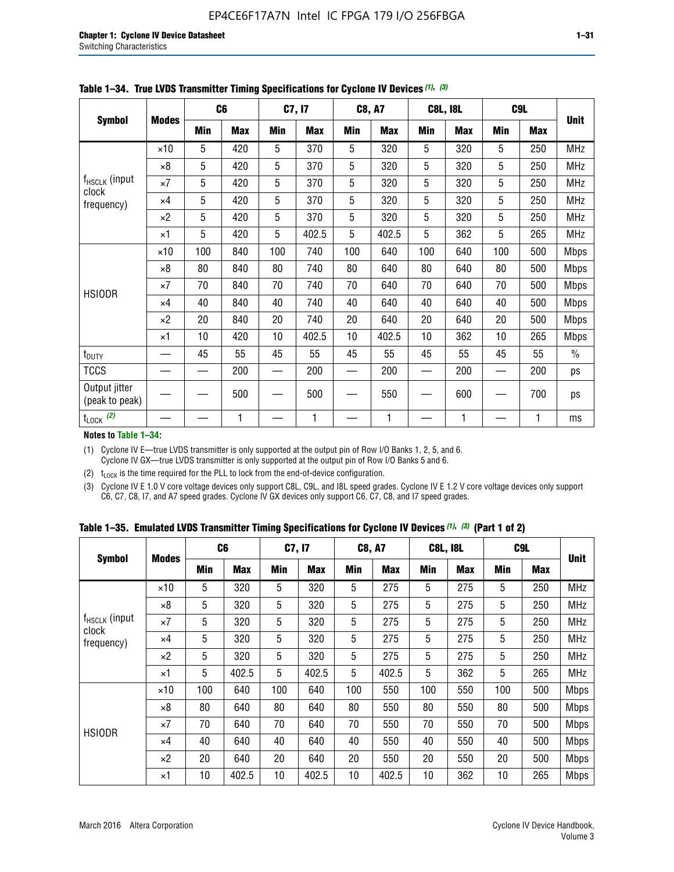|                                    |              |     | C <sub>6</sub> |     | C7, I7     |            | <b>C8, A7</b> |     | <b>C8L, I8L</b> | C <sub>9</sub> L |            |             |
|------------------------------------|--------------|-----|----------------|-----|------------|------------|---------------|-----|-----------------|------------------|------------|-------------|
| <b>Symbol</b>                      | <b>Modes</b> | Min | <b>Max</b>     | Min | <b>Max</b> | <b>Min</b> | <b>Max</b>    | Min | <b>Max</b>      | Min              | <b>Max</b> | <b>Unit</b> |
|                                    | $\times$ 10  | 5   | 420            | 5   | 370        | 5          | 320           | 5   | 320             | 5                | 250        | <b>MHz</b>  |
|                                    | $\times 8$   | 5   | 420            | 5   | 370        | 5          | 320           | 5   | 320             | 5                | 250        | <b>MHz</b>  |
| f <sub>HSCLK</sub> (input<br>clock | $\times 7$   | 5   | 420            | 5   | 370        | 5          | 320           | 5   | 320             | 5                | 250        | MHz         |
| frequency)                         | $\times$ 4   | 5   | 420            | 5   | 370        | 5          | 320           | 5   | 320             | 5                | 250        | <b>MHz</b>  |
|                                    | $\times 2$   | 5   | 420            | 5   | 370        | 5          | 320           | 5   | 320             | 5                | 250        | <b>MHz</b>  |
|                                    | $\times$ 1   | 5   | 420            | 5   | 402.5      | 5          | 402.5         | 5   | 362             | 5                | 265        | MHz         |
|                                    | $\times$ 10  | 100 | 840            | 100 | 740        | 100        | 640           | 100 | 640             | 100              | 500        | Mbps        |
|                                    | $\times 8$   | 80  | 840            | 80  | 740        | 80         | 640           | 80  | 640             | 80               | 500        | <b>Mbps</b> |
| <b>HSIODR</b>                      | $\times 7$   | 70  | 840            | 70  | 740        | 70         | 640           | 70  | 640             | 70               | 500        | <b>Mbps</b> |
|                                    | $\times$ 4   | 40  | 840            | 40  | 740        | 40         | 640           | 40  | 640             | 40               | 500        | <b>Mbps</b> |
|                                    | $\times 2$   | 20  | 840            | 20  | 740        | 20         | 640           | 20  | 640             | 20               | 500        | <b>Mbps</b> |
|                                    | $\times$ 1   | 10  | 420            | 10  | 402.5      | 10         | 402.5         | 10  | 362             | 10               | 265        | <b>Mbps</b> |
| $t_{\text{DUTY}}$                  |              | 45  | 55             | 45  | 55         | 45         | 55            | 45  | 55              | 45               | 55         | $\%$        |
| <b>TCCS</b>                        |              |     | 200            |     | 200        |            | 200           |     | 200             |                  | 200        | ps          |
| Output jitter<br>(peak to peak)    |              |     | 500            |     | 500        |            | 550           |     | 600             |                  | 700        | ps          |
| $t_{\text{LOCK}}$ (2)              |              |     | $\mathbf{1}$   |     | 1          |            | 1             |     | 1               |                  | 1          | ms          |

**Table 1–34. True LVDS Transmitter Timing Specifications for Cyclone IV Devices** *(1)***,** *(3)*

**Notes to Table 1–34:**

(1) Cyclone IV E—true LVDS transmitter is only supported at the output pin of Row I/O Banks 1, 2, 5, and 6. Cyclone IV GX—true LVDS transmitter is only supported at the output pin of Row I/O Banks 5 and 6.

(2)  $t_{\text{LOCK}}$  is the time required for the PLL to lock from the end-of-device configuration.

(3) Cyclone IV E 1.0 V core voltage devices only support C8L, C9L, and I8L speed grades. Cyclone IV E 1.2 V core voltage devices only support C6, C7, C8, I7, and A7 speed grades. Cyclone IV GX devices only support C6, C7, C8, and I7 speed grades.

|  |  |  |  | Table 1–35. Emulated LVDS Transmitter Timing Specifications for Cyclone IV Devices <sup>(1), (3)</sup> (Part 1 of 2) |  |
|--|--|--|--|----------------------------------------------------------------------------------------------------------------------|--|
|--|--|--|--|----------------------------------------------------------------------------------------------------------------------|--|

| <b>Symbol</b>               |              | C <sub>6</sub> |            | C7, I7     |            | <b>C8, A7</b> |            | <b>C8L, I8L</b> |            | C <sub>9L</sub> |            |             |
|-----------------------------|--------------|----------------|------------|------------|------------|---------------|------------|-----------------|------------|-----------------|------------|-------------|
|                             | <b>Modes</b> | Min            | <b>Max</b> | <b>Min</b> | <b>Max</b> | <b>Min</b>    | <b>Max</b> | <b>Min</b>      | <b>Max</b> | <b>Min</b>      | <b>Max</b> | <b>Unit</b> |
|                             | $\times$ 10  | 5              | 320        | 5          | 320        | 5             | 275        | 5               | 275        | 5               | 250        | <b>MHz</b>  |
|                             | $\times 8$   | 5              | 320        | 5          | 320        | 5             | 275        | 5               | 275        | 5               | 250        | <b>MHz</b>  |
| $f_{HSCLK}$ (input<br>clock | $\times 7$   | 5              | 320        | 5          | 320        | 5             | 275        | 5               | 275        | 5               | 250        | <b>MHz</b>  |
| frequency)                  | $\times$ 4   | 5              | 320        | 5          | 320        | 5             | 275        | 5               | 275        | 5               | 250        | <b>MHz</b>  |
|                             | $\times 2$   | 5              | 320        | 5          | 320        | 5             | 275        | 5               | 275        | 5               | 250        | <b>MHz</b>  |
|                             | $\times$ 1   | 5              | 402.5      | 5          | 402.5      | 5             | 402.5      | 5               | 362        | 5               | 265        | <b>MHz</b>  |
|                             | $\times$ 10  | 100            | 640        | 100        | 640        | 100           | 550        | 100             | 550        | 100             | 500        | <b>Mbps</b> |
|                             | $\times 8$   | 80             | 640        | 80         | 640        | 80            | 550        | 80              | 550        | 80              | 500        | <b>Mbps</b> |
| <b>HSIODR</b>               | $\times 7$   | 70             | 640        | 70         | 640        | 70            | 550        | 70              | 550        | 70              | 500        | <b>Mbps</b> |
|                             | $\times$ 4   | 40             | 640        | 40         | 640        | 40            | 550        | 40              | 550        | 40              | 500        | <b>Mbps</b> |
|                             | $\times 2$   | 20             | 640        | 20         | 640        | 20            | 550        | 20              | 550        | 20              | 500        | <b>Mbps</b> |
|                             | ×1           | 10             | 402.5      | 10         | 402.5      | 10            | 402.5      | 10              | 362        | 10              | 265        | <b>Mbps</b> |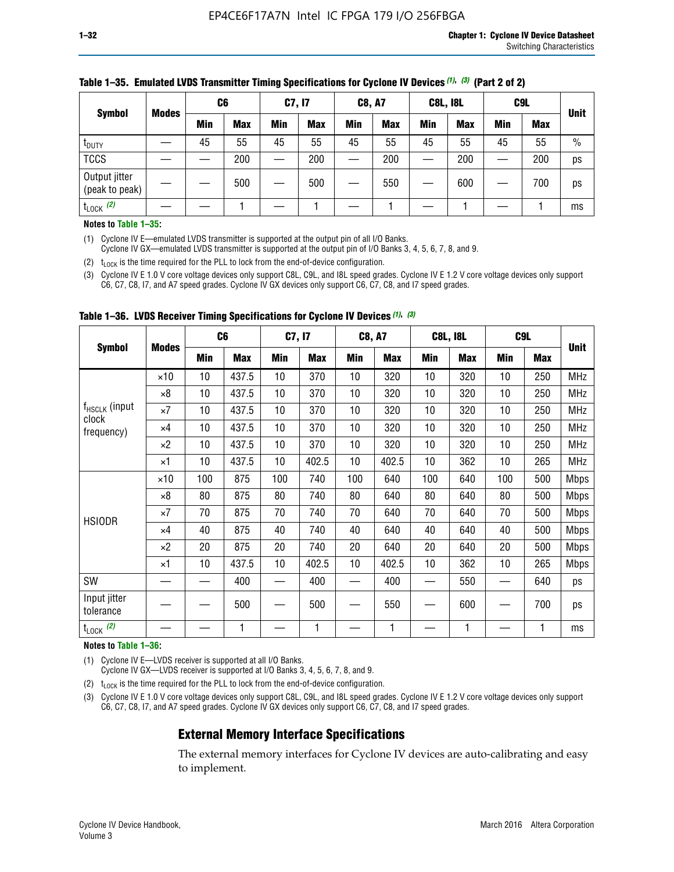| <b>Symbol</b>                   |              | C <sub>6</sub> |            | C7, I7     |            | <b>C8, A7</b> |            | <b>C8L, I8L</b> |            |     | C <sub>9</sub> L |               |
|---------------------------------|--------------|----------------|------------|------------|------------|---------------|------------|-----------------|------------|-----|------------------|---------------|
|                                 | <b>Modes</b> | Min            | <b>Max</b> | <b>Min</b> | <b>Max</b> | <b>Min</b>    | <b>Max</b> | Min             | <b>Max</b> | Min | <b>Max</b>       | <b>Unit</b>   |
| t <sub>DUTY</sub>               |              | 45             | 55         | 45         | 55         | 45            | 55         | 45              | 55         | 45  | 55               | $\frac{0}{0}$ |
| <b>TCCS</b>                     |              |                | 200        |            | 200        |               | 200        |                 | 200        |     | 200              | ps            |
| Output jitter<br>(peak to peak) |              |                | 500        |            | 500        |               | 550        |                 | 600        |     | 700              | ps            |
| $t_{\text{LOCK}}$ (2)           |              |                |            |            |            |               |            |                 |            |     |                  | ms            |

### **Table 1–35. Emulated LVDS Transmitter Timing Specifications for Cyclone IV Devices** *(1)***,** *(3)* **(Part 2 of 2)**

#### **Notes to Table 1–35:**

(1) Cyclone IV E—emulated LVDS transmitter is supported at the output pin of all I/O Banks.

Cyclone IV GX—emulated LVDS transmitter is supported at the output pin of I/O Banks 3, 4, 5, 6, 7, 8, and 9.

(2)  $t_{\text{LOCK}}$  is the time required for the PLL to lock from the end-of-device configuration.

(3) Cyclone IV E 1.0 V core voltage devices only support C8L, C9L, and I8L speed grades. Cyclone IV E 1.2 V core voltage devices only support C6, C7, C8, I7, and A7 speed grades. Cyclone IV GX devices only support C6, C7, C8, and I7 speed grades.

| <b>Symbol</b>                      |              |     | C <sub>6</sub> | C7, I7 |       | <b>C8, A7</b> |            | <b>C8L, I8L</b> |            | C <sub>9</sub> L |     |             |
|------------------------------------|--------------|-----|----------------|--------|-------|---------------|------------|-----------------|------------|------------------|-----|-------------|
|                                    | <b>Modes</b> | Min | <b>Max</b>     | Min    | Max   | Min           | <b>Max</b> | Min             | <b>Max</b> | Min              | Max | <b>Unit</b> |
|                                    | $\times$ 10  | 10  | 437.5          | 10     | 370   | 10            | 320        | 10              | 320        | 10               | 250 | MHz         |
|                                    | ×8           | 10  | 437.5          | 10     | 370   | 10            | 320        | 10              | 320        | 10               | 250 | <b>MHz</b>  |
| f <sub>HSCLK</sub> (input<br>clock | ×7           | 10  | 437.5          | 10     | 370   | 10            | 320        | 10              | 320        | 10               | 250 | <b>MHz</b>  |
| frequency)                         | $\times 4$   | 10  | 437.5          | 10     | 370   | 10            | 320        | 10              | 320        | 10               | 250 | <b>MHz</b>  |
|                                    | $\times 2$   | 10  | 437.5          | 10     | 370   | 10            | 320        | 10              | 320        | 10               | 250 | <b>MHz</b>  |
|                                    | ×1           | 10  | 437.5          | 10     | 402.5 | 10            | 402.5      | 10              | 362        | 10               | 265 | <b>MHz</b>  |
|                                    | $\times$ 10  | 100 | 875            | 100    | 740   | 100           | 640        | 100             | 640        | 100              | 500 | <b>Mbps</b> |
|                                    | $\times 8$   | 80  | 875            | 80     | 740   | 80            | 640        | 80              | 640        | 80               | 500 | <b>Mbps</b> |
| <b>HSIODR</b>                      | ×7           | 70  | 875            | 70     | 740   | 70            | 640        | 70              | 640        | 70               | 500 | <b>Mbps</b> |
|                                    | $\times 4$   | 40  | 875            | 40     | 740   | 40            | 640        | 40              | 640        | 40               | 500 | <b>Mbps</b> |
|                                    | $\times 2$   | 20  | 875            | 20     | 740   | 20            | 640        | 20              | 640        | 20               | 500 | <b>Mbps</b> |
|                                    | ×1           | 10  | 437.5          | 10     | 402.5 | 10            | 402.5      | 10              | 362        | 10               | 265 | <b>Mbps</b> |
| SW                                 |              |     | 400            |        | 400   |               | 400        |                 | 550        |                  | 640 | ps          |
| Input jitter<br>tolerance          |              |     | 500            |        | 500   |               | 550        |                 | 600        |                  | 700 | ps          |
| $t_{\text{LOCK}}$ (2)              |              |     | 1              |        | 1     |               | 1          |                 | 1          |                  | 1   | ms          |

**Table 1–36. LVDS Receiver Timing Specifications for Cyclone IV Devices** *(1)***,** *(3)*

#### **Notes to Table 1–36:**

(1) Cyclone IV E—LVDS receiver is supported at all I/O Banks.

Cyclone IV GX—LVDS receiver is supported at I/O Banks 3, 4, 5, 6, 7, 8, and 9.

(2)  $t_{\text{LOCK}}$  is the time required for the PLL to lock from the end-of-device configuration.

(3) Cyclone IV E 1.0 V core voltage devices only support C8L, C9L, and I8L speed grades. Cyclone IV E 1.2 V core voltage devices only support C6, C7, C8, I7, and A7 speed grades. Cyclone IV GX devices only support C6, C7, C8, and I7 speed grades.

### **External Memory Interface Specifications**

The external memory interfaces for Cyclone IV devices are auto-calibrating and easy to implement.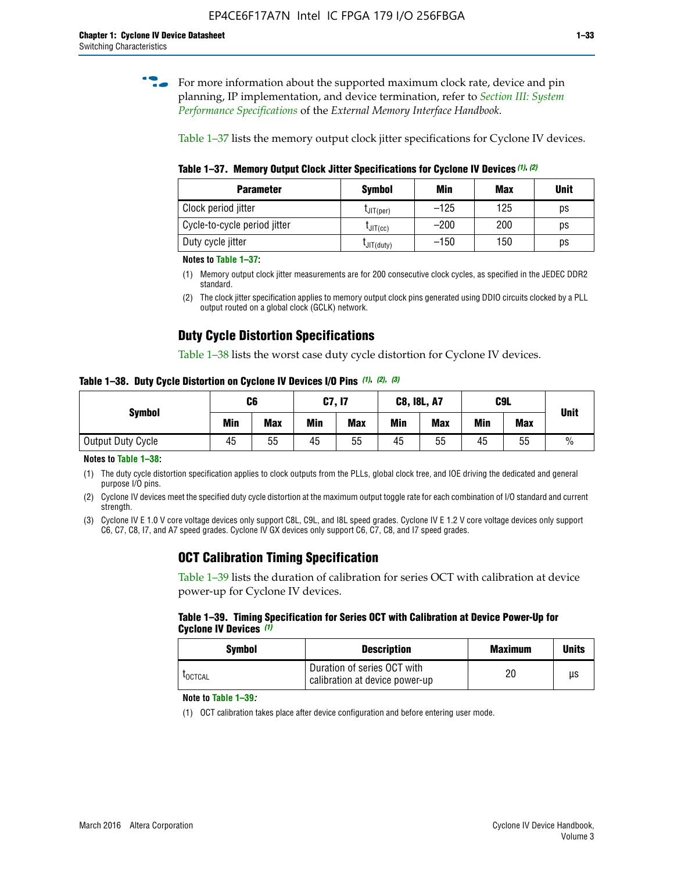**for more information about the supported maximum clock rate, device and pin** planning, IP implementation, and device termination, refer to *[Section III: System](http://www.altera.com/literature/hb/external-memory/emi_intro_specs.pdf)  [Performance Specifications](http://www.altera.com/literature/hb/external-memory/emi_intro_specs.pdf)* of the *External Memory Interface Handbook*.

Table 1–37 lists the memory output clock jitter specifications for Cyclone IV devices.

**Table 1–37. Memory Output Clock Jitter Specifications for Cyclone IV Devices** *(1)***,** *(2)*

| <b>Parameter</b>             | <b>Symbol</b>  | Min    | <b>Max</b> | <b>Unit</b> |
|------------------------------|----------------|--------|------------|-------------|
| Clock period jitter          | $L$ JIT(per)   | $-125$ | 125        | ps          |
| Cycle-to-cycle period jitter | $L$ JIT $(cc)$ | $-200$ | 200        | ps          |
| Duty cycle jitter            | LJIT(duty)     | $-150$ | 150        | рs          |

**Notes to Table 1–37:**

(1) Memory output clock jitter measurements are for 200 consecutive clock cycles, as specified in the JEDEC DDR2 standard.

### **Duty Cycle Distortion Specifications**

Table 1–38 lists the worst case duty cycle distortion for Cyclone IV devices.

**Table 1–38. Duty Cycle Distortion on Cyclone IV Devices I/O Pins** *(1)***,** *(2), (3)*

| <b>Symbol</b>     | C6  |            | C7, I7     |            | <b>C8, I8L, A7</b> |            |            | C9L        | <b>Unit</b>   |
|-------------------|-----|------------|------------|------------|--------------------|------------|------------|------------|---------------|
|                   | Min | <b>Max</b> | <b>Min</b> | <b>Max</b> | Min                | <b>Max</b> | <b>Min</b> | <b>Max</b> |               |
| Output Duty Cycle | 45  | 55         | 45         | 55         | 45                 | 55         | 45         | 55         | $\frac{0}{0}$ |

**Notes to Table 1–38:**

(1) The duty cycle distortion specification applies to clock outputs from the PLLs, global clock tree, and IOE driving the dedicated and general purpose I/O pins.

(2) Cyclone IV devices meet the specified duty cycle distortion at the maximum output toggle rate for each combination of I/O standard and current strength.

(3) Cyclone IV E 1.0 V core voltage devices only support C8L, C9L, and I8L speed grades. Cyclone IV E 1.2 V core voltage devices only support C6, C7, C8, I7, and A7 speed grades. Cyclone IV GX devices only support C6, C7, C8, and I7 speed grades.

### **OCT Calibration Timing Specification**

Table 1–39 lists the duration of calibration for series OCT with calibration at device power-up for Cyclone IV devices.

#### **Table 1–39. Timing Specification for Series OCT with Calibration at Device Power-Up for Cyclone IV Devices** *(1)*

| Symbol  | <b>Description</b>                                            | <b>Maximum</b> | <b>Units</b> |
|---------|---------------------------------------------------------------|----------------|--------------|
| LOCTCAL | Duration of series OCT with<br>calibration at device power-up | 20             | μs           |

#### **Note to Table 1–39***:*

(1) OCT calibration takes place after device configuration and before entering user mode.

<sup>(2)</sup> The clock jitter specification applies to memory output clock pins generated using DDIO circuits clocked by a PLL output routed on a global clock (GCLK) network.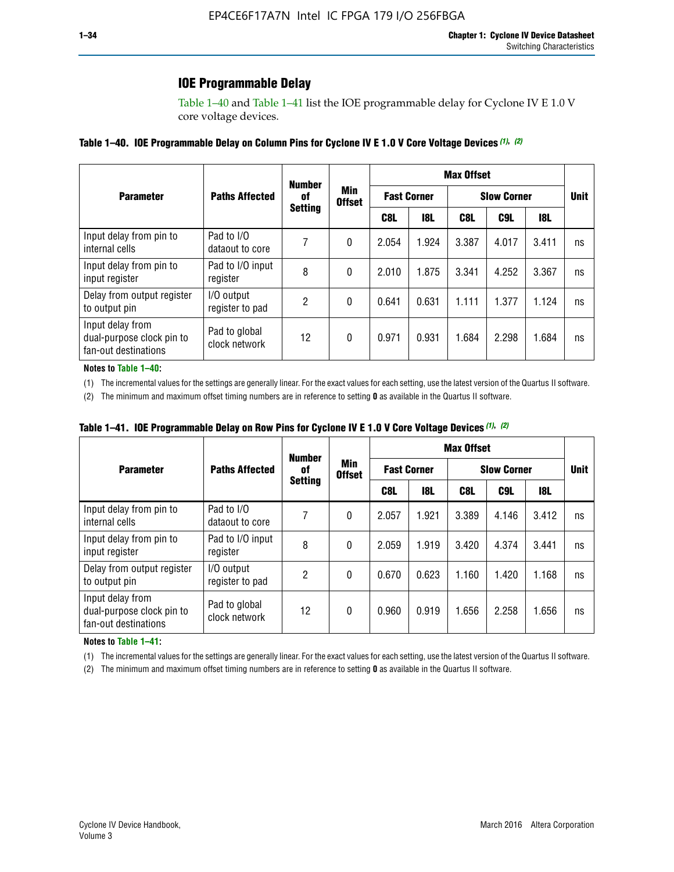### **IOE Programmable Delay**

Table 1–40 and Table 1–41 list the IOE programmable delay for Cyclone IV E 1.0 V core voltage devices.

### **Table 1–40. IOE Programmable Delay on Column Pins for Cyclone IV E 1.0 V Core Voltage Devices** *(1)***,** *(2)*

|                                                                       |                                | <b>Number</b>  |                      |                    |            | <b>Max Offset</b>  |       |             |    |
|-----------------------------------------------------------------------|--------------------------------|----------------|----------------------|--------------------|------------|--------------------|-------|-------------|----|
| <b>Parameter</b>                                                      | <b>Paths Affected</b>          | 0f             | Min<br><b>Offset</b> | <b>Fast Corner</b> |            | <b>Slow Corner</b> |       | <b>Unit</b> |    |
|                                                                       |                                | <b>Setting</b> |                      | C8L                | <b>18L</b> | C8L                | C9L   | 18L         |    |
| Input delay from pin to<br>internal cells                             | Pad to I/O<br>dataout to core  |                | 0                    | 2.054              | 1.924      | 3.387              | 4.017 | 3.411       | ns |
| Input delay from pin to<br>input register                             | Pad to I/O input<br>register   | 8              | 0                    | 2.010              | 1.875      | 3.341              | 4.252 | 3.367       | ns |
| Delay from output register<br>to output pin                           | I/O output<br>register to pad  | 2              | 0                    | 0.641              | 0.631      | 1.111              | 1.377 | 1.124       | ns |
| Input delay from<br>dual-purpose clock pin to<br>fan-out destinations | Pad to global<br>clock network | 12             | 0                    | 0.971              | 0.931      | 1.684              | 2.298 | 1.684       | ns |

#### **Notes to Table 1–40:**

(1) The incremental values for the settings are generally linear. For the exact values for each setting, use the latest version of the Quartus II software.

(2) The minimum and maximum offset timing numbers are in reference to setting **0** as available in the Quartus II software.

| Table 1–41. IOE Programmable Delay on Row Pins for Cyclone IV E 1.0 V Core Voltage Devices (1), (2) |  |  |
|-----------------------------------------------------------------------------------------------------|--|--|
|-----------------------------------------------------------------------------------------------------|--|--|

|                                                                       |                                | <b>Number</b> |                                        | <b>Max Offset</b> |                    |                    |             |       |    |  |
|-----------------------------------------------------------------------|--------------------------------|---------------|----------------------------------------|-------------------|--------------------|--------------------|-------------|-------|----|--|
| <b>Parameter</b>                                                      | <b>Paths Affected</b>          | 0f            | Min<br><b>Offset</b><br><b>Setting</b> |                   | <b>Fast Corner</b> | <b>Slow Corner</b> | <b>Unit</b> |       |    |  |
|                                                                       |                                |               |                                        | C8L               | <b>18L</b>         | C8L                | C9L         | 18L   |    |  |
| Input delay from pin to<br>internal cells                             | Pad to I/O<br>dataout to core  |               | 0                                      | 2.057             | 1.921              | 3.389              | 4.146       | 3.412 | ns |  |
| Input delay from pin to<br>input register                             | Pad to I/O input<br>register   | 8             | 0                                      | 2.059             | 1.919              | 3.420              | 4.374       | 3.441 | ns |  |
| Delay from output register<br>to output pin                           | I/O output<br>register to pad  | 2             | 0                                      | 0.670             | 0.623              | 1.160              | 1.420       | 1.168 | ns |  |
| Input delay from<br>dual-purpose clock pin to<br>fan-out destinations | Pad to global<br>clock network | 12            | 0                                      | 0.960             | 0.919              | 1.656              | 2.258       | 1.656 | ns |  |

#### **Notes to Table 1–41:**

(1) The incremental values for the settings are generally linear. For the exact values for each setting, use the latest version of the Quartus II software.

(2) The minimum and maximum offset timing numbers are in reference to setting **0** as available in the Quartus II software.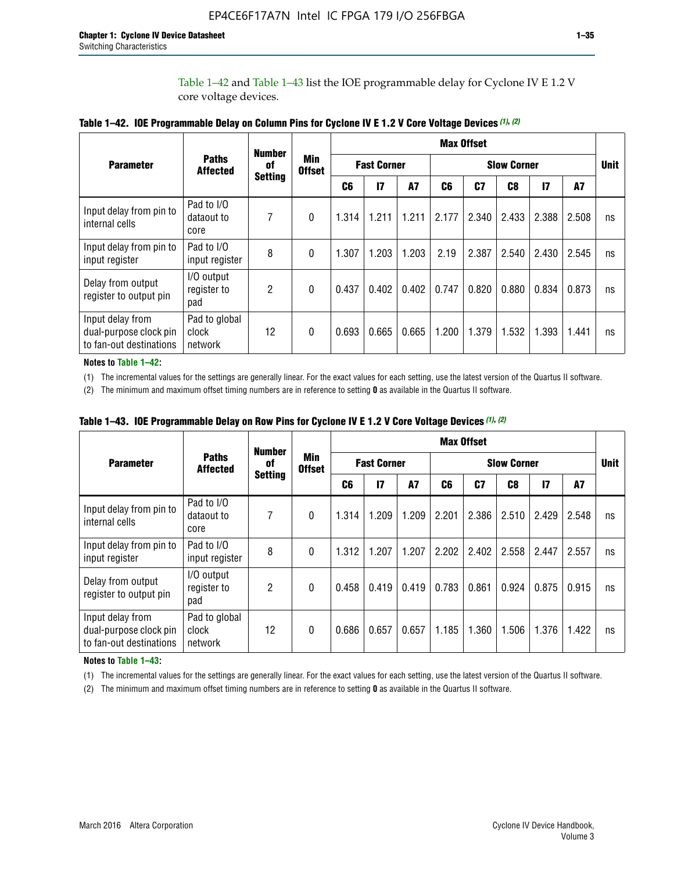Table 1–42 and Table 1–43 list the IOE programmable delay for Cyclone IV E 1.2 V core voltage devices.

|                                                                       |                                   |                | <b>Number</b>        |                |                    |           |                    | <b>Max Offset</b> |                |               |       |             |
|-----------------------------------------------------------------------|-----------------------------------|----------------|----------------------|----------------|--------------------|-----------|--------------------|-------------------|----------------|---------------|-------|-------------|
| <b>Parameter</b>                                                      | <b>Paths</b><br><b>Affected</b>   | of             | Min<br><b>Offset</b> |                | <b>Fast Corner</b> |           | <b>Slow Corner</b> |                   |                |               |       | <b>Unit</b> |
|                                                                       |                                   | <b>Setting</b> |                      | C <sub>6</sub> | 17                 | <b>A7</b> | C6                 | C <sub>7</sub>    | C <sub>8</sub> | $\mathsf{I}7$ | A7    |             |
| Input delay from pin to<br>internal cells                             | Pad to I/O<br>dataout to<br>core  | 7              | 0                    | 1.314          | 1.211              | 1.211     | 2.177              | 2.340             | 2.433          | 2.388         | 2.508 | ns          |
| Input delay from pin to<br>input register                             | Pad to I/O<br>input register      | 8              | $\theta$             | 1.307          | 1.203              | 1.203     | 2.19               | 2.387             | 2.540          | 2.430         | 2.545 | ns          |
| Delay from output<br>register to output pin                           | I/O output<br>register to<br>pad  | $\overline{2}$ | 0                    | 0.437          | 0.402              | 0.402     | 0.747              | 0.820             | 0.880          | 0.834         | 0.873 | ns          |
| Input delay from<br>dual-purpose clock pin<br>to fan-out destinations | Pad to global<br>clock<br>network | 12             | 0                    | 0.693          | 0.665              | 0.665     | 1.200              | 1.379             | 1.532          | 1.393         | 1.441 | ns          |

**Table 1–42. IOE Programmable Delay on Column Pins for Cyclone IV E 1.2 V Core Voltage Devices** *(1)***,** *(2)*

**Notes to Table 1–42:**

(1) The incremental values for the settings are generally linear. For the exact values for each setting, use the latest version of the Quartus II software.

(2) The minimum and maximum offset timing numbers are in reference to setting **0** as available in the Quartus II software.

|                                                                       |                                   | <b>Number</b>  |                      | <b>Max Offset</b> |                    |       |                    |       |       |               |       |             |
|-----------------------------------------------------------------------|-----------------------------------|----------------|----------------------|-------------------|--------------------|-------|--------------------|-------|-------|---------------|-------|-------------|
| <b>Parameter</b>                                                      | <b>Paths</b><br><b>Affected</b>   | 0f             | Min<br><b>Offset</b> |                   | <b>Fast Corner</b> |       | <b>Slow Corner</b> |       |       |               |       | <b>Unit</b> |
|                                                                       |                                   | <b>Setting</b> |                      | C6                | 17                 | A7    | C6                 | C7    | C8    | $\mathsf{I}7$ | A7    |             |
| Input delay from pin to<br>internal cells                             | Pad to I/O<br>dataout to<br>core  | 7              | 0                    | 1.314             | 1.209              | 1.209 | 2.201              | 2.386 | 2.510 | 2.429         | 2.548 | ns          |
| Input delay from pin to<br>input register                             | Pad to I/O<br>input register      | 8              | $\theta$             | 1.312             | 1.207              | 1.207 | 2.202              | 2.402 | 2.558 | 2.447         | 2.557 | ns          |
| Delay from output<br>register to output pin                           | I/O output<br>register to<br>pad  | $\overline{c}$ | 0                    | 0.458             | 0.419              | 0.419 | 0.783              | 0.861 | 0.924 | 0.875         | 0.915 | ns          |
| Input delay from<br>dual-purpose clock pin<br>to fan-out destinations | Pad to global<br>clock<br>network | 12             | 0                    | 0.686             | 0.657              | 0.657 | 1.185              | 1.360 | 1.506 | 1.376         | 1.422 | ns          |

**Table 1–43. IOE Programmable Delay on Row Pins for Cyclone IV E 1.2 V Core Voltage Devices** *(1)***,** *(2)*

#### **Notes to Table 1–43:**

(1) The incremental values for the settings are generally linear. For the exact values for each setting, use the latest version of the Quartus II software.

(2) The minimum and maximum offset timing numbers are in reference to setting **0** as available in the Quartus II software.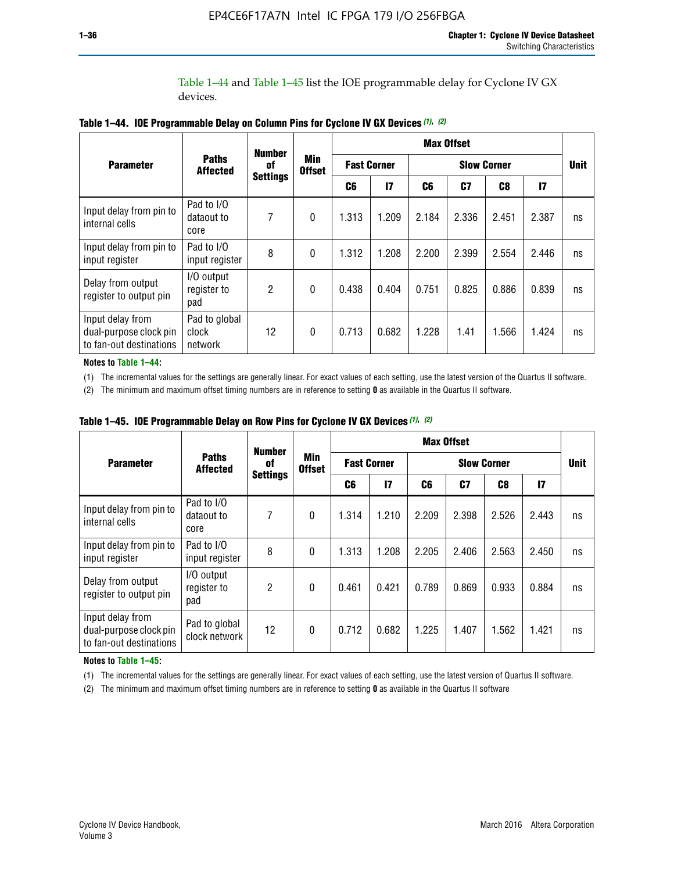Table 1–44 and Table 1–45 list the IOE programmable delay for Cyclone IV GX devices.

|                                                                       |                                   | <b>Number</b>   |                             |                    |              |       | <b>Max Offset</b>  |                |               |             |
|-----------------------------------------------------------------------|-----------------------------------|-----------------|-----------------------------|--------------------|--------------|-------|--------------------|----------------|---------------|-------------|
| <b>Parameter</b>                                                      | <b>Paths</b><br><b>Affected</b>   | 0f              | <b>Min</b><br><b>Offset</b> | <b>Fast Corner</b> |              |       | <b>Slow Corner</b> |                |               | <b>Unit</b> |
|                                                                       |                                   | <b>Settings</b> |                             | C6                 | $\mathbf{I}$ | C6    | C <sub>7</sub>     | C <sub>8</sub> | $\mathsf{I}7$ |             |
| Input delay from pin to<br>internal cells                             | Pad to I/O<br>dataout to<br>core  | 7               | $\boldsymbol{0}$            | 1.313              | 1.209        | 2.184 | 2.336              | 2.451          | 2.387         | ns          |
| Input delay from pin to<br>input register                             | Pad to I/O<br>input register      | 8               | $\Omega$                    | 1.312              | 1.208        | 2.200 | 2.399              | 2.554          | 2.446         | ns          |
| Delay from output<br>register to output pin                           | I/O output<br>register to<br>pad  | 2               | $\mathbf{0}$                | 0.438              | 0.404        | 0.751 | 0.825              | 0.886          | 0.839         | ns          |
| Input delay from<br>dual-purpose clock pin<br>to fan-out destinations | Pad to global<br>clock<br>network | 12              | 0                           | 0.713              | 0.682        | 1.228 | 1.41               | 1.566          | 1.424         | ns          |

**Table 1–44. IOE Programmable Delay on Column Pins for Cyclone IV GX Devices** *(1)***,** *(2)*

**Notes to Table 1–44:**

(1) The incremental values for the settings are generally linear. For exact values of each setting, use the latest version of the Quartus II software.

(2) The minimum and maximum offset timing numbers are in reference to setting **0** as available in the Quartus II software.

|                                                                       |                                  | <b>Number</b>   |                             |       |                    |                    | <b>Max Offset</b> |       |               |             |
|-----------------------------------------------------------------------|----------------------------------|-----------------|-----------------------------|-------|--------------------|--------------------|-------------------|-------|---------------|-------------|
| <b>Parameter</b>                                                      | <b>Paths</b><br><b>Affected</b>  | of              | <b>Min</b><br><b>Offset</b> |       | <b>Fast Corner</b> | <b>Slow Corner</b> |                   |       |               | <b>Unit</b> |
|                                                                       |                                  | <b>Settings</b> |                             | C6    | $\mathsf{I}7$      | C6                 | C7                | C8    | $\mathsf{I}7$ |             |
| Input delay from pin to<br>internal cells                             | Pad to I/O<br>dataout to<br>core | 7               | $\mathbf{0}$                | 1.314 | 1.210              | 2.209              | 2.398             | 2.526 | 2.443         | ns          |
| Input delay from pin to<br>input register                             | Pad to I/O<br>input register     | 8               | $\mathbf{0}$                | 1.313 | 1.208              | 2.205              | 2.406             | 2.563 | 2.450         | ns          |
| Delay from output<br>register to output pin                           | I/O output<br>register to<br>pad | $\overline{2}$  | $\mathbf{0}$                | 0.461 | 0.421              | 0.789              | 0.869             | 0.933 | 0.884         | ns          |
| Input delay from<br>dual-purpose clock pin<br>to fan-out destinations | Pad to global<br>clock network   | 12              | $\mathbf{0}$                | 0.712 | 0.682              | 1.225              | 1.407             | 1.562 | 1.421         | ns          |

**Table 1–45. IOE Programmable Delay on Row Pins for Cyclone IV GX Devices** *(1)***,** *(2)*

#### **Notes to Table 1–45:**

(1) The incremental values for the settings are generally linear. For exact values of each setting, use the latest version of Quartus II software.

(2) The minimum and maximum offset timing numbers are in reference to setting **0** as available in the Quartus II software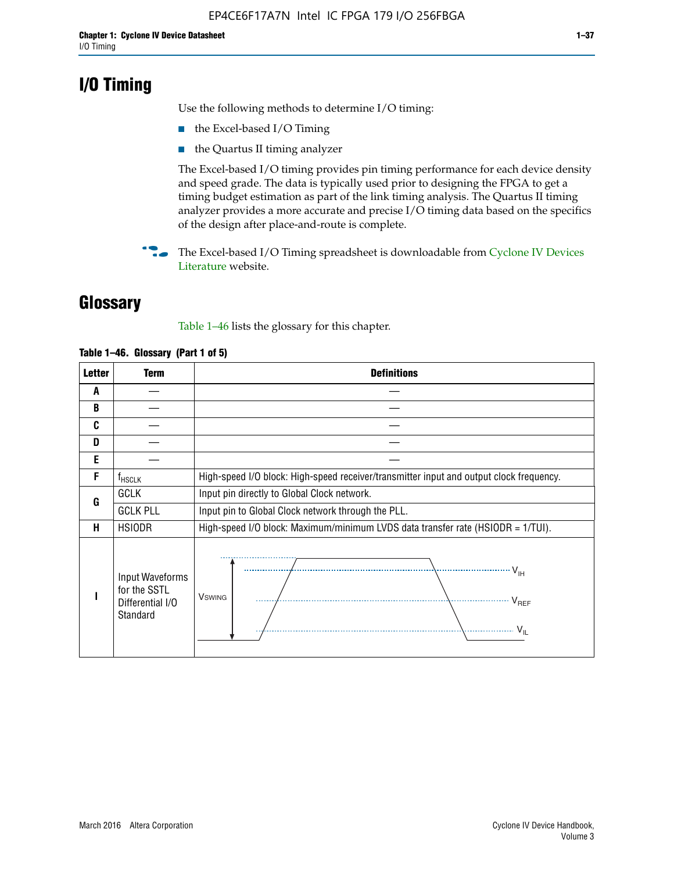## **I/O Timing**

Use the following methods to determine I/O timing:

- the Excel-based I/O Timing
- the Quartus II timing analyzer

The Excel-based I/O timing provides pin timing performance for each device density and speed grade. The data is typically used prior to designing the FPGA to get a timing budget estimation as part of the link timing analysis. The Quartus II timing analyzer provides a more accurate and precise I/O timing data based on the specifics of the design after place-and-route is complete.

**For The Excel-based I/O Timing spreadsheet is downloadable from Cyclone IV Devices** [Literature](http://www.altera.com/literature/lit-cyclone-iv.jsp) website.

## **Glossary**

Table 1–46 lists the glossary for this chapter.

| <b>Letter</b> | <b>Term</b>                                                     | <b>Definitions</b>                                                                                                                               |  |  |  |  |  |  |
|---------------|-----------------------------------------------------------------|--------------------------------------------------------------------------------------------------------------------------------------------------|--|--|--|--|--|--|
| A             |                                                                 |                                                                                                                                                  |  |  |  |  |  |  |
| B             |                                                                 |                                                                                                                                                  |  |  |  |  |  |  |
| C             |                                                                 |                                                                                                                                                  |  |  |  |  |  |  |
| D             |                                                                 |                                                                                                                                                  |  |  |  |  |  |  |
| E             |                                                                 |                                                                                                                                                  |  |  |  |  |  |  |
| F             | $f_{\sf HSCLK}$                                                 | High-speed I/O block: High-speed receiver/transmitter input and output clock frequency.                                                          |  |  |  |  |  |  |
| G             | <b>GCLK</b>                                                     | Input pin directly to Global Clock network.                                                                                                      |  |  |  |  |  |  |
|               | <b>GCLK PLL</b>                                                 | Input pin to Global Clock network through the PLL.                                                                                               |  |  |  |  |  |  |
| н             | <b>HSIODR</b>                                                   | High-speed I/O block: Maximum/minimum LVDS data transfer rate (HSIODR = 1/TUI).                                                                  |  |  |  |  |  |  |
|               | Input Waveforms<br>for the SSTL<br>Differential I/O<br>Standard | $\frac{1}{\sqrt{1+\frac{1}{2}}}\left\{ \frac{1}{\sqrt{1+\frac{1}{2}}}\right\}$<br><b>V</b> swing<br>$\cdots$ $V_{REF}$<br>\<br>$\sim V_{\rm IL}$ |  |  |  |  |  |  |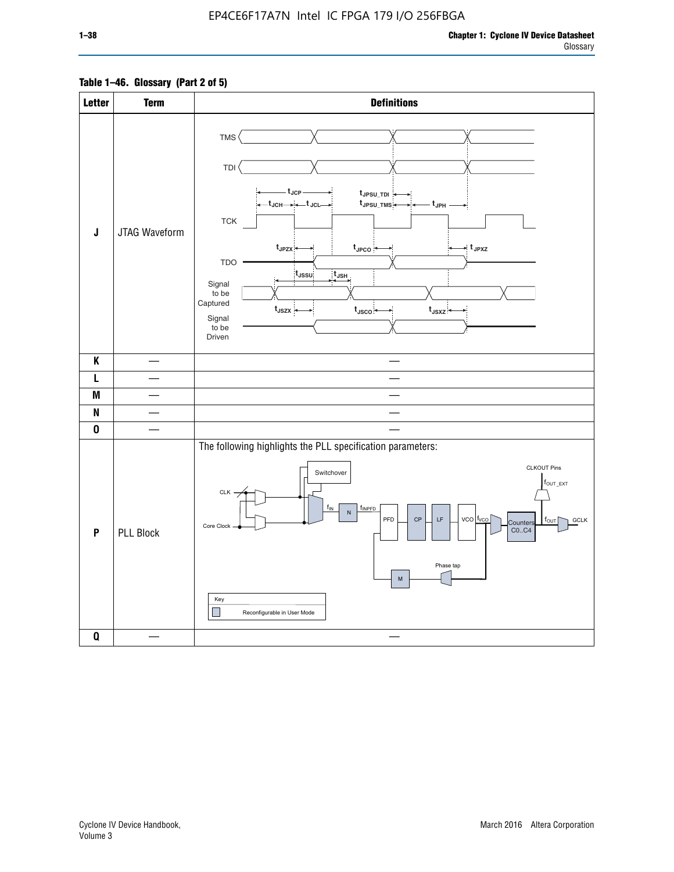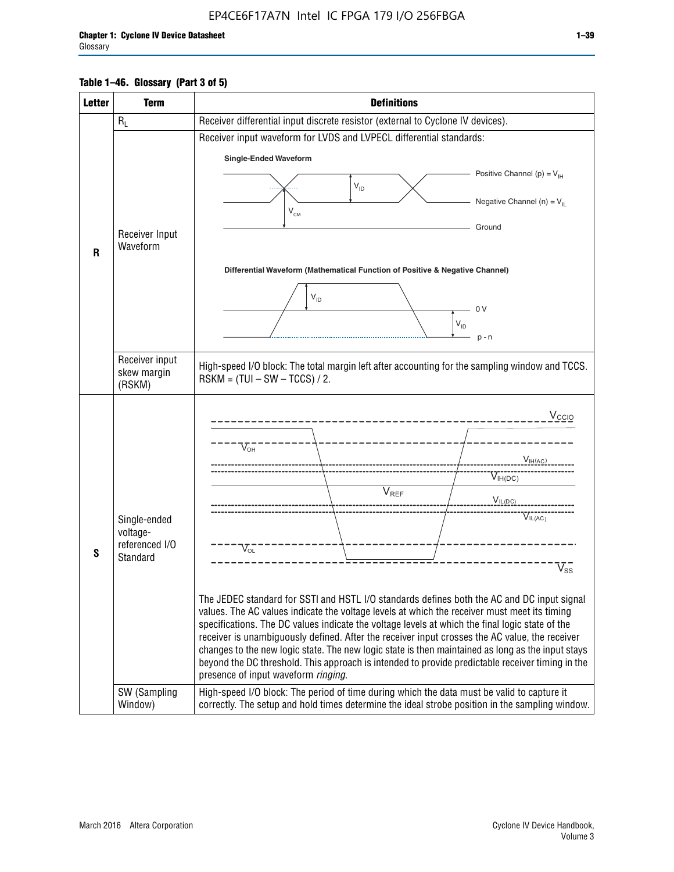### **Table 1–46. Glossary (Part 3 of 5)**

| <b>Letter</b> | <b>Term</b>                   | <b>Definitions</b>                                                                                                                                                                                    |  |  |  |  |  |  |  |  |
|---------------|-------------------------------|-------------------------------------------------------------------------------------------------------------------------------------------------------------------------------------------------------|--|--|--|--|--|--|--|--|
|               | $R_L$                         | Receiver differential input discrete resistor (external to Cyclone IV devices).                                                                                                                       |  |  |  |  |  |  |  |  |
|               |                               | Receiver input waveform for LVDS and LVPECL differential standards:                                                                                                                                   |  |  |  |  |  |  |  |  |
|               |                               | <b>Single-Ended Waveform</b>                                                                                                                                                                          |  |  |  |  |  |  |  |  |
|               |                               | Positive Channel (p) = $V_{\text{H}}$                                                                                                                                                                 |  |  |  |  |  |  |  |  |
|               |                               | $V_{ID}$                                                                                                                                                                                              |  |  |  |  |  |  |  |  |
|               |                               | Negative Channel (n) = $V_{\parallel}$<br>$V_{CM}$                                                                                                                                                    |  |  |  |  |  |  |  |  |
|               |                               | Ground                                                                                                                                                                                                |  |  |  |  |  |  |  |  |
|               | Receiver Input<br>Waveform    |                                                                                                                                                                                                       |  |  |  |  |  |  |  |  |
| R             |                               |                                                                                                                                                                                                       |  |  |  |  |  |  |  |  |
|               |                               | Differential Waveform (Mathematical Function of Positive & Negative Channel)                                                                                                                          |  |  |  |  |  |  |  |  |
|               |                               | $V_{ID}$                                                                                                                                                                                              |  |  |  |  |  |  |  |  |
|               |                               | 0V                                                                                                                                                                                                    |  |  |  |  |  |  |  |  |
|               |                               | $\mathsf{V}_{\mathsf{ID}}$                                                                                                                                                                            |  |  |  |  |  |  |  |  |
|               |                               | $p - n$                                                                                                                                                                                               |  |  |  |  |  |  |  |  |
|               | Receiver input<br>skew margin | High-speed I/O block: The total margin left after accounting for the sampling window and TCCS.<br>$RSKM = (TUI - SW - TCCS) / 2.$                                                                     |  |  |  |  |  |  |  |  |
|               | (RSKM)                        |                                                                                                                                                                                                       |  |  |  |  |  |  |  |  |
|               |                               | $V_{CCIO}$                                                                                                                                                                                            |  |  |  |  |  |  |  |  |
|               |                               |                                                                                                                                                                                                       |  |  |  |  |  |  |  |  |
|               |                               | $V_{\text{OH}}$                                                                                                                                                                                       |  |  |  |  |  |  |  |  |
|               |                               | V <sub>IH(AC)</sub>                                                                                                                                                                                   |  |  |  |  |  |  |  |  |
|               |                               | $V_{IH(DC)}$                                                                                                                                                                                          |  |  |  |  |  |  |  |  |
|               |                               | $V_{REF}$<br>$V_{IL(DC)}$                                                                                                                                                                             |  |  |  |  |  |  |  |  |
|               | Single-ended                  | VIL(AC)                                                                                                                                                                                               |  |  |  |  |  |  |  |  |
|               | voltage-                      |                                                                                                                                                                                                       |  |  |  |  |  |  |  |  |
| S             | referenced I/O<br>Standard    | $V_{OL}$                                                                                                                                                                                              |  |  |  |  |  |  |  |  |
|               |                               | $\overline{\mathsf{V}}_\mathsf{SS}^-$                                                                                                                                                                 |  |  |  |  |  |  |  |  |
|               |                               |                                                                                                                                                                                                       |  |  |  |  |  |  |  |  |
|               |                               | The JEDEC standard for SSTI and HSTL I/O standards defines both the AC and DC input signal<br>values. The AC values indicate the voltage levels at which the receiver must meet its timing            |  |  |  |  |  |  |  |  |
|               |                               | specifications. The DC values indicate the voltage levels at which the final logic state of the                                                                                                       |  |  |  |  |  |  |  |  |
|               |                               | receiver is unambiguously defined. After the receiver input crosses the AC value, the receiver                                                                                                        |  |  |  |  |  |  |  |  |
|               |                               | changes to the new logic state. The new logic state is then maintained as long as the input stays<br>beyond the DC threshold. This approach is intended to provide predictable receiver timing in the |  |  |  |  |  |  |  |  |
|               |                               | presence of input waveform ringing.                                                                                                                                                                   |  |  |  |  |  |  |  |  |
|               | SW (Sampling<br>Window)       | High-speed I/O block: The period of time during which the data must be valid to capture it<br>correctly. The setup and hold times determine the ideal strobe position in the sampling window.         |  |  |  |  |  |  |  |  |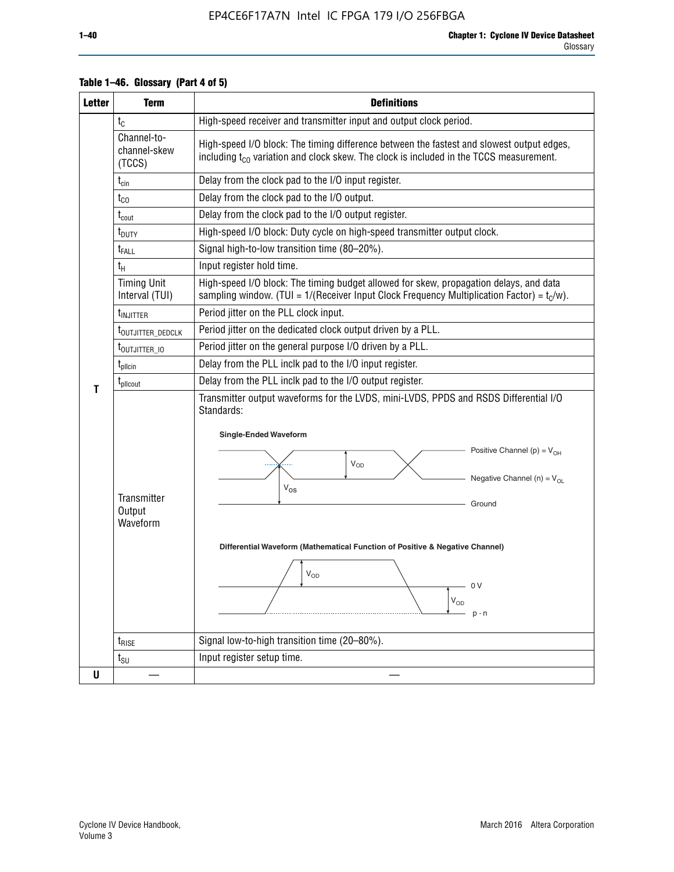| <b>Letter</b> | <b>Term</b>                           | <b>Definitions</b>                                                                                                                                                                                                                                                                                                                                              |  |  |  |  |  |  |  |  |
|---------------|---------------------------------------|-----------------------------------------------------------------------------------------------------------------------------------------------------------------------------------------------------------------------------------------------------------------------------------------------------------------------------------------------------------------|--|--|--|--|--|--|--|--|
|               | $t_{C}$                               | High-speed receiver and transmitter input and output clock period.                                                                                                                                                                                                                                                                                              |  |  |  |  |  |  |  |  |
|               | Channel-to-<br>channel-skew<br>(TCCS) | High-speed I/O block: The timing difference between the fastest and slowest output edges,<br>including t <sub>co</sub> variation and clock skew. The clock is included in the TCCS measurement.                                                                                                                                                                 |  |  |  |  |  |  |  |  |
|               | $t_{\text{cin}}$                      | Delay from the clock pad to the I/O input register.                                                                                                                                                                                                                                                                                                             |  |  |  |  |  |  |  |  |
|               | $t_{CO}$                              | Delay from the clock pad to the I/O output.                                                                                                                                                                                                                                                                                                                     |  |  |  |  |  |  |  |  |
|               | $t_{\text{cout}}$                     | Delay from the clock pad to the I/O output register.                                                                                                                                                                                                                                                                                                            |  |  |  |  |  |  |  |  |
|               | t <sub>DUTY</sub>                     | High-speed I/O block: Duty cycle on high-speed transmitter output clock.                                                                                                                                                                                                                                                                                        |  |  |  |  |  |  |  |  |
|               | $t_{FALL}$                            | Signal high-to-low transition time (80-20%).                                                                                                                                                                                                                                                                                                                    |  |  |  |  |  |  |  |  |
|               | $t_H$                                 | Input register hold time.                                                                                                                                                                                                                                                                                                                                       |  |  |  |  |  |  |  |  |
|               | <b>Timing Unit</b><br>Interval (TUI)  | High-speed I/O block: The timing budget allowed for skew, propagation delays, and data<br>sampling window. (TUI = $1/($ Receiver Input Clock Frequency Multiplication Factor) = $tC/w$ ).                                                                                                                                                                       |  |  |  |  |  |  |  |  |
|               | t <sub>INJITTER</sub>                 | Period jitter on the PLL clock input.                                                                                                                                                                                                                                                                                                                           |  |  |  |  |  |  |  |  |
|               | t <sub>outjitter_dedclk</sub>         | Period jitter on the dedicated clock output driven by a PLL.                                                                                                                                                                                                                                                                                                    |  |  |  |  |  |  |  |  |
|               | t <sub>outjitter_io</sub>             | Period jitter on the general purpose I/O driven by a PLL.                                                                                                                                                                                                                                                                                                       |  |  |  |  |  |  |  |  |
|               | $t_{\text{pllcin}}$                   | Delay from the PLL inclk pad to the I/O input register.                                                                                                                                                                                                                                                                                                         |  |  |  |  |  |  |  |  |
|               | $t_{\text{pll}$ cout                  | Delay from the PLL inclk pad to the I/O output register.                                                                                                                                                                                                                                                                                                        |  |  |  |  |  |  |  |  |
| т             | Transmitter<br>Output<br>Waveform     | Transmitter output waveforms for the LVDS, mini-LVDS, PPDS and RSDS Differential I/O<br>Standards:<br><b>Single-Ended Waveform</b><br>Positive Channel (p) = $V_{OH}$<br>VOD<br>Negative Channel (n) = $V_{OL}$<br>$V_{OS}$<br>Ground<br>Differential Waveform (Mathematical Function of Positive & Negative Channel)<br>$V_{OD}$<br>0 V<br>$V_{OD}$<br>$p - n$ |  |  |  |  |  |  |  |  |
|               | $t_{\text{RISE}}$                     | Signal low-to-high transition time (20-80%).                                                                                                                                                                                                                                                                                                                    |  |  |  |  |  |  |  |  |
|               | $t_{\text{SU}}$                       | Input register setup time.                                                                                                                                                                                                                                                                                                                                      |  |  |  |  |  |  |  |  |
| U             |                                       |                                                                                                                                                                                                                                                                                                                                                                 |  |  |  |  |  |  |  |  |

### **Table 1–46. Glossary (Part 4 of 5)**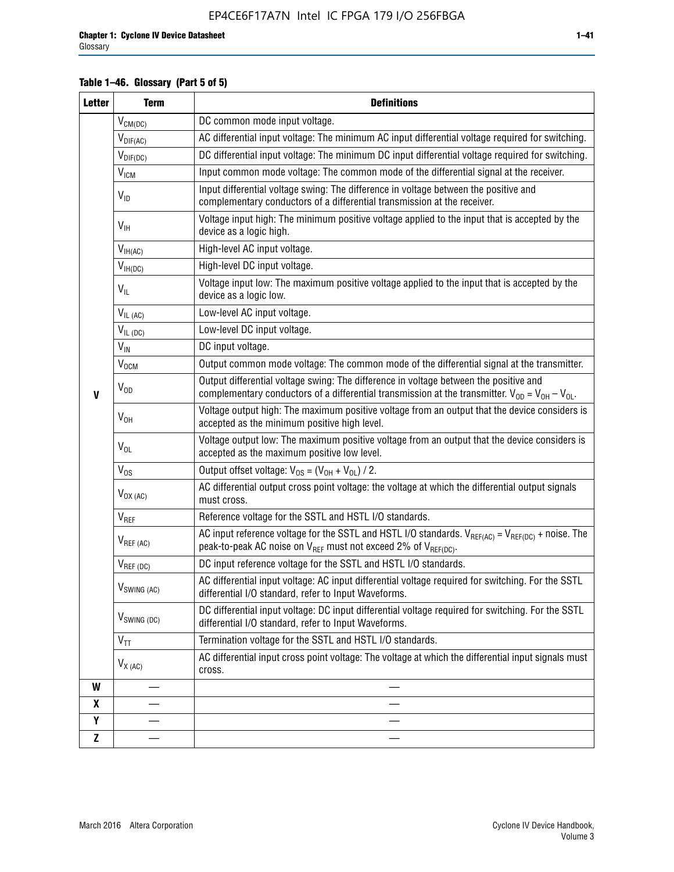### **Table 1–46. Glossary (Part 5 of 5)**

| <b>Letter</b> | <b>Term</b>                                                                                                       | <b>Definitions</b>                                                                                                                                                                                |  |  |  |  |
|---------------|-------------------------------------------------------------------------------------------------------------------|---------------------------------------------------------------------------------------------------------------------------------------------------------------------------------------------------|--|--|--|--|
|               | $V_{CM(DC)}$                                                                                                      | DC common mode input voltage.                                                                                                                                                                     |  |  |  |  |
|               | $V_{DIF(AC)}$                                                                                                     | AC differential input voltage: The minimum AC input differential voltage required for switching.                                                                                                  |  |  |  |  |
|               | DC differential input voltage: The minimum DC input differential voltage required for switching.<br>$V_{DIF(DC)}$ |                                                                                                                                                                                                   |  |  |  |  |
|               | $\rm V_{IGM}$                                                                                                     | Input common mode voltage: The common mode of the differential signal at the receiver.                                                                                                            |  |  |  |  |
|               | $V_{ID}$                                                                                                          | Input differential voltage swing: The difference in voltage between the positive and<br>complementary conductors of a differential transmission at the receiver.                                  |  |  |  |  |
|               | $V_{\text{IH}}$                                                                                                   | Voltage input high: The minimum positive voltage applied to the input that is accepted by the<br>device as a logic high.                                                                          |  |  |  |  |
|               | $V_{IH(AC)}$                                                                                                      | High-level AC input voltage.                                                                                                                                                                      |  |  |  |  |
|               | $V_{IH(DC)}$                                                                                                      | High-level DC input voltage.                                                                                                                                                                      |  |  |  |  |
|               | $V_{IL}$                                                                                                          | Voltage input low: The maximum positive voltage applied to the input that is accepted by the<br>device as a logic low.                                                                            |  |  |  |  |
|               | $V_{IL(AC)}$                                                                                                      | Low-level AC input voltage.                                                                                                                                                                       |  |  |  |  |
|               | $V_{IL(DC)}$                                                                                                      | Low-level DC input voltage.                                                                                                                                                                       |  |  |  |  |
|               | $V_{\text{IN}}$                                                                                                   | DC input voltage.                                                                                                                                                                                 |  |  |  |  |
|               | V <sub>OCM</sub>                                                                                                  | Output common mode voltage: The common mode of the differential signal at the transmitter.                                                                                                        |  |  |  |  |
| $\mathbf{V}$  | $V_{OD}$                                                                                                          | Output differential voltage swing: The difference in voltage between the positive and<br>complementary conductors of a differential transmission at the transmitter. $V_{OD} = V_{OH} - V_{OL}$ . |  |  |  |  |
|               | $V_{OH}$                                                                                                          | Voltage output high: The maximum positive voltage from an output that the device considers is<br>accepted as the minimum positive high level.                                                     |  |  |  |  |
|               | $V_{OL}$                                                                                                          | Voltage output low: The maximum positive voltage from an output that the device considers is<br>accepted as the maximum positive low level.                                                       |  |  |  |  |
|               | $V_{OS}$                                                                                                          | Output offset voltage: $V_{OS} = (V_{OH} + V_{OL}) / 2$ .                                                                                                                                         |  |  |  |  |
|               | $V_{OX (AC)}$                                                                                                     | AC differential output cross point voltage: the voltage at which the differential output signals<br>must cross.                                                                                   |  |  |  |  |
|               | $V_{REF}$                                                                                                         | Reference voltage for the SSTL and HSTL I/O standards.                                                                                                                                            |  |  |  |  |
|               | $V_{REF\,(AC)}$                                                                                                   | AC input reference voltage for the SSTL and HSTL I/O standards. $V_{REF(AC)} = V_{REF(DC)} +$ noise. The<br>peak-to-peak AC noise on $V_{REF}$ must not exceed 2% of $V_{REF(DC)}$ .              |  |  |  |  |
|               | $V_{REF(DC)}$                                                                                                     | DC input reference voltage for the SSTL and HSTL I/O standards.                                                                                                                                   |  |  |  |  |
|               | $V_{\textrm{SWING (AC)}}$                                                                                         | AC differential input voltage: AC input differential voltage required for switching. For the SSTL<br>differential I/O standard, refer to Input Waveforms.                                         |  |  |  |  |
|               | $V_{SWING (DC)}$                                                                                                  | DC differential input voltage: DC input differential voltage required for switching. For the SSTL<br>differential I/O standard, refer to Input Waveforms.                                         |  |  |  |  |
|               | $V_{TT}$                                                                                                          | Termination voltage for the SSTL and HSTL I/O standards.                                                                                                                                          |  |  |  |  |
|               | $V_{X(AC)}$                                                                                                       | AC differential input cross point voltage: The voltage at which the differential input signals must<br>cross.                                                                                     |  |  |  |  |
| W             |                                                                                                                   |                                                                                                                                                                                                   |  |  |  |  |
| X             |                                                                                                                   |                                                                                                                                                                                                   |  |  |  |  |
| Y             |                                                                                                                   |                                                                                                                                                                                                   |  |  |  |  |
| $\mathbf{Z}$  |                                                                                                                   |                                                                                                                                                                                                   |  |  |  |  |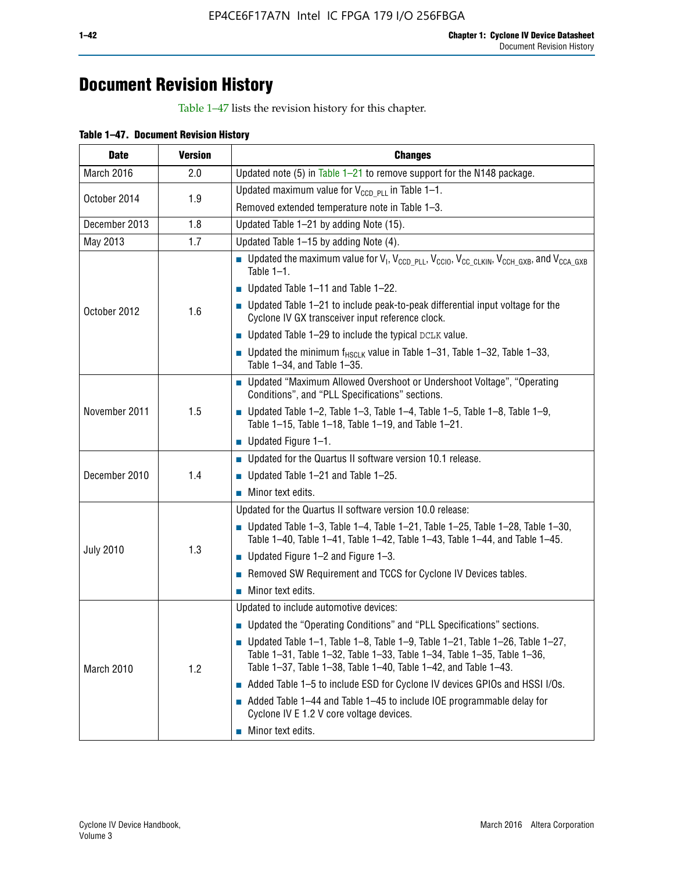## **Document Revision History**

Table 1–47 lists the revision history for this chapter.

| <b>Date</b>      | <b>Version</b> | <b>Changes</b>                                                                                                                                                                                                                            |
|------------------|----------------|-------------------------------------------------------------------------------------------------------------------------------------------------------------------------------------------------------------------------------------------|
| March 2016       | 2.0            | Updated note (5) in Table $1-21$ to remove support for the N148 package.                                                                                                                                                                  |
| October 2014     | 1.9            | Updated maximum value for $V_{CCD, PL}$ in Table 1-1.                                                                                                                                                                                     |
|                  |                | Removed extended temperature note in Table 1-3.                                                                                                                                                                                           |
| December 2013    | 1.8            | Updated Table 1-21 by adding Note (15).                                                                                                                                                                                                   |
| May 2013         | 1.7            | Updated Table 1-15 by adding Note (4).                                                                                                                                                                                                    |
| October 2012     | 1.6            | <b>D</b> Updated the maximum value for $V_1$ , $V_{CCD}$ <sub>PLL</sub> , $V_{CC10}$ , $V_{CC_1CLKIN}$ , $V_{CCH_GXB}$ , and $V_{CCA_GXB}$<br>Table $1-1$ .                                                                               |
|                  |                | $\blacksquare$ Updated Table 1-11 and Table 1-22.                                                                                                                                                                                         |
|                  |                | $\blacksquare$ Updated Table 1-21 to include peak-to-peak differential input voltage for the<br>Cyclone IV GX transceiver input reference clock.                                                                                          |
|                  |                | $\blacksquare$ Updated Table 1-29 to include the typical DCLK value.                                                                                                                                                                      |
|                  |                | <b>Updated the minimum f<sub>HSCLK</sub></b> value in Table 1-31, Table 1-32, Table 1-33,<br>Table 1-34, and Table 1-35.                                                                                                                  |
| November 2011    | 1.5            | ■ Updated "Maximum Allowed Overshoot or Undershoot Voltage", "Operating<br>Conditions", and "PLL Specifications" sections.                                                                                                                |
|                  |                | Updated Table 1-2, Table 1-3, Table 1-4, Table 1-5, Table 1-8, Table 1-9,<br>Table 1-15, Table 1-18, Table 1-19, and Table 1-21.                                                                                                          |
|                  |                | ■ Updated Figure $1-1$ .                                                                                                                                                                                                                  |
| December 2010    | 1.4            | • Updated for the Quartus II software version 10.1 release.                                                                                                                                                                               |
|                  |                | $\blacksquare$ Updated Table 1-21 and Table 1-25.                                                                                                                                                                                         |
|                  |                | $\blacksquare$ Minor text edits.                                                                                                                                                                                                          |
|                  | 1.3            | Updated for the Quartus II software version 10.0 release:                                                                                                                                                                                 |
| <b>July 2010</b> |                | Updated Table 1-3, Table 1-4, Table 1-21, Table 1-25, Table 1-28, Table 1-30,<br>Table 1-40, Table 1-41, Table 1-42, Table 1-43, Table 1-44, and Table 1-45.                                                                              |
|                  |                | ■ Updated Figure $1-2$ and Figure $1-3$ .                                                                                                                                                                                                 |
|                  |                | Removed SW Requirement and TCCS for Cyclone IV Devices tables.                                                                                                                                                                            |
|                  |                | $\blacksquare$ Minor text edits.                                                                                                                                                                                                          |
|                  | 1.2            | Updated to include automotive devices:                                                                                                                                                                                                    |
| March 2010       |                | • Updated the "Operating Conditions" and "PLL Specifications" sections.                                                                                                                                                                   |
|                  |                | $\blacksquare$ Updated Table 1-1, Table 1-8, Table 1-9, Table 1-21, Table 1-26, Table 1-27,<br>Table 1-31, Table 1-32, Table 1-33, Table 1-34, Table 1-35, Table 1-36,<br>Table 1-37, Table 1-38, Table 1-40, Table 1-42, and Table 1-43. |
|                  |                | Added Table 1-5 to include ESD for Cyclone IV devices GPIOs and HSSI I/Os.                                                                                                                                                                |
|                  |                | Added Table 1-44 and Table 1-45 to include IOE programmable delay for<br>Cyclone IV E 1.2 V core voltage devices.                                                                                                                         |
|                  |                | Minor text edits.                                                                                                                                                                                                                         |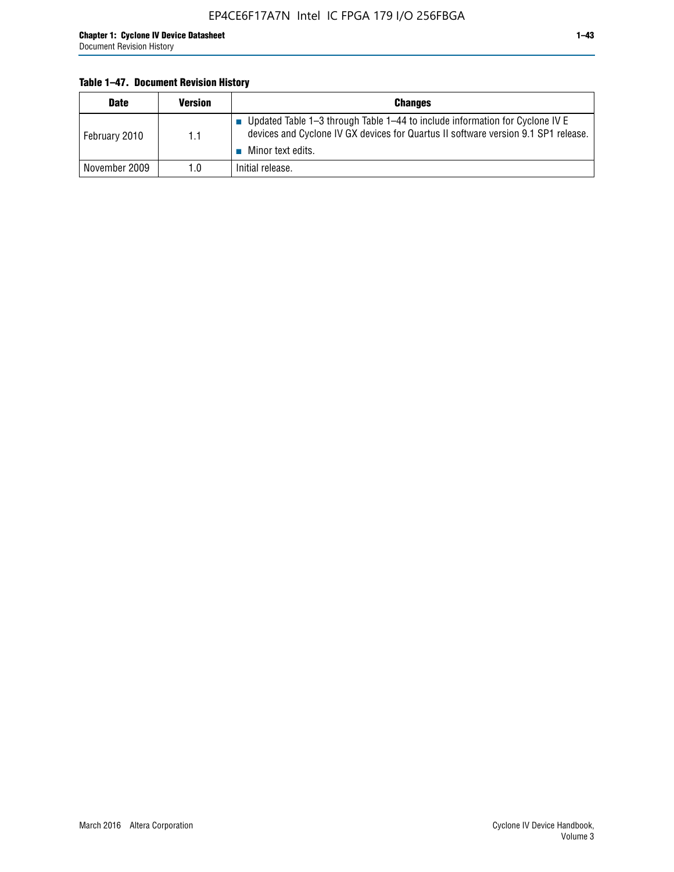### **Table 1–47. Document Revision History**

| <b>Date</b>   | <b>Version</b> | <b>Changes</b>                                                                                                                                                                          |
|---------------|----------------|-----------------------------------------------------------------------------------------------------------------------------------------------------------------------------------------|
| February 2010 | 1.1            | Updated Table 1-3 through Table 1-44 to include information for Cyclone IV E<br>devices and Cyclone IV GX devices for Quartus II software version 9.1 SP1 release.<br>Minor text edits. |
| November 2009 | 1.0            | Initial release.                                                                                                                                                                        |